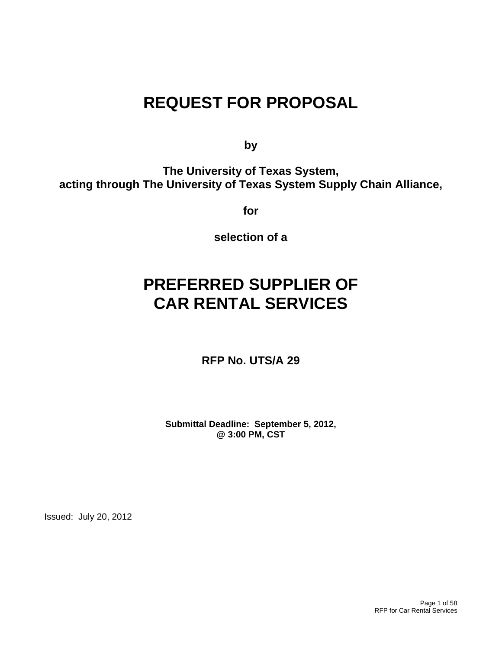# **REQUEST FOR PROPOSAL**

**by** 

**The University of Texas System, acting through The University of Texas System Supply Chain Alliance,** 

**for** 

**selection of a** 

# **PREFERRED SUPPLIER OF CAR RENTAL SERVICES**

**RFP No. UTS/A 29** 

**Submittal Deadline: September 5, 2012, @ 3:00 PM, CST**

Issued: July 20, 2012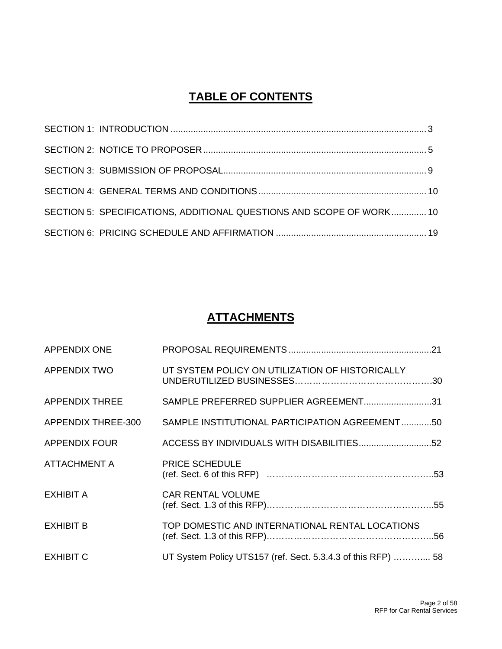# **TABLE OF CONTENTS**

| SECTION 5: SPECIFICATIONS, ADDITIONAL QUESTIONS AND SCOPE OF WORK10 |  |
|---------------------------------------------------------------------|--|
|                                                                     |  |

# **ATTACHMENTS**

| <b>APPENDIX ONE</b>   |                                                              |
|-----------------------|--------------------------------------------------------------|
| <b>APPENDIX TWO</b>   | UT SYSTEM POLICY ON UTILIZATION OF HISTORICALLY              |
| <b>APPENDIX THREE</b> | SAMPLE PREFERRED SUPPLIER AGREEMENT31                        |
| APPENDIX THREE-300    | SAMPLE INSTITUTIONAL PARTICIPATION AGREEMENT50               |
| <b>APPENDIX FOUR</b>  |                                                              |
| <b>ATTACHMENT A</b>   | <b>PRICE SCHEDULE</b>                                        |
| <b>EXHIBIT A</b>      | <b>CAR RENTAL VOLUME</b>                                     |
| <b>EXHIBIT B</b>      | TOP DOMESTIC AND INTERNATIONAL RENTAL LOCATIONS              |
| <b>EXHIBIT C</b>      | UT System Policy UTS157 (ref. Sect. 5.3.4.3 of this RFP)  58 |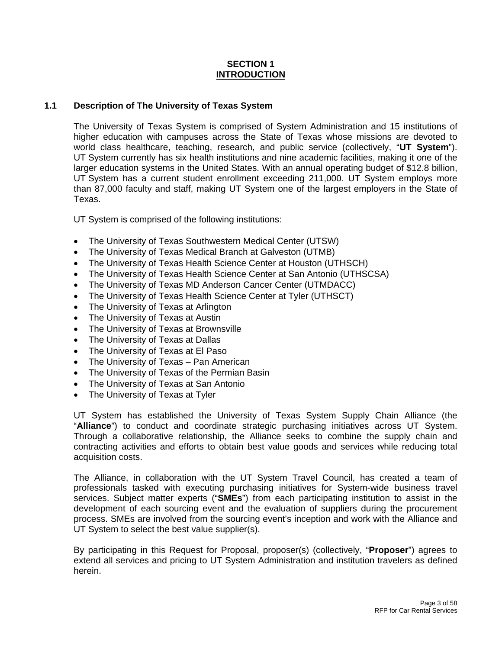## **SECTION 1 INTRODUCTION**

# **1.1 Description of The University of Texas System**

The University of Texas System is comprised of System Administration and 15 institutions of higher education with campuses across the State of Texas whose missions are devoted to world class healthcare, teaching, research, and public service (collectively, "**UT System**"). UT System currently has six health institutions and nine academic facilities, making it one of the larger education systems in the United States. With an annual operating budget of \$12.8 billion, UT System has a current student enrollment exceeding 211,000. UT System employs more than 87,000 faculty and staff, making UT System one of the largest employers in the State of Texas.

UT System is comprised of the following institutions:

- The University of Texas Southwestern Medical Center (UTSW)
- The University of Texas Medical Branch at Galveston (UTMB)
- The University of Texas Health Science Center at Houston (UTHSCH)
- The University of Texas Health Science Center at San Antonio (UTHSCSA)
- The University of Texas MD Anderson Cancer Center (UTMDACC)
- The University of Texas Health Science Center at Tyler (UTHSCT)
- The University of Texas at Arlington
- The University of Texas at Austin
- The University of Texas at Brownsville
- The University of Texas at Dallas
- The University of Texas at El Paso
- The University of Texas Pan American
- The University of Texas of the Permian Basin
- The University of Texas at San Antonio
- The University of Texas at Tyler

UT System has established the University of Texas System Supply Chain Alliance (the "**Alliance**") to conduct and coordinate strategic purchasing initiatives across UT System. Through a collaborative relationship, the Alliance seeks to combine the supply chain and contracting activities and efforts to obtain best value goods and services while reducing total acquisition costs.

The Alliance, in collaboration with the UT System Travel Council, has created a team of professionals tasked with executing purchasing initiatives for System-wide business travel services. Subject matter experts ("**SMEs**") from each participating institution to assist in the development of each sourcing event and the evaluation of suppliers during the procurement process. SMEs are involved from the sourcing event's inception and work with the Alliance and UT System to select the best value supplier(s).

By participating in this Request for Proposal, proposer(s) (collectively, "**Proposer**") agrees to extend all services and pricing to UT System Administration and institution travelers as defined herein.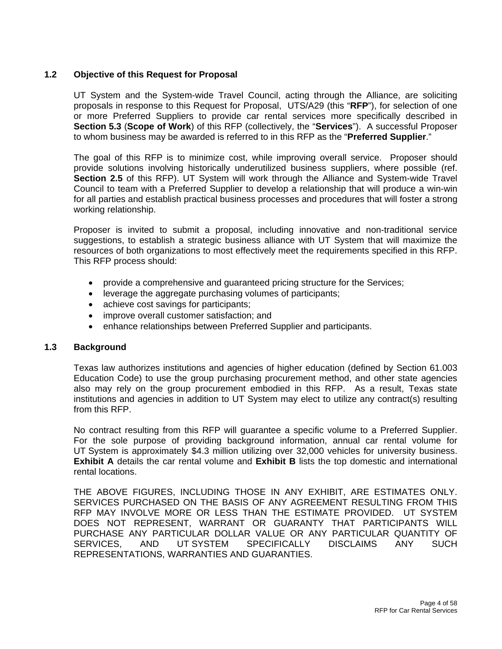# **1.2 Objective of this Request for Proposal**

UT System and the System-wide Travel Council, acting through the Alliance, are soliciting proposals in response to this Request for Proposal, UTS/A29 (this "**RFP**"), for selection of one or more Preferred Suppliers to provide car rental services more specifically described in **Section 5.3** (**Scope of Work**) of this RFP (collectively, the "**Services**"). A successful Proposer to whom business may be awarded is referred to in this RFP as the "**Preferred Supplier**."

The goal of this RFP is to minimize cost, while improving overall service. Proposer should provide solutions involving historically underutilized business suppliers, where possible (ref. **Section 2.5** of this RFP). UT System will work through the Alliance and System-wide Travel Council to team with a Preferred Supplier to develop a relationship that will produce a win-win for all parties and establish practical business processes and procedures that will foster a strong working relationship.

Proposer is invited to submit a proposal, including innovative and non-traditional service suggestions, to establish a strategic business alliance with UT System that will maximize the resources of both organizations to most effectively meet the requirements specified in this RFP. This RFP process should:

- provide a comprehensive and guaranteed pricing structure for the Services;
- leverage the aggregate purchasing volumes of participants;
- achieve cost savings for participants;
- improve overall customer satisfaction; and
- enhance relationships between Preferred Supplier and participants.

### **1.3 Background**

Texas law authorizes institutions and agencies of higher education (defined by Section 61.003 Education Code) to use the group purchasing procurement method, and other state agencies also may rely on the group procurement embodied in this RFP. As a result, Texas state institutions and agencies in addition to UT System may elect to utilize any contract(s) resulting from this RFP.

No contract resulting from this RFP will guarantee a specific volume to a Preferred Supplier. For the sole purpose of providing background information, annual car rental volume for UT System is approximately \$4.3 million utilizing over 32,000 vehicles for university business. **Exhibit A** details the car rental volume and **Exhibit B** lists the top domestic and international rental locations.

THE ABOVE FIGURES, INCLUDING THOSE IN ANY EXHIBIT, ARE ESTIMATES ONLY. SERVICES PURCHASED ON THE BASIS OF ANY AGREEMENT RESULTING FROM THIS RFP MAY INVOLVE MORE OR LESS THAN THE ESTIMATE PROVIDED. UT SYSTEM DOES NOT REPRESENT, WARRANT OR GUARANTY THAT PARTICIPANTS WILL PURCHASE ANY PARTICULAR DOLLAR VALUE OR ANY PARTICULAR QUANTITY OF SERVICES, AND UT SYSTEM SPECIFICALLY DISCLAIMS ANY SUCH REPRESENTATIONS, WARRANTIES AND GUARANTIES.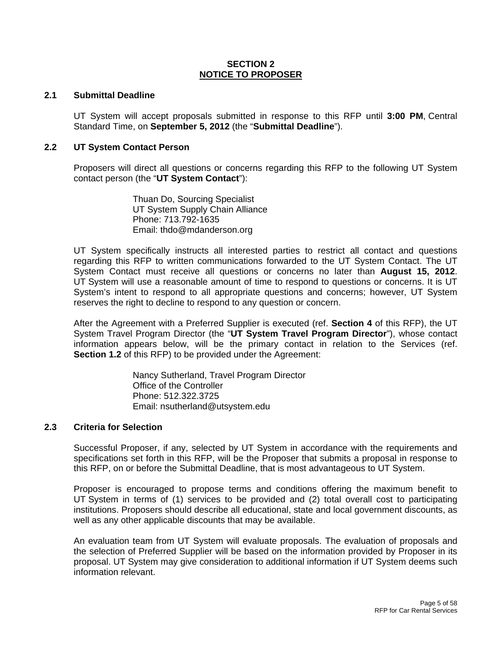### **SECTION 2 NOTICE TO PROPOSER**

### **2.1 Submittal Deadline**

UT System will accept proposals submitted in response to this RFP until **3:00 PM**, Central Standard Time, on **September 5, 2012** (the "**Submittal Deadline**").

#### **2.2 UT System Contact Person**

Proposers will direct all questions or concerns regarding this RFP to the following UT System contact person (the "**UT System Contact**"):

> Thuan Do, Sourcing Specialist UT System Supply Chain Alliance Phone: 713.792-1635 Email: thdo@mdanderson.org

UT System specifically instructs all interested parties to restrict all contact and questions regarding this RFP to written communications forwarded to the UT System Contact. The UT System Contact must receive all questions or concerns no later than **August 15, 2012**. UT System will use a reasonable amount of time to respond to questions or concerns. It is UT System's intent to respond to all appropriate questions and concerns; however, UT System reserves the right to decline to respond to any question or concern.

After the Agreement with a Preferred Supplier is executed (ref. **Section 4** of this RFP), the UT System Travel Program Director (the "**UT System Travel Program Director**"), whose contact information appears below, will be the primary contact in relation to the Services (ref. **Section 1.2** of this RFP) to be provided under the Agreement:

> Nancy Sutherland, Travel Program Director Office of the Controller Phone: 512.322.3725 Email: nsutherland@utsystem.edu

### **2.3 Criteria for Selection**

Successful Proposer, if any, selected by UT System in accordance with the requirements and specifications set forth in this RFP, will be the Proposer that submits a proposal in response to this RFP, on or before the Submittal Deadline, that is most advantageous to UT System.

Proposer is encouraged to propose terms and conditions offering the maximum benefit to UT System in terms of (1) services to be provided and (2) total overall cost to participating institutions. Proposers should describe all educational, state and local government discounts, as well as any other applicable discounts that may be available.

An evaluation team from UT System will evaluate proposals. The evaluation of proposals and the selection of Preferred Supplier will be based on the information provided by Proposer in its proposal. UT System may give consideration to additional information if UT System deems such information relevant.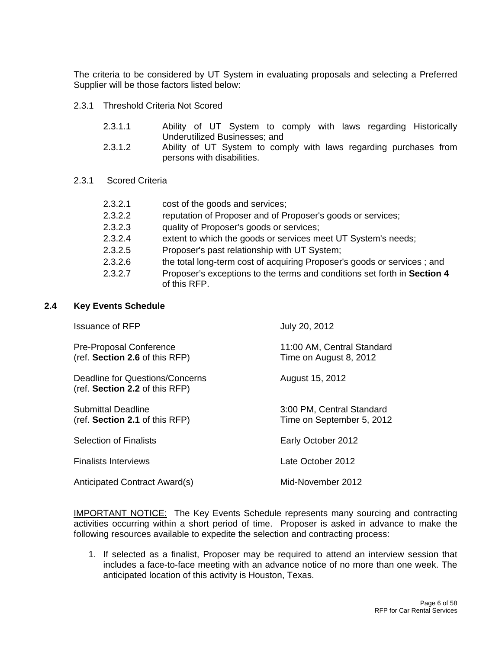The criteria to be considered by UT System in evaluating proposals and selecting a Preferred Supplier will be those factors listed below:

- 2.3.1 Threshold Criteria Not Scored
	- 2.3.1.1 Ability of UT System to comply with laws regarding Historically Underutilized Businesses; and
	- 2.3.1.2 Ability of UT System to comply with laws regarding purchases from persons with disabilities.
- 2.3.1 Scored Criteria

| 2.3.2.1 | cost of the goods and services;                                                          |
|---------|------------------------------------------------------------------------------------------|
| 2.3.2.2 | reputation of Proposer and of Proposer's goods or services;                              |
| 2.3.2.3 | quality of Proposer's goods or services;                                                 |
| 2.3.2.4 | extent to which the goods or services meet UT System's needs;                            |
| 2.3.2.5 | Proposer's past relationship with UT System;                                             |
| 2.3.2.6 | the total long-term cost of acquiring Proposer's goods or services; and                  |
| 2.3.2.7 | Proposer's exceptions to the terms and conditions set forth in Section 4<br>of this RFP. |

# **2.4 Key Events Schedule**

| <b>Issuance of RFP</b>                                            | July 20, 2012                                          |
|-------------------------------------------------------------------|--------------------------------------------------------|
| Pre-Proposal Conference<br>(ref. Section 2.6 of this RFP)         | 11:00 AM, Central Standard<br>Time on August 8, 2012   |
| Deadline for Questions/Concerns<br>(ref. Section 2.2 of this RFP) | August 15, 2012                                        |
| Submittal Deadline<br>(ref. Section 2.1 of this RFP)              | 3:00 PM, Central Standard<br>Time on September 5, 2012 |
| <b>Selection of Finalists</b>                                     | Early October 2012                                     |
| <b>Finalists Interviews</b>                                       | Late October 2012                                      |
| Anticipated Contract Award(s)                                     | Mid-November 2012                                      |
|                                                                   |                                                        |

**IMPORTANT NOTICE:** The Key Events Schedule represents many sourcing and contracting activities occurring within a short period of time. Proposer is asked in advance to make the following resources available to expedite the selection and contracting process:

1. If selected as a finalist, Proposer may be required to attend an interview session that includes a face-to-face meeting with an advance notice of no more than one week. The anticipated location of this activity is Houston, Texas.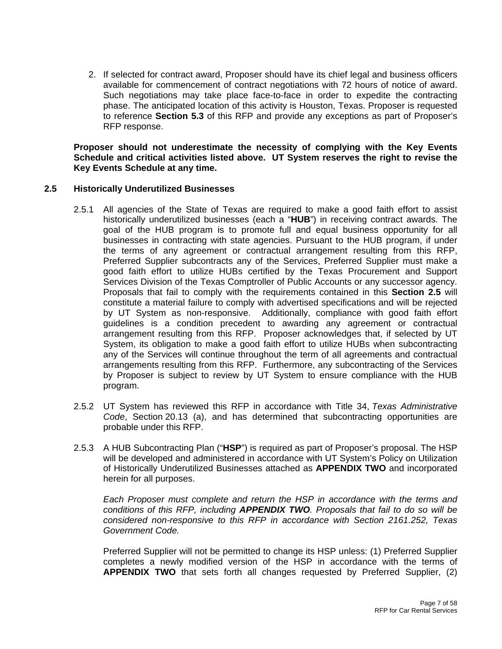2. If selected for contract award, Proposer should have its chief legal and business officers available for commencement of contract negotiations with 72 hours of notice of award. Such negotiations may take place face-to-face in order to expedite the contracting phase. The anticipated location of this activity is Houston, Texas. Proposer is requested to reference **Section 5.3** of this RFP and provide any exceptions as part of Proposer's RFP response.

**Proposer should not underestimate the necessity of complying with the Key Events Schedule and critical activities listed above. UT System reserves the right to revise the Key Events Schedule at any time.** 

# **2.5 Historically Underutilized Businesses**

- 2.5.1 All agencies of the State of Texas are required to make a good faith effort to assist historically underutilized businesses (each a "**HUB**") in receiving contract awards. The goal of the HUB program is to promote full and equal business opportunity for all businesses in contracting with state agencies. Pursuant to the HUB program, if under the terms of any agreement or contractual arrangement resulting from this RFP, Preferred Supplier subcontracts any of the Services, Preferred Supplier must make a good faith effort to utilize HUBs certified by the Texas Procurement and Support Services Division of the Texas Comptroller of Public Accounts or any successor agency. Proposals that fail to comply with the requirements contained in this **Section 2.5** will constitute a material failure to comply with advertised specifications and will be rejected by UT System as non-responsive. Additionally, compliance with good faith effort guidelines is a condition precedent to awarding any agreement or contractual arrangement resulting from this RFP. Proposer acknowledges that, if selected by UT System, its obligation to make a good faith effort to utilize HUBs when subcontracting any of the Services will continue throughout the term of all agreements and contractual arrangements resulting from this RFP. Furthermore, any subcontracting of the Services by Proposer is subject to review by UT System to ensure compliance with the HUB program.
- 2.5.2 UT System has reviewed this RFP in accordance with Title 34, *Texas Administrative Code*, Section 20.13 (a), and has determined that subcontracting opportunities are probable under this RFP.
- 2.5.3 A HUB Subcontracting Plan ("**HSP**") is required as part of Proposer's proposal. The HSP will be developed and administered in accordance with UT System's Policy on Utilization of Historically Underutilized Businesses attached as **APPENDIX TWO** and incorporated herein for all purposes.

*Each Proposer must complete and return the HSP in accordance with the terms and conditions of this RFP, including APPENDIX TWO. Proposals that fail to do so will be considered non-responsive to this RFP in accordance with Section 2161.252, Texas Government Code.*

Preferred Supplier will not be permitted to change its HSP unless: (1) Preferred Supplier completes a newly modified version of the HSP in accordance with the terms of **APPENDIX TWO** that sets forth all changes requested by Preferred Supplier, (2)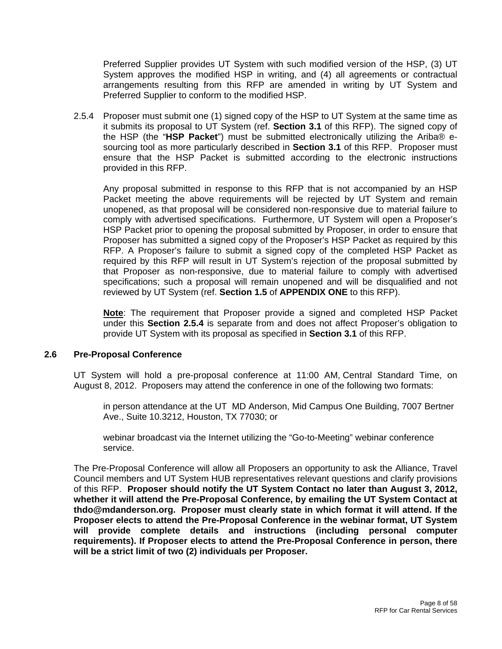Preferred Supplier provides UT System with such modified version of the HSP, (3) UT System approves the modified HSP in writing, and (4) all agreements or contractual arrangements resulting from this RFP are amended in writing by UT System and Preferred Supplier to conform to the modified HSP.

2.5.4 Proposer must submit one (1) signed copy of the HSP to UT System at the same time as it submits its proposal to UT System (ref. **Section 3.1** of this RFP). The signed copy of the HSP (the "**HSP Packet**") must be submitted electronically utilizing the Ariba® esourcing tool as more particularly described in **Section 3.1** of this RFP. Proposer must ensure that the HSP Packet is submitted according to the electronic instructions provided in this RFP.

Any proposal submitted in response to this RFP that is not accompanied by an HSP Packet meeting the above requirements will be rejected by UT System and remain unopened, as that proposal will be considered non-responsive due to material failure to comply with advertised specifications. Furthermore, UT System will open a Proposer's HSP Packet prior to opening the proposal submitted by Proposer, in order to ensure that Proposer has submitted a signed copy of the Proposer's HSP Packet as required by this RFP. A Proposer's failure to submit a signed copy of the completed HSP Packet as required by this RFP will result in UT System's rejection of the proposal submitted by that Proposer as non-responsive, due to material failure to comply with advertised specifications; such a proposal will remain unopened and will be disqualified and not reviewed by UT System (ref. **Section 1.5** of **APPENDIX ONE** to this RFP).

**Note**: The requirement that Proposer provide a signed and completed HSP Packet under this **Section 2.5.4** is separate from and does not affect Proposer's obligation to provide UT System with its proposal as specified in **Section 3.1** of this RFP.

### **2.6 Pre-Proposal Conference**

UT System will hold a pre-proposal conference at 11:00 AM, Central Standard Time, on August 8, 2012. Proposers may attend the conference in one of the following two formats:

in person attendance at the UT MD Anderson, Mid Campus One Building, 7007 Bertner Ave., Suite 10.3212, Houston, TX 77030; or

webinar broadcast via the Internet utilizing the "Go-to-Meeting" webinar conference service.

The Pre-Proposal Conference will allow all Proposers an opportunity to ask the Alliance, Travel Council members and UT System HUB representatives relevant questions and clarify provisions of this RFP. **Proposer should notify the UT System Contact no later than August 3, 2012, whether it will attend the Pre-Proposal Conference, by emailing the UT System Contact at thdo@mdanderson.org. Proposer must clearly state in which format it will attend. If the Proposer elects to attend the Pre-Proposal Conference in the webinar format, UT System will provide complete details and instructions (including personal computer requirements). If Proposer elects to attend the Pre-Proposal Conference in person, there will be a strict limit of two (2) individuals per Proposer.**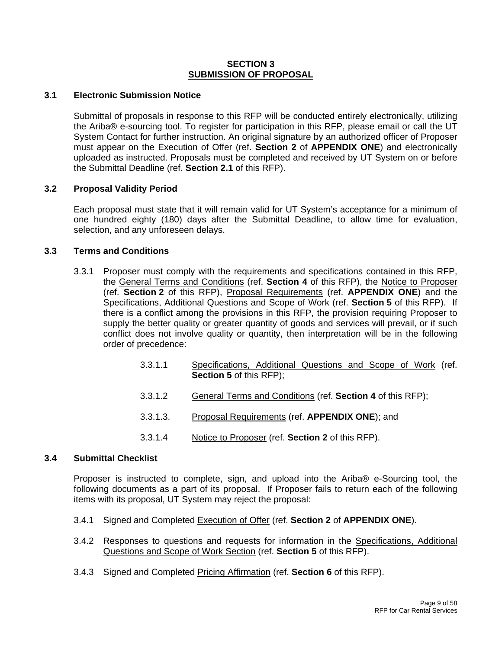### **SECTION 3 SUBMISSION OF PROPOSAL**

# **3.1 Electronic Submission Notice**

Submittal of proposals in response to this RFP will be conducted entirely electronically, utilizing the Ariba® e-sourcing tool. To register for participation in this RFP, please email or call the UT System Contact for further instruction. An original signature by an authorized officer of Proposer must appear on the Execution of Offer (ref. **Section 2** of **APPENDIX ONE**) and electronically uploaded as instructed. Proposals must be completed and received by UT System on or before the Submittal Deadline (ref. **Section 2.1** of this RFP).

# **3.2 Proposal Validity Period**

Each proposal must state that it will remain valid for UT System's acceptance for a minimum of one hundred eighty (180) days after the Submittal Deadline, to allow time for evaluation, selection, and any unforeseen delays.

# **3.3 Terms and Conditions**

- 3.3.1 Proposer must comply with the requirements and specifications contained in this RFP, the General Terms and Conditions (ref. **Section 4** of this RFP), the Notice to Proposer (ref. **Section 2** of this RFP), Proposal Requirements (ref. **APPENDIX ONE**) and the Specifications, Additional Questions and Scope of Work (ref. **Section 5** of this RFP). If there is a conflict among the provisions in this RFP, the provision requiring Proposer to supply the better quality or greater quantity of goods and services will prevail, or if such conflict does not involve quality or quantity, then interpretation will be in the following order of precedence:
	- 3.3.1.1 Specifications, Additional Questions and Scope of Work (ref. **Section 5** of this RFP);
	- 3.3.1.2 General Terms and Conditions (ref. **Section 4** of this RFP);
	- 3.3.1.3. Proposal Requirements (ref. **APPENDIX ONE**); and
	- 3.3.1.4 Notice to Proposer (ref. **Section 2** of this RFP).

### **3.4 Submittal Checklist**

Proposer is instructed to complete, sign, and upload into the Ariba® e-Sourcing tool, the following documents as a part of its proposal. If Proposer fails to return each of the following items with its proposal, UT System may reject the proposal:

- 3.4.1 Signed and Completed Execution of Offer (ref. **Section 2** of **APPENDIX ONE**).
- 3.4.2 Responses to questions and requests for information in the Specifications, Additional Questions and Scope of Work Section (ref. **Section 5** of this RFP).
- 3.4.3 Signed and Completed Pricing Affirmation (ref. **Section 6** of this RFP).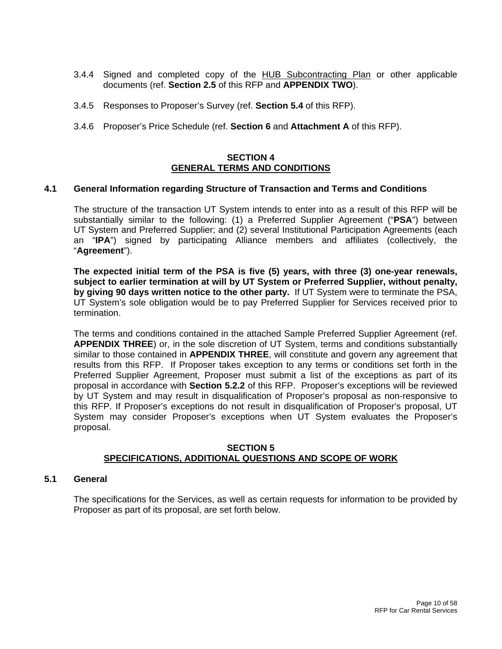- 3.4.4 Signed and completed copy of the HUB Subcontracting Plan or other applicable documents (ref. **Section 2.5** of this RFP and **APPENDIX TWO**).
- 3.4.5 Responses to Proposer's Survey (ref. **Section 5.4** of this RFP).
- 3.4.6 Proposer's Price Schedule (ref. **Section 6** and **Attachment A** of this RFP).

### **SECTION 4 GENERAL TERMS AND CONDITIONS**

### **4.1 General Information regarding Structure of Transaction and Terms and Conditions**

The structure of the transaction UT System intends to enter into as a result of this RFP will be substantially similar to the following: (1) a Preferred Supplier Agreement ("**PSA**") between UT System and Preferred Supplier; and (2) several Institutional Participation Agreements (each an "**IPA**") signed by participating Alliance members and affiliates (collectively, the "**Agreement**").

**The expected initial term of the PSA is five (5) years, with three (3) one-year renewals, subject to earlier termination at will by UT System or Preferred Supplier, without penalty, by giving 90 days written notice to the other party.** If UT System were to terminate the PSA, UT System's sole obligation would be to pay Preferred Supplier for Services received prior to termination.

The terms and conditions contained in the attached Sample Preferred Supplier Agreement (ref. **APPENDIX THREE**) or, in the sole discretion of UT System, terms and conditions substantially similar to those contained in **APPENDIX THREE**, will constitute and govern any agreement that results from this RFP. If Proposer takes exception to any terms or conditions set forth in the Preferred Supplier Agreement, Proposer must submit a list of the exceptions as part of its proposal in accordance with **Section 5.2.2** of this RFP. Proposer's exceptions will be reviewed by UT System and may result in disqualification of Proposer's proposal as non-responsive to this RFP. If Proposer's exceptions do not result in disqualification of Proposer's proposal, UT System may consider Proposer's exceptions when UT System evaluates the Proposer's proposal.

### **SECTION 5 SPECIFICATIONS, ADDITIONAL QUESTIONS AND SCOPE OF WORK**

### **5.1 General**

The specifications for the Services, as well as certain requests for information to be provided by Proposer as part of its proposal, are set forth below.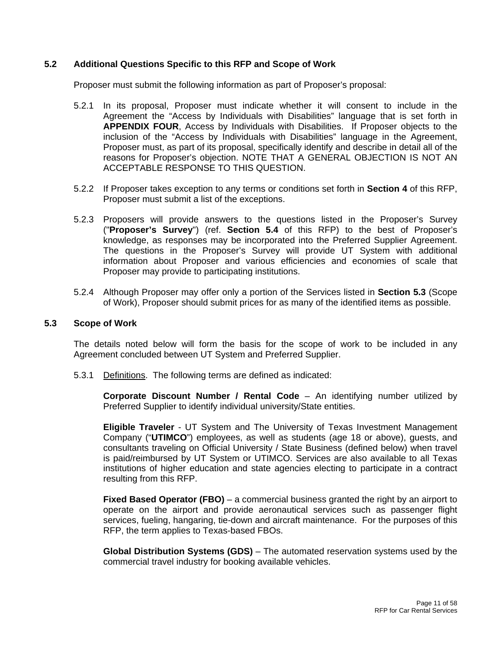# **5.2 Additional Questions Specific to this RFP and Scope of Work**

Proposer must submit the following information as part of Proposer's proposal:

- 5.2.1 In its proposal, Proposer must indicate whether it will consent to include in the Agreement the "Access by Individuals with Disabilities" language that is set forth in **APPENDIX FOUR**, Access by Individuals with Disabilities. If Proposer objects to the inclusion of the "Access by Individuals with Disabilities" language in the Agreement, Proposer must, as part of its proposal, specifically identify and describe in detail all of the reasons for Proposer's objection. NOTE THAT A GENERAL OBJECTION IS NOT AN ACCEPTABLE RESPONSE TO THIS QUESTION.
- 5.2.2 If Proposer takes exception to any terms or conditions set forth in **Section 4** of this RFP, Proposer must submit a list of the exceptions.
- 5.2.3 Proposers will provide answers to the questions listed in the Proposer's Survey ("**Proposer's Survey**") (ref. **Section 5.4** of this RFP) to the best of Proposer's knowledge, as responses may be incorporated into the Preferred Supplier Agreement. The questions in the Proposer's Survey will provide UT System with additional information about Proposer and various efficiencies and economies of scale that Proposer may provide to participating institutions.
- 5.2.4 Although Proposer may offer only a portion of the Services listed in **Section 5.3** (Scope of Work), Proposer should submit prices for as many of the identified items as possible.

#### **5.3 Scope of Work**

The details noted below will form the basis for the scope of work to be included in any Agreement concluded between UT System and Preferred Supplier.

5.3.1 Definitions. The following terms are defined as indicated:

**Corporate Discount Number / Rental Code** – An identifying number utilized by Preferred Supplier to identify individual university/State entities.

**Eligible Traveler** - UT System and The University of Texas Investment Management Company ("**UTIMCO**") employees, as well as students (age 18 or above), guests, and consultants traveling on Official University / State Business (defined below) when travel is paid/reimbursed by UT System or UTIMCO. Services are also available to all Texas institutions of higher education and state agencies electing to participate in a contract resulting from this RFP.

**Fixed Based Operator (FBO)** – a commercial business granted the right by an airport to operate on the airport and provide aeronautical services such as passenger flight services, fueling, hangaring, tie-down and aircraft maintenance. For the purposes of this RFP, the term applies to Texas-based FBOs.

**Global Distribution Systems (GDS)** – The automated reservation systems used by the commercial travel industry for booking available vehicles.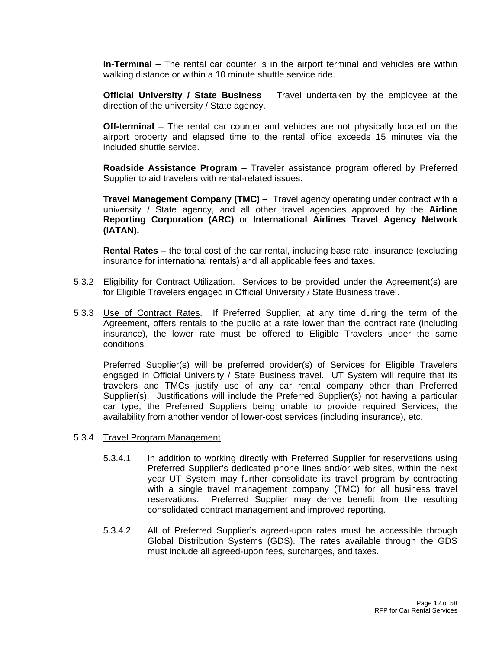**In-Terminal** – The rental car counter is in the airport terminal and vehicles are within walking distance or within a 10 minute shuttle service ride.

**Official University / State Business** – Travel undertaken by the employee at the direction of the university / State agency.

**Off-terminal** – The rental car counter and vehicles are not physically located on the airport property and elapsed time to the rental office exceeds 15 minutes via the included shuttle service.

**Roadside Assistance Program** – Traveler assistance program offered by Preferred Supplier to aid travelers with rental-related issues.

**Travel Management Company (TMC)** – Travel agency operating under contract with a university / State agency, and all other travel agencies approved by the **Airline Reporting Corporation (ARC)** or **International Airlines Travel Agency Network (IATAN).**

**Rental Rates** – the total cost of the car rental, including base rate, insurance (excluding insurance for international rentals) and all applicable fees and taxes.

- 5.3.2 Eligibility for Contract Utilization. Services to be provided under the Agreement(s) are for Eligible Travelers engaged in Official University / State Business travel.
- 5.3.3 Use of Contract Rates. If Preferred Supplier, at any time during the term of the Agreement, offers rentals to the public at a rate lower than the contract rate (including insurance), the lower rate must be offered to Eligible Travelers under the same conditions.

Preferred Supplier(s) will be preferred provider(s) of Services for Eligible Travelers engaged in Official University / State Business travel. UT System will require that its travelers and TMCs justify use of any car rental company other than Preferred Supplier(s). Justifications will include the Preferred Supplier(s) not having a particular car type, the Preferred Suppliers being unable to provide required Services, the availability from another vendor of lower-cost services (including insurance), etc.

- 5.3.4 Travel Program Management
	- 5.3.4.1 In addition to working directly with Preferred Supplier for reservations using Preferred Supplier's dedicated phone lines and/or web sites, within the next year UT System may further consolidate its travel program by contracting with a single travel management company (TMC) for all business travel reservations. Preferred Supplier may derive benefit from the resulting consolidated contract management and improved reporting.
	- 5.3.4.2 All of Preferred Supplier's agreed-upon rates must be accessible through Global Distribution Systems (GDS). The rates available through the GDS must include all agreed-upon fees, surcharges, and taxes.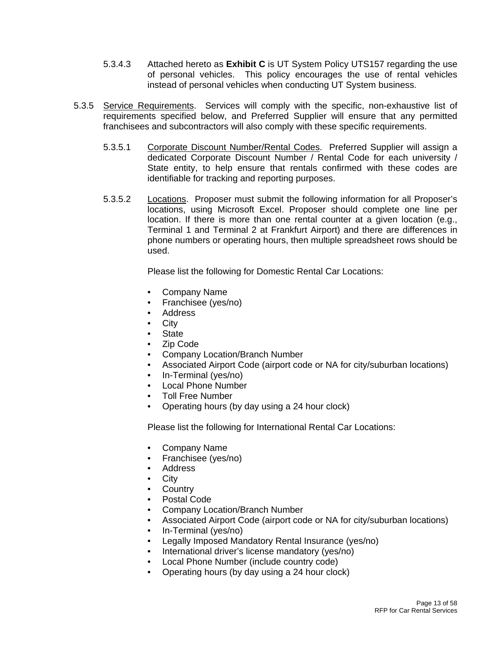- 5.3.4.3 Attached hereto as **Exhibit C** is UT System Policy UTS157 regarding the use of personal vehicles. This policy encourages the use of rental vehicles instead of personal vehicles when conducting UT System business.
- 5.3.5 Service Requirements. Services will comply with the specific, non-exhaustive list of requirements specified below, and Preferred Supplier will ensure that any permitted franchisees and subcontractors will also comply with these specific requirements.
	- 5.3.5.1 Corporate Discount Number/Rental Codes. Preferred Supplier will assign a dedicated Corporate Discount Number / Rental Code for each university / State entity, to help ensure that rentals confirmed with these codes are identifiable for tracking and reporting purposes.
	- 5.3.5.2 Locations. Proposer must submit the following information for all Proposer's locations, using Microsoft Excel. Proposer should complete one line per location. If there is more than one rental counter at a given location (e.g., Terminal 1 and Terminal 2 at Frankfurt Airport) and there are differences in phone numbers or operating hours, then multiple spreadsheet rows should be used.

Please list the following for Domestic Rental Car Locations:

- Company Name
- Franchisee (yes/no)
- Address
- City
- **State**
- Zip Code
- Company Location/Branch Number
- Associated Airport Code (airport code or NA for city/suburban locations)
- In-Terminal (yes/no)
- Local Phone Number
- Toll Free Number
- Operating hours (by day using a 24 hour clock)

Please list the following for International Rental Car Locations:

- Company Name
- Franchisee (yes/no)
- **Address**
- **City**
- **Country**
- Postal Code
- Company Location/Branch Number
- Associated Airport Code (airport code or NA for city/suburban locations)
- In-Terminal (yes/no)
- Legally Imposed Mandatory Rental Insurance (yes/no)
- International driver's license mandatory (yes/no)
- Local Phone Number (include country code)
- Operating hours (by day using a 24 hour clock)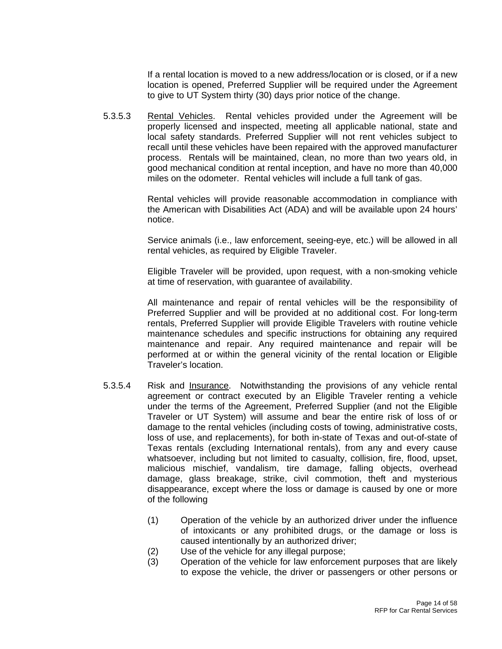If a rental location is moved to a new address/location or is closed, or if a new location is opened, Preferred Supplier will be required under the Agreement to give to UT System thirty (30) days prior notice of the change.

5.3.5.3 Rental Vehicles. Rental vehicles provided under the Agreement will be properly licensed and inspected, meeting all applicable national, state and local safety standards. Preferred Supplier will not rent vehicles subject to recall until these vehicles have been repaired with the approved manufacturer process. Rentals will be maintained, clean, no more than two years old, in good mechanical condition at rental inception, and have no more than 40,000 miles on the odometer. Rental vehicles will include a full tank of gas.

> Rental vehicles will provide reasonable accommodation in compliance with the American with Disabilities Act (ADA) and will be available upon 24 hours' notice.

> Service animals (i.e., law enforcement, seeing-eye, etc.) will be allowed in all rental vehicles, as required by Eligible Traveler.

> Eligible Traveler will be provided, upon request, with a non-smoking vehicle at time of reservation, with guarantee of availability.

> All maintenance and repair of rental vehicles will be the responsibility of Preferred Supplier and will be provided at no additional cost. For long-term rentals, Preferred Supplier will provide Eligible Travelers with routine vehicle maintenance schedules and specific instructions for obtaining any required maintenance and repair. Any required maintenance and repair will be performed at or within the general vicinity of the rental location or Eligible Traveler's location.

- 5.3.5.4 Risk and Insurance. Notwithstanding the provisions of any vehicle rental agreement or contract executed by an Eligible Traveler renting a vehicle under the terms of the Agreement, Preferred Supplier (and not the Eligible Traveler or UT System) will assume and bear the entire risk of loss of or damage to the rental vehicles (including costs of towing, administrative costs, loss of use, and replacements), for both in-state of Texas and out-of-state of Texas rentals (excluding International rentals), from any and every cause whatsoever, including but not limited to casualty, collision, fire, flood, upset, malicious mischief, vandalism, tire damage, falling objects, overhead damage, glass breakage, strike, civil commotion, theft and mysterious disappearance, except where the loss or damage is caused by one or more of the following
	- (1) Operation of the vehicle by an authorized driver under the influence of intoxicants or any prohibited drugs, or the damage or loss is caused intentionally by an authorized driver;
	- (2) Use of the vehicle for any illegal purpose;
	- (3) Operation of the vehicle for law enforcement purposes that are likely to expose the vehicle, the driver or passengers or other persons or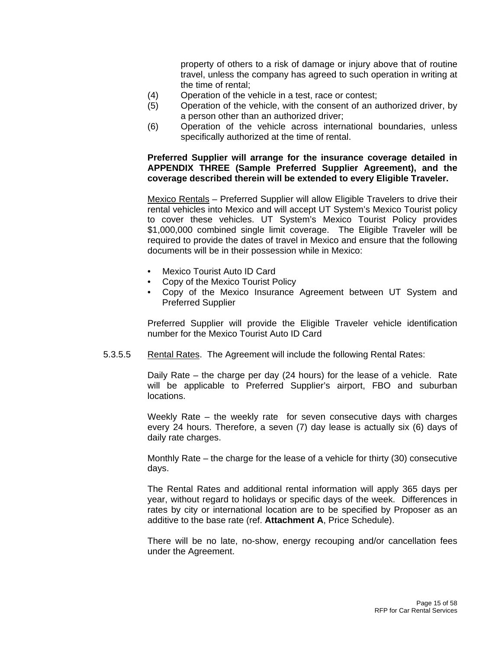property of others to a risk of damage or injury above that of routine travel, unless the company has agreed to such operation in writing at the time of rental;

- (4) Operation of the vehicle in a test, race or contest;
- (5) Operation of the vehicle, with the consent of an authorized driver, by a person other than an authorized driver;
- (6) Operation of the vehicle across international boundaries, unless specifically authorized at the time of rental.

# **Preferred Supplier will arrange for the insurance coverage detailed in APPENDIX THREE (Sample Preferred Supplier Agreement), and the coverage described therein will be extended to every Eligible Traveler.**

Mexico Rentals – Preferred Supplier will allow Eligible Travelers to drive their rental vehicles into Mexico and will accept UT System's Mexico Tourist policy to cover these vehicles. UT System's Mexico Tourist Policy provides \$1,000,000 combined single limit coverage. The Eligible Traveler will be required to provide the dates of travel in Mexico and ensure that the following documents will be in their possession while in Mexico:

- Mexico Tourist Auto ID Card
- Copy of the Mexico Tourist Policy
- Copy of the Mexico Insurance Agreement between UT System and Preferred Supplier

Preferred Supplier will provide the Eligible Traveler vehicle identification number for the Mexico Tourist Auto ID Card

5.3.5.5 Rental Rates. The Agreement will include the following Rental Rates:

Daily Rate – the charge per day (24 hours) for the lease of a vehicle. Rate will be applicable to Preferred Supplier's airport, FBO and suburban locations.

Weekly Rate – the weekly rate for seven consecutive days with charges every 24 hours. Therefore, a seven (7) day lease is actually six (6) days of daily rate charges.

Monthly Rate – the charge for the lease of a vehicle for thirty (30) consecutive days.

The Rental Rates and additional rental information will apply 365 days per year, without regard to holidays or specific days of the week. Differences in rates by city or international location are to be specified by Proposer as an additive to the base rate (ref. **Attachment A**, Price Schedule).

There will be no late, no-show, energy recouping and/or cancellation fees under the Agreement.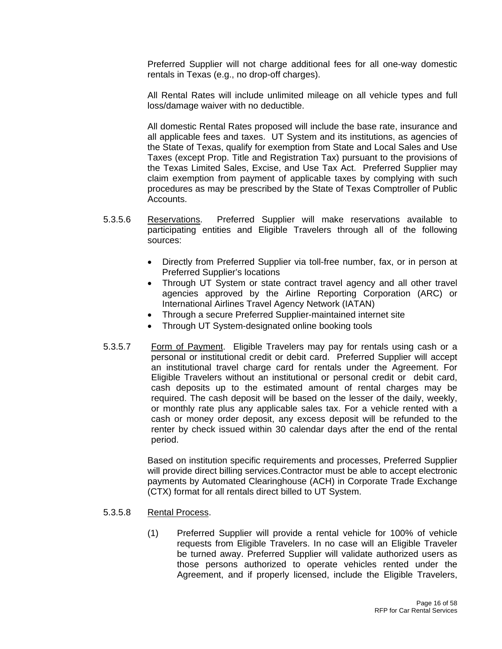Preferred Supplier will not charge additional fees for all one-way domestic rentals in Texas (e.g., no drop-off charges).

All Rental Rates will include unlimited mileage on all vehicle types and full loss/damage waiver with no deductible.

All domestic Rental Rates proposed will include the base rate, insurance and all applicable fees and taxes. UT System and its institutions, as agencies of the State of Texas, qualify for exemption from State and Local Sales and Use Taxes (except Prop. Title and Registration Tax) pursuant to the provisions of the Texas Limited Sales, Excise, and Use Tax Act. Preferred Supplier may claim exemption from payment of applicable taxes by complying with such procedures as may be prescribed by the State of Texas Comptroller of Public Accounts.

- 5.3.5.6 Reservations. Preferred Supplier will make reservations available to participating entities and Eligible Travelers through all of the following sources:
	- Directly from Preferred Supplier via toll-free number, fax, or in person at Preferred Supplier's locations
	- Through UT System or state contract travel agency and all other travel agencies approved by the Airline Reporting Corporation (ARC) or International Airlines Travel Agency Network (IATAN)
	- Through a secure Preferred Supplier-maintained internet site
	- Through UT System-designated online booking tools
- 5.3.5.7 Form of Payment. Eligible Travelers may pay for rentals using cash or a personal or institutional credit or debit card. Preferred Supplier will accept an institutional travel charge card for rentals under the Agreement. For Eligible Travelers without an institutional or personal credit or debit card, cash deposits up to the estimated amount of rental charges may be required. The cash deposit will be based on the lesser of the daily, weekly, or monthly rate plus any applicable sales tax. For a vehicle rented with a cash or money order deposit, any excess deposit will be refunded to the renter by check issued within 30 calendar days after the end of the rental period.

Based on institution specific requirements and processes, Preferred Supplier will provide direct billing services.Contractor must be able to accept electronic payments by Automated Clearinghouse (ACH) in Corporate Trade Exchange (CTX) format for all rentals direct billed to UT System.

### 5.3.5.8 Rental Process.

(1) Preferred Supplier will provide a rental vehicle for 100% of vehicle requests from Eligible Travelers. In no case will an Eligible Traveler be turned away. Preferred Supplier will validate authorized users as those persons authorized to operate vehicles rented under the Agreement, and if properly licensed, include the Eligible Travelers,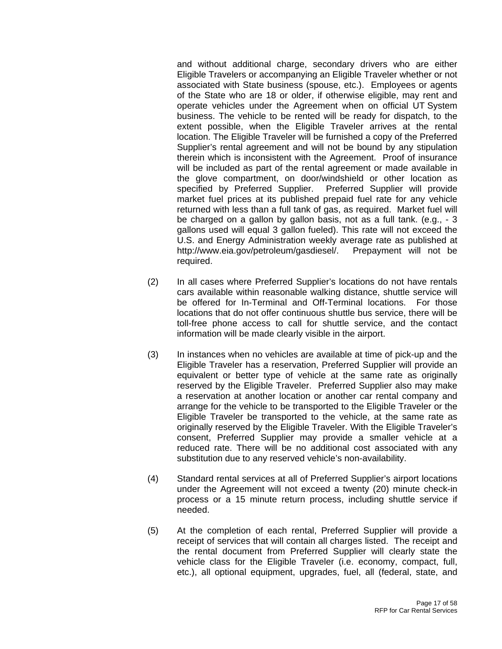and without additional charge, secondary drivers who are either Eligible Travelers or accompanying an Eligible Traveler whether or not associated with State business (spouse, etc.). Employees or agents of the State who are 18 or older, if otherwise eligible, may rent and operate vehicles under the Agreement when on official UT System business. The vehicle to be rented will be ready for dispatch, to the extent possible, when the Eligible Traveler arrives at the rental location. The Eligible Traveler will be furnished a copy of the Preferred Supplier's rental agreement and will not be bound by any stipulation therein which is inconsistent with the Agreement. Proof of insurance will be included as part of the rental agreement or made available in the glove compartment, on door/windshield or other location as specified by Preferred Supplier. Preferred Supplier will provide market fuel prices at its published prepaid fuel rate for any vehicle returned with less than a full tank of gas, as required. Market fuel will be charged on a gallon by gallon basis, not as a full tank. (e.g., - 3 gallons used will equal 3 gallon fueled). This rate will not exceed the U.S. and Energy Administration weekly average rate as published at http://www.eia.gov/petroleum/gasdiesel/. Prepayment will not be required.

- (2) In all cases where Preferred Supplier's locations do not have rentals cars available within reasonable walking distance, shuttle service will be offered for In-Terminal and Off-Terminal locations. For those locations that do not offer continuous shuttle bus service, there will be toll-free phone access to call for shuttle service, and the contact information will be made clearly visible in the airport.
- (3) In instances when no vehicles are available at time of pick-up and the Eligible Traveler has a reservation, Preferred Supplier will provide an equivalent or better type of vehicle at the same rate as originally reserved by the Eligible Traveler. Preferred Supplier also may make a reservation at another location or another car rental company and arrange for the vehicle to be transported to the Eligible Traveler or the Eligible Traveler be transported to the vehicle, at the same rate as originally reserved by the Eligible Traveler. With the Eligible Traveler's consent, Preferred Supplier may provide a smaller vehicle at a reduced rate. There will be no additional cost associated with any substitution due to any reserved vehicle's non-availability.
- (4) Standard rental services at all of Preferred Supplier's airport locations under the Agreement will not exceed a twenty (20) minute check-in process or a 15 minute return process, including shuttle service if needed.
- (5) At the completion of each rental, Preferred Supplier will provide a receipt of services that will contain all charges listed. The receipt and the rental document from Preferred Supplier will clearly state the vehicle class for the Eligible Traveler (i.e. economy, compact, full, etc.), all optional equipment, upgrades, fuel, all (federal, state, and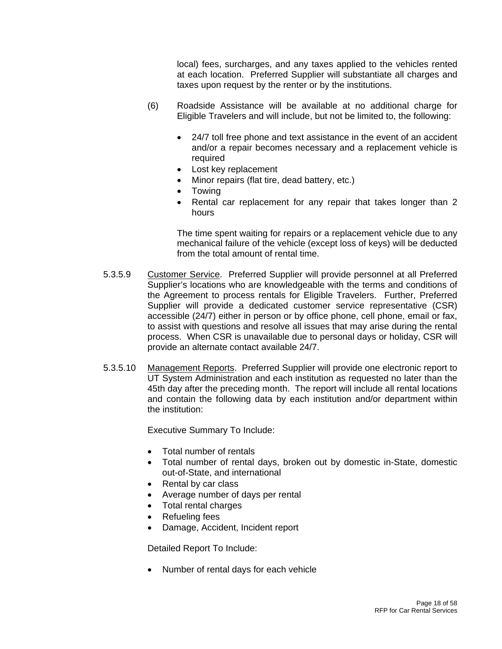local) fees, surcharges, and any taxes applied to the vehicles rented at each location. Preferred Supplier will substantiate all charges and taxes upon request by the renter or by the institutions.

- (6) Roadside Assistance will be available at no additional charge for Eligible Travelers and will include, but not be limited to, the following:
	- 24/7 toll free phone and text assistance in the event of an accident and/or a repair becomes necessary and a replacement vehicle is required
	- Lost key replacement
	- Minor repairs (flat tire, dead battery, etc.)
	- Towing
	- Rental car replacement for any repair that takes longer than 2 hours

The time spent waiting for repairs or a replacement vehicle due to any mechanical failure of the vehicle (except loss of keys) will be deducted from the total amount of rental time.

- 5.3.5.9 Customer Service. Preferred Supplier will provide personnel at all Preferred Supplier's locations who are knowledgeable with the terms and conditions of the Agreement to process rentals for Eligible Travelers. Further, Preferred Supplier will provide a dedicated customer service representative (CSR) accessible (24/7) either in person or by office phone, cell phone, email or fax, to assist with questions and resolve all issues that may arise during the rental process. When CSR is unavailable due to personal days or holiday, CSR will provide an alternate contact available 24/7.
- 5.3.5.10 Management Reports. Preferred Supplier will provide one electronic report to UT System Administration and each institution as requested no later than the 45th day after the preceding month. The report will include all rental locations and contain the following data by each institution and/or department within the institution:

Executive Summary To Include:

- Total number of rentals
- Total number of rental days, broken out by domestic in-State, domestic out-of-State, and international
- Rental by car class
- Average number of days per rental
- Total rental charges
- Refueling fees
- Damage, Accident, Incident report

Detailed Report To Include:

• Number of rental days for each vehicle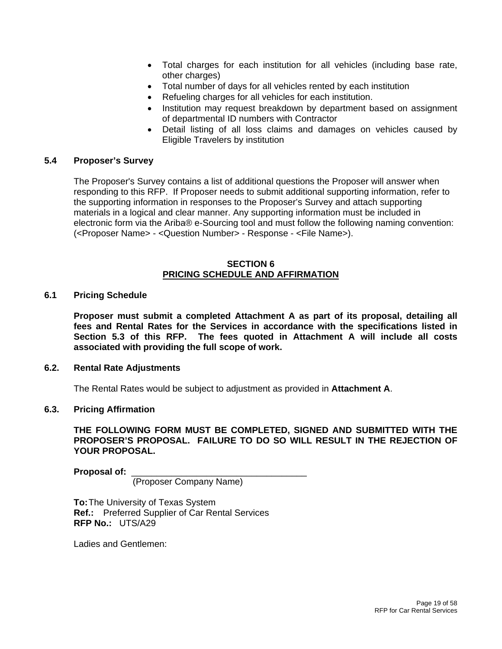- Total charges for each institution for all vehicles (including base rate, other charges)
- Total number of days for all vehicles rented by each institution
- Refueling charges for all vehicles for each institution.
- Institution may request breakdown by department based on assignment of departmental ID numbers with Contractor
- Detail listing of all loss claims and damages on vehicles caused by Eligible Travelers by institution

### **5.4 Proposer's Survey**

The Proposer's Survey contains a list of additional questions the Proposer will answer when responding to this RFP. If Proposer needs to submit additional supporting information, refer to the supporting information in responses to the Proposer's Survey and attach supporting materials in a logical and clear manner. Any supporting information must be included in electronic form via the Ariba® e-Sourcing tool and must follow the following naming convention: (<Proposer Name> - <Question Number> - Response - <File Name>).

### **SECTION 6 PRICING SCHEDULE AND AFFIRMATION**

#### **6.1 Pricing Schedule**

**Proposer must submit a completed Attachment A as part of its proposal, detailing all fees and Rental Rates for the Services in accordance with the specifications listed in Section 5.3 of this RFP. The fees quoted in Attachment A will include all costs associated with providing the full scope of work.** 

#### **6.2. Rental Rate Adjustments**

The Rental Rates would be subject to adjustment as provided in **Attachment A**.

#### **6.3. Pricing Affirmation**

**THE FOLLOWING FORM MUST BE COMPLETED, SIGNED AND SUBMITTED WITH THE PROPOSER'S PROPOSAL. FAILURE TO DO SO WILL RESULT IN THE REJECTION OF YOUR PROPOSAL.** 

**Proposal of:** \_\_\_\_\_\_\_\_\_\_\_\_\_\_\_\_\_\_\_\_\_\_\_\_\_\_\_\_\_\_\_\_\_\_\_

(Proposer Company Name)

**To:** The University of Texas System  **Ref.:** Preferred Supplier of Car Rental Services **RFP No.:** UTS/A29

Ladies and Gentlemen: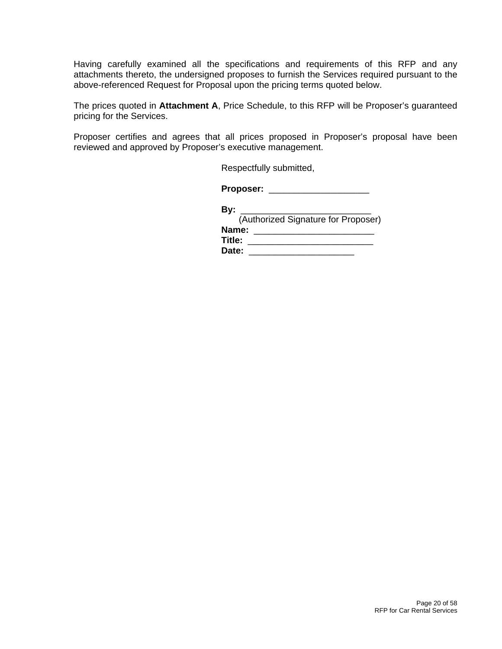Having carefully examined all the specifications and requirements of this RFP and any attachments thereto, the undersigned proposes to furnish the Services required pursuant to the above-referenced Request for Proposal upon the pricing terms quoted below.

The prices quoted in **Attachment A**, Price Schedule, to this RFP will be Proposer's guaranteed pricing for the Services.

Proposer certifies and agrees that all prices proposed in Proposer's proposal have been reviewed and approved by Proposer's executive management.

Respectfully submitted,

**Proposer:** \_\_\_\_\_\_\_\_\_\_\_\_\_\_\_\_\_\_\_\_

| Bv:    |                                     |
|--------|-------------------------------------|
|        | (Authorized Signature for Proposer) |
| Name:  |                                     |
| Title: |                                     |
| Date:  |                                     |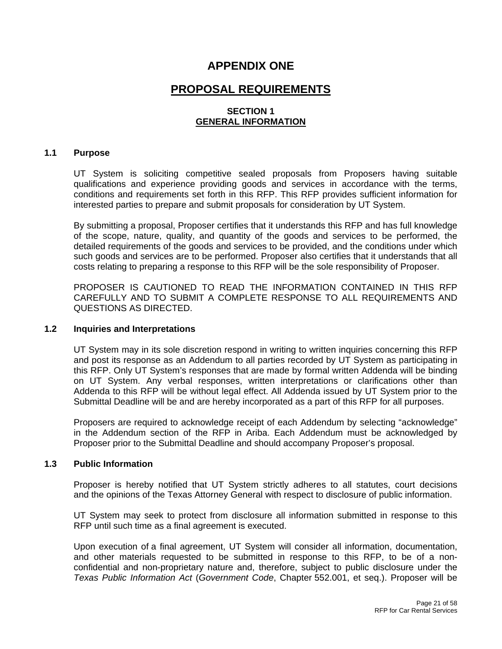# **APPENDIX ONE**

# **PROPOSAL REQUIREMENTS**

# **SECTION 1 GENERAL INFORMATION**

### **1.1 Purpose**

UT System is soliciting competitive sealed proposals from Proposers having suitable qualifications and experience providing goods and services in accordance with the terms, conditions and requirements set forth in this RFP. This RFP provides sufficient information for interested parties to prepare and submit proposals for consideration by UT System.

By submitting a proposal, Proposer certifies that it understands this RFP and has full knowledge of the scope, nature, quality, and quantity of the goods and services to be performed, the detailed requirements of the goods and services to be provided, and the conditions under which such goods and services are to be performed. Proposer also certifies that it understands that all costs relating to preparing a response to this RFP will be the sole responsibility of Proposer.

PROPOSER IS CAUTIONED TO READ THE INFORMATION CONTAINED IN THIS RFP CAREFULLY AND TO SUBMIT A COMPLETE RESPONSE TO ALL REQUIREMENTS AND QUESTIONS AS DIRECTED.

#### **1.2 Inquiries and Interpretations**

UT System may in its sole discretion respond in writing to written inquiries concerning this RFP and post its response as an Addendum to all parties recorded by UT System as participating in this RFP. Only UT System's responses that are made by formal written Addenda will be binding on UT System. Any verbal responses, written interpretations or clarifications other than Addenda to this RFP will be without legal effect. All Addenda issued by UT System prior to the Submittal Deadline will be and are hereby incorporated as a part of this RFP for all purposes.

Proposers are required to acknowledge receipt of each Addendum by selecting "acknowledge" in the Addendum section of the RFP in Ariba. Each Addendum must be acknowledged by Proposer prior to the Submittal Deadline and should accompany Proposer's proposal.

### **1.3 Public Information**

Proposer is hereby notified that UT System strictly adheres to all statutes, court decisions and the opinions of the Texas Attorney General with respect to disclosure of public information.

UT System may seek to protect from disclosure all information submitted in response to this RFP until such time as a final agreement is executed.

Upon execution of a final agreement, UT System will consider all information, documentation, and other materials requested to be submitted in response to this RFP, to be of a nonconfidential and non-proprietary nature and, therefore, subject to public disclosure under the *Texas Public Information Act* (*Government Code*, Chapter 552.001, et seq.). Proposer will be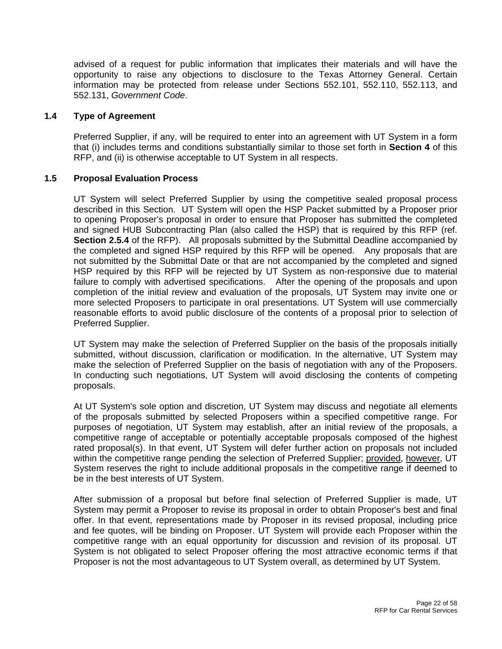advised of a request for public information that implicates their materials and will have the opportunity to raise any objections to disclosure to the Texas Attorney General. Certain information may be protected from release under Sections 552.101, 552.110, 552.113, and 552.131, *Government Code*.

### **1.4 Type of Agreement**

Preferred Supplier, if any, will be required to enter into an agreement with UT System in a form that (i) includes terms and conditions substantially similar to those set forth in **Section 4** of this RFP, and (ii) is otherwise acceptable to UT System in all respects.

# **1.5 Proposal Evaluation Process**

UT System will select Preferred Supplier by using the competitive sealed proposal process described in this Section. UT System will open the HSP Packet submitted by a Proposer prior to opening Proposer's proposal in order to ensure that Proposer has submitted the completed and signed HUB Subcontracting Plan (also called the HSP) that is required by this RFP (ref. **Section 2.5.4** of the RFP). All proposals submitted by the Submittal Deadline accompanied by the completed and signed HSP required by this RFP will be opened. Any proposals that are not submitted by the Submittal Date or that are not accompanied by the completed and signed HSP required by this RFP will be rejected by UT System as non-responsive due to material failure to comply with advertised specifications. After the opening of the proposals and upon completion of the initial review and evaluation of the proposals, UT System may invite one or more selected Proposers to participate in oral presentations. UT System will use commercially reasonable efforts to avoid public disclosure of the contents of a proposal prior to selection of Preferred Supplier.

UT System may make the selection of Preferred Supplier on the basis of the proposals initially submitted, without discussion, clarification or modification. In the alternative, UT System may make the selection of Preferred Supplier on the basis of negotiation with any of the Proposers. In conducting such negotiations, UT System will avoid disclosing the contents of competing proposals.

At UT System's sole option and discretion, UT System may discuss and negotiate all elements of the proposals submitted by selected Proposers within a specified competitive range. For purposes of negotiation, UT System may establish, after an initial review of the proposals, a competitive range of acceptable or potentially acceptable proposals composed of the highest rated proposal(s). In that event, UT System will defer further action on proposals not included within the competitive range pending the selection of Preferred Supplier; provided, however, UT System reserves the right to include additional proposals in the competitive range if deemed to be in the best interests of UT System.

After submission of a proposal but before final selection of Preferred Supplier is made, UT System may permit a Proposer to revise its proposal in order to obtain Proposer's best and final offer. In that event, representations made by Proposer in its revised proposal, including price and fee quotes, will be binding on Proposer. UT System will provide each Proposer within the competitive range with an equal opportunity for discussion and revision of its proposal. UT System is not obligated to select Proposer offering the most attractive economic terms if that Proposer is not the most advantageous to UT System overall, as determined by UT System.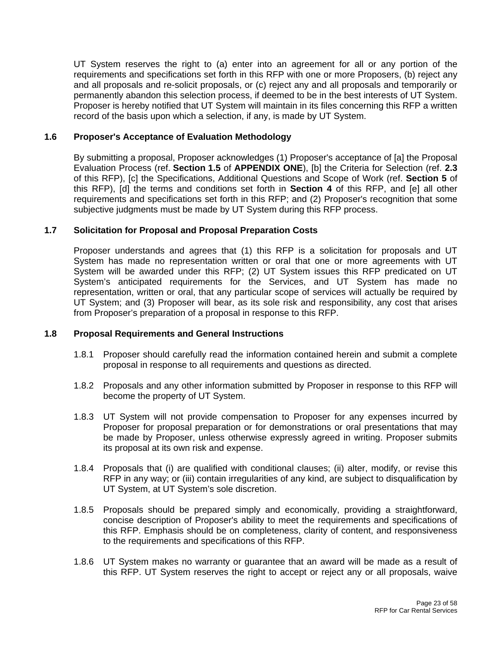UT System reserves the right to (a) enter into an agreement for all or any portion of the requirements and specifications set forth in this RFP with one or more Proposers, (b) reject any and all proposals and re-solicit proposals, or (c) reject any and all proposals and temporarily or permanently abandon this selection process, if deemed to be in the best interests of UT System. Proposer is hereby notified that UT System will maintain in its files concerning this RFP a written record of the basis upon which a selection, if any, is made by UT System.

# **1.6 Proposer's Acceptance of Evaluation Methodology**

By submitting a proposal, Proposer acknowledges (1) Proposer's acceptance of [a] the Proposal Evaluation Process (ref. **Section 1.5** of **APPENDIX ONE**), [b] the Criteria for Selection (ref. **2.3**  of this RFP), [c] the Specifications, Additional Questions and Scope of Work (ref. **Section 5** of this RFP), [d] the terms and conditions set forth in **Section 4** of this RFP, and [e] all other requirements and specifications set forth in this RFP; and (2) Proposer's recognition that some subjective judgments must be made by UT System during this RFP process.

# **1.7 Solicitation for Proposal and Proposal Preparation Costs**

Proposer understands and agrees that (1) this RFP is a solicitation for proposals and UT System has made no representation written or oral that one or more agreements with UT System will be awarded under this RFP; (2) UT System issues this RFP predicated on UT System's anticipated requirements for the Services, and UT System has made no representation, written or oral, that any particular scope of services will actually be required by UT System; and (3) Proposer will bear, as its sole risk and responsibility, any cost that arises from Proposer's preparation of a proposal in response to this RFP.

### **1.8 Proposal Requirements and General Instructions**

- 1.8.1 Proposer should carefully read the information contained herein and submit a complete proposal in response to all requirements and questions as directed.
- 1.8.2 Proposals and any other information submitted by Proposer in response to this RFP will become the property of UT System.
- 1.8.3 UT System will not provide compensation to Proposer for any expenses incurred by Proposer for proposal preparation or for demonstrations or oral presentations that may be made by Proposer, unless otherwise expressly agreed in writing. Proposer submits its proposal at its own risk and expense.
- 1.8.4 Proposals that (i) are qualified with conditional clauses; (ii) alter, modify, or revise this RFP in any way; or (iii) contain irregularities of any kind, are subject to disqualification by UT System, at UT System's sole discretion.
- 1.8.5 Proposals should be prepared simply and economically, providing a straightforward, concise description of Proposer's ability to meet the requirements and specifications of this RFP. Emphasis should be on completeness, clarity of content, and responsiveness to the requirements and specifications of this RFP.
- 1.8.6 UT System makes no warranty or guarantee that an award will be made as a result of this RFP. UT System reserves the right to accept or reject any or all proposals, waive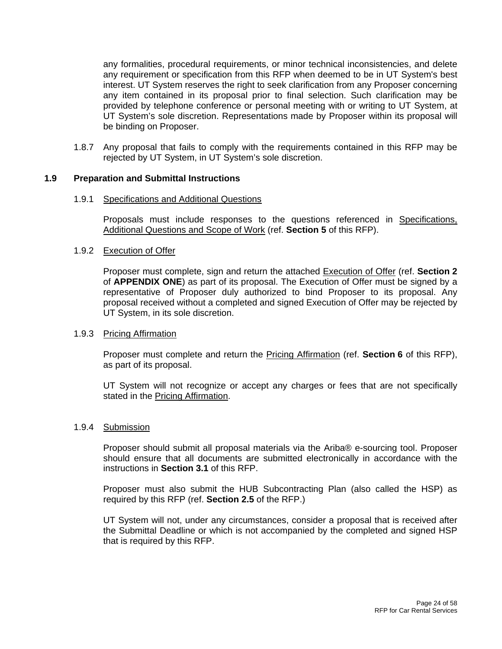any formalities, procedural requirements, or minor technical inconsistencies, and delete any requirement or specification from this RFP when deemed to be in UT System's best interest. UT System reserves the right to seek clarification from any Proposer concerning any item contained in its proposal prior to final selection. Such clarification may be provided by telephone conference or personal meeting with or writing to UT System, at UT System's sole discretion. Representations made by Proposer within its proposal will be binding on Proposer.

1.8.7 Any proposal that fails to comply with the requirements contained in this RFP may be rejected by UT System, in UT System's sole discretion.

### **1.9 Preparation and Submittal Instructions**

#### 1.9.1 Specifications and Additional Questions

Proposals must include responses to the questions referenced in Specifications, Additional Questions and Scope of Work (ref. **Section 5** of this RFP).

## 1.9.2 Execution of Offer

Proposer must complete, sign and return the attached Execution of Offer (ref. **Section 2**  of **APPENDIX ONE**) as part of its proposal. The Execution of Offer must be signed by a representative of Proposer duly authorized to bind Proposer to its proposal. Any proposal received without a completed and signed Execution of Offer may be rejected by UT System, in its sole discretion.

### 1.9.3 Pricing Affirmation

Proposer must complete and return the Pricing Affirmation (ref. **Section 6** of this RFP), as part of its proposal.

UT System will not recognize or accept any charges or fees that are not specifically stated in the Pricing Affirmation.

### 1.9.4 Submission

Proposer should submit all proposal materials via the Ariba® e-sourcing tool. Proposer should ensure that all documents are submitted electronically in accordance with the instructions in **Section 3.1** of this RFP.

Proposer must also submit the HUB Subcontracting Plan (also called the HSP) as required by this RFP (ref. **Section 2.5** of the RFP.)

UT System will not, under any circumstances, consider a proposal that is received after the Submittal Deadline or which is not accompanied by the completed and signed HSP that is required by this RFP.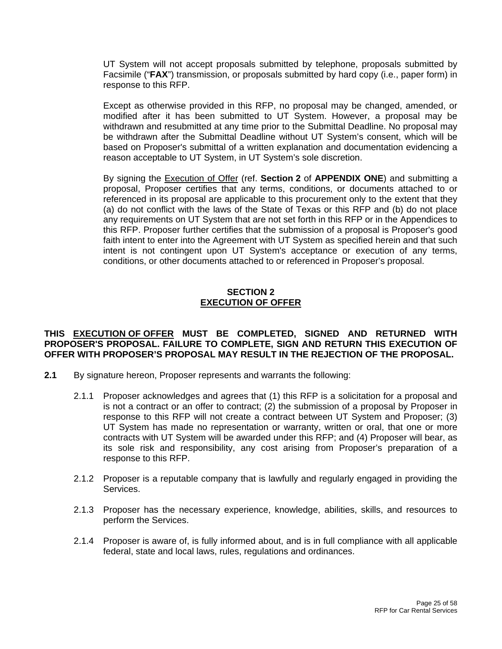UT System will not accept proposals submitted by telephone, proposals submitted by Facsimile ("**FAX**") transmission, or proposals submitted by hard copy (i.e., paper form) in response to this RFP.

Except as otherwise provided in this RFP, no proposal may be changed, amended, or modified after it has been submitted to UT System. However, a proposal may be withdrawn and resubmitted at any time prior to the Submittal Deadline. No proposal may be withdrawn after the Submittal Deadline without UT System's consent, which will be based on Proposer's submittal of a written explanation and documentation evidencing a reason acceptable to UT System, in UT System's sole discretion.

By signing the Execution of Offer (ref. **Section 2** of **APPENDIX ONE**) and submitting a proposal, Proposer certifies that any terms, conditions, or documents attached to or referenced in its proposal are applicable to this procurement only to the extent that they (a) do not conflict with the laws of the State of Texas or this RFP and (b) do not place any requirements on UT System that are not set forth in this RFP or in the Appendices to this RFP. Proposer further certifies that the submission of a proposal is Proposer's good faith intent to enter into the Agreement with UT System as specified herein and that such intent is not contingent upon UT System's acceptance or execution of any terms, conditions, or other documents attached to or referenced in Proposer's proposal.

# **SECTION 2 EXECUTION OF OFFER**

## **THIS EXECUTION OF OFFER MUST BE COMPLETED, SIGNED AND RETURNED WITH PROPOSER'S PROPOSAL. FAILURE TO COMPLETE, SIGN AND RETURN THIS EXECUTION OF OFFER WITH PROPOSER'S PROPOSAL MAY RESULT IN THE REJECTION OF THE PROPOSAL.**

- **2.1** By signature hereon, Proposer represents and warrants the following:
	- 2.1.1 Proposer acknowledges and agrees that (1) this RFP is a solicitation for a proposal and is not a contract or an offer to contract; (2) the submission of a proposal by Proposer in response to this RFP will not create a contract between UT System and Proposer; (3) UT System has made no representation or warranty, written or oral, that one or more contracts with UT System will be awarded under this RFP; and (4) Proposer will bear, as its sole risk and responsibility, any cost arising from Proposer's preparation of a response to this RFP.
	- 2.1.2 Proposer is a reputable company that is lawfully and regularly engaged in providing the Services.
	- 2.1.3 Proposer has the necessary experience, knowledge, abilities, skills, and resources to perform the Services.
	- 2.1.4 Proposer is aware of, is fully informed about, and is in full compliance with all applicable federal, state and local laws, rules, regulations and ordinances.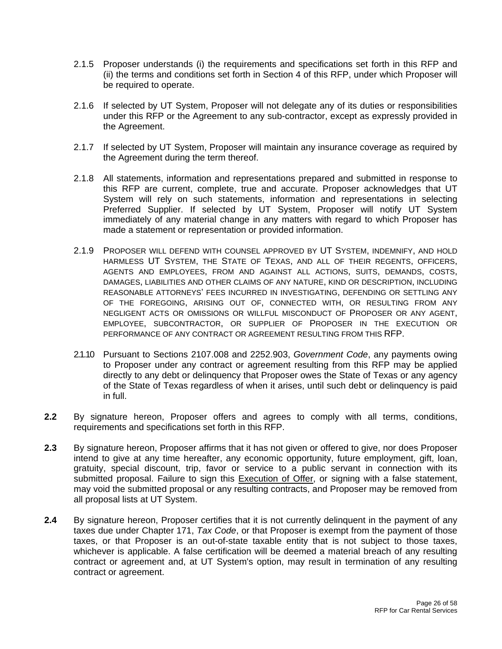- 2.1.5 Proposer understands (i) the requirements and specifications set forth in this RFP and (ii) the terms and conditions set forth in Section 4 of this RFP, under which Proposer will be required to operate.
- 2.1.6 If selected by UT System, Proposer will not delegate any of its duties or responsibilities under this RFP or the Agreement to any sub-contractor, except as expressly provided in the Agreement.
- 2.1.7 If selected by UT System, Proposer will maintain any insurance coverage as required by the Agreement during the term thereof.
- 2.1.8 All statements, information and representations prepared and submitted in response to this RFP are current, complete, true and accurate. Proposer acknowledges that UT System will rely on such statements, information and representations in selecting Preferred Supplier. If selected by UT System, Proposer will notify UT System immediately of any material change in any matters with regard to which Proposer has made a statement or representation or provided information.
- 2.1.9 PROPOSER WILL DEFEND WITH COUNSEL APPROVED BY UT SYSTEM, INDEMNIFY, AND HOLD HARMLESS UT SYSTEM, THE STATE OF TEXAS, AND ALL OF THEIR REGENTS, OFFICERS, AGENTS AND EMPLOYEES, FROM AND AGAINST ALL ACTIONS, SUITS, DEMANDS, COSTS, DAMAGES, LIABILITIES AND OTHER CLAIMS OF ANY NATURE, KIND OR DESCRIPTION, INCLUDING REASONABLE ATTORNEYS' FEES INCURRED IN INVESTIGATING, DEFENDING OR SETTLING ANY OF THE FOREGOING, ARISING OUT OF, CONNECTED WITH, OR RESULTING FROM ANY NEGLIGENT ACTS OR OMISSIONS OR WILLFUL MISCONDUCT OF PROPOSER OR ANY AGENT, EMPLOYEE, SUBCONTRACTOR, OR SUPPLIER OF PROPOSER IN THE EXECUTION OR PERFORMANCE OF ANY CONTRACT OR AGREEMENT RESULTING FROM THIS RFP.
- 2.1.10 Pursuant to Sections 2107.008 and 2252.903, *Government Code*, any payments owing to Proposer under any contract or agreement resulting from this RFP may be applied directly to any debt or delinquency that Proposer owes the State of Texas or any agency of the State of Texas regardless of when it arises, until such debt or delinquency is paid in full.
- **2.2** By signature hereon, Proposer offers and agrees to comply with all terms, conditions, requirements and specifications set forth in this RFP.
- **2.3** By signature hereon, Proposer affirms that it has not given or offered to give, nor does Proposer intend to give at any time hereafter, any economic opportunity, future employment, gift, loan, gratuity, special discount, trip, favor or service to a public servant in connection with its submitted proposal. Failure to sign this Execution of Offer, or signing with a false statement, may void the submitted proposal or any resulting contracts, and Proposer may be removed from all proposal lists at UT System.
- **2.4** By signature hereon, Proposer certifies that it is not currently delinquent in the payment of any taxes due under Chapter 171, *Tax Code*, or that Proposer is exempt from the payment of those taxes, or that Proposer is an out-of-state taxable entity that is not subject to those taxes, whichever is applicable. A false certification will be deemed a material breach of any resulting contract or agreement and, at UT System's option, may result in termination of any resulting contract or agreement.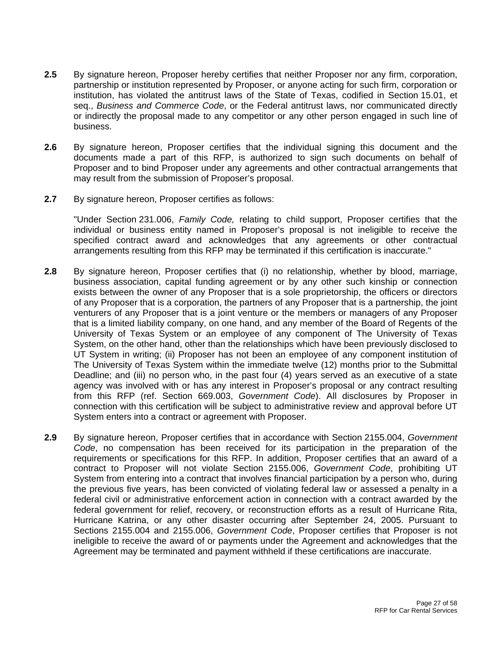- **2.5** By signature hereon, Proposer hereby certifies that neither Proposer nor any firm, corporation, partnership or institution represented by Proposer, or anyone acting for such firm, corporation or institution, has violated the antitrust laws of the State of Texas, codified in Section 15.01, et seq., *Business and Commerce Code*, or the Federal antitrust laws, nor communicated directly or indirectly the proposal made to any competitor or any other person engaged in such line of business.
- **2.6** By signature hereon, Proposer certifies that the individual signing this document and the documents made a part of this RFP, is authorized to sign such documents on behalf of Proposer and to bind Proposer under any agreements and other contractual arrangements that may result from the submission of Proposer's proposal.
- **2.7** By signature hereon, Proposer certifies as follows:

"Under Section 231.006, *Family Code,* relating to child support, Proposer certifies that the individual or business entity named in Proposer's proposal is not ineligible to receive the specified contract award and acknowledges that any agreements or other contractual arrangements resulting from this RFP may be terminated if this certification is inaccurate."

- **2.8** By signature hereon, Proposer certifies that (i) no relationship, whether by blood, marriage, business association, capital funding agreement or by any other such kinship or connection exists between the owner of any Proposer that is a sole proprietorship, the officers or directors of any Proposer that is a corporation, the partners of any Proposer that is a partnership, the joint venturers of any Proposer that is a joint venture or the members or managers of any Proposer that is a limited liability company, on one hand, and any member of the Board of Regents of the University of Texas System or an employee of any component of The University of Texas System, on the other hand, other than the relationships which have been previously disclosed to UT System in writing; (ii) Proposer has not been an employee of any component institution of The University of Texas System within the immediate twelve (12) months prior to the Submittal Deadline; and (iii) no person who, in the past four (4) years served as an executive of a state agency was involved with or has any interest in Proposer's proposal or any contract resulting from this RFP (ref. Section 669.003, *Government Code*). All disclosures by Proposer in connection with this certification will be subject to administrative review and approval before UT System enters into a contract or agreement with Proposer.
- **2.9** By signature hereon, Proposer certifies that in accordance with Section 2155.004, *Government Code*, no compensation has been received for its participation in the preparation of the requirements or specifications for this RFP. In addition, Proposer certifies that an award of a contract to Proposer will not violate Section 2155.006, *Government Code*, prohibiting UT System from entering into a contract that involves financial participation by a person who, during the previous five years, has been convicted of violating federal law or assessed a penalty in a federal civil or administrative enforcement action in connection with a contract awarded by the federal government for relief, recovery, or reconstruction efforts as a result of Hurricane Rita, Hurricane Katrina, or any other disaster occurring after September 24, 2005. Pursuant to Sections 2155.004 and 2155.006, *Government Code*, Proposer certifies that Proposer is not ineligible to receive the award of or payments under the Agreement and acknowledges that the Agreement may be terminated and payment withheld if these certifications are inaccurate.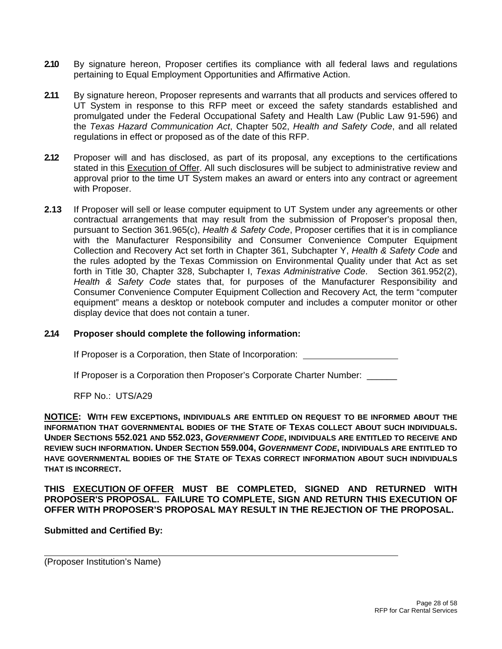- **2.10** By signature hereon, Proposer certifies its compliance with all federal laws and regulations pertaining to Equal Employment Opportunities and Affirmative Action.
- **2.11** By signature hereon, Proposer represents and warrants that all products and services offered to UT System in response to this RFP meet or exceed the safety standards established and promulgated under the Federal Occupational Safety and Health Law (Public Law 91-596) and the *Texas Hazard Communication Act*, Chapter 502, *Health and Safety Code*, and all related regulations in effect or proposed as of the date of this RFP.
- **2.12** Proposer will and has disclosed, as part of its proposal, any exceptions to the certifications stated in this Execution of Offer. All such disclosures will be subject to administrative review and approval prior to the time UT System makes an award or enters into any contract or agreement with Proposer.
- **2.13** If Proposer will sell or lease computer equipment to UT System under any agreements or other contractual arrangements that may result from the submission of Proposer's proposal then, pursuant to Section 361.965(c), *Health & Safety Code*, Proposer certifies that it is in compliance with the Manufacturer Responsibility and Consumer Convenience Computer Equipment Collection and Recovery Act set forth in Chapter 361, Subchapter Y, *Health & Safety Code* and the rules adopted by the Texas Commission on Environmental Quality under that Act as set forth in Title 30, Chapter 328, Subchapter I, *Texas Administrative Code*. Section 361.952(2), *Health & Safety Code* states that, for purposes of the Manufacturer Responsibility and Consumer Convenience Computer Equipment Collection and Recovery Act*,* the term "computer equipment" means a desktop or notebook computer and includes a computer monitor or other display device that does not contain a tuner.

# **2.14 Proposer should complete the following information:**

If Proposer is a Corporation, then State of Incorporation:

If Proposer is a Corporation then Proposer's Corporate Charter Number: \_\_\_\_\_\_

RFP No.: UTS/A29

**NOTICE: WITH FEW EXCEPTIONS, INDIVIDUALS ARE ENTITLED ON REQUEST TO BE INFORMED ABOUT THE INFORMATION THAT GOVERNMENTAL BODIES OF THE STATE OF TEXAS COLLECT ABOUT SUCH INDIVIDUALS. UNDER SECTIONS 552.021 AND 552.023,** *GOVERNMENT CODE***, INDIVIDUALS ARE ENTITLED TO RECEIVE AND REVIEW SUCH INFORMATION. UNDER SECTION 559.004,** *GOVERNMENT CODE***, INDIVIDUALS ARE ENTITLED TO HAVE GOVERNMENTAL BODIES OF THE STATE OF TEXAS CORRECT INFORMATION ABOUT SUCH INDIVIDUALS THAT IS INCORRECT.** 

**THIS EXECUTION OF OFFER MUST BE COMPLETED, SIGNED AND RETURNED WITH PROPOSER'S PROPOSAL. FAILURE TO COMPLETE, SIGN AND RETURN THIS EXECUTION OF OFFER WITH PROPOSER'S PROPOSAL MAY RESULT IN THE REJECTION OF THE PROPOSAL.** 

### **Submitted and Certified By:**

(Proposer Institution's Name)

 $\overline{a}$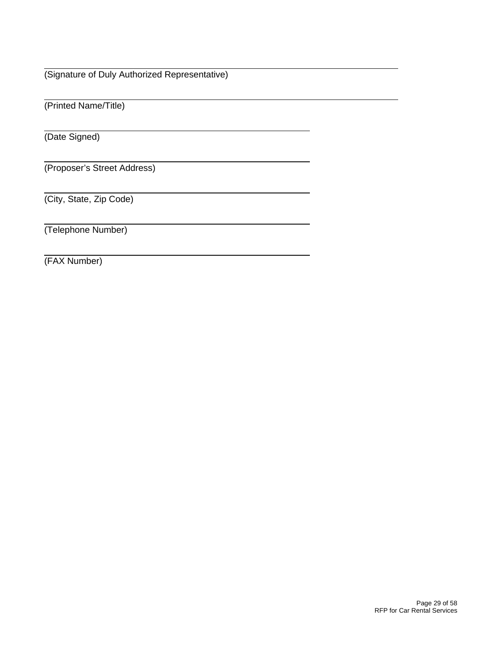(Signature of Duly Authorized Representative)

(Printed Name/Title)

(Date Signed)

 $\overline{a}$ 

 $\overline{a}$ 

(Proposer's Street Address)

(City, State, Zip Code)

(Telephone Number)

(FAX Number)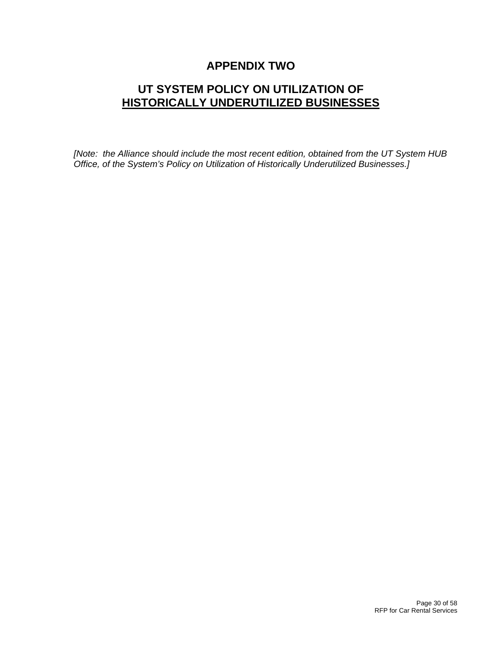# **APPENDIX TWO**

# **UT SYSTEM POLICY ON UTILIZATION OF HISTORICALLY UNDERUTILIZED BUSINESSES**

*[Note: the Alliance should include the most recent edition, obtained from the UT System HUB Office, of the System's Policy on Utilization of Historically Underutilized Businesses.]*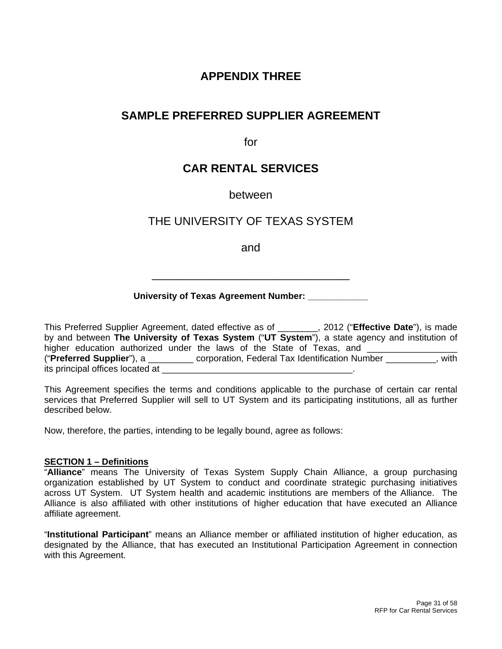# **APPENDIX THREE**

# **SAMPLE PREFERRED SUPPLIER AGREEMENT**

for

# **CAR RENTAL SERVICES**

# between

# THE UNIVERSITY OF TEXAS SYSTEM

and

\_\_\_\_\_\_\_\_\_\_\_\_\_\_\_\_\_\_\_\_\_\_\_\_\_\_\_\_\_\_\_

# **University of Texas Agreement Number: \_\_\_\_\_\_\_\_\_\_\_\_**

This Preferred Supplier Agreement, dated effective as of \_\_\_\_\_\_\_\_, 2012 ("**Effective Date**"), is made by and between **The University of Texas System** ("**UT System**"), a state agency and institution of higher education authorized under the laws of the State of Texas, and ("**Preferred Supplier**"), a \_\_\_\_\_\_\_\_\_ corporation, Federal Tax Identification Number \_\_\_\_\_\_\_\_\_\_, with its principal offices located at

This Agreement specifies the terms and conditions applicable to the purchase of certain car rental services that Preferred Supplier will sell to UT System and its participating institutions, all as further described below.

Now, therefore, the parties, intending to be legally bound, agree as follows:

### **SECTION 1 – Definitions**

"**Alliance**" means The University of Texas System Supply Chain Alliance, a group purchasing organization established by UT System to conduct and coordinate strategic purchasing initiatives across UT System. UT System health and academic institutions are members of the Alliance. The Alliance is also affiliated with other institutions of higher education that have executed an Alliance affiliate agreement.

"**Institutional Participant**" means an Alliance member or affiliated institution of higher education, as designated by the Alliance, that has executed an Institutional Participation Agreement in connection with this Agreement.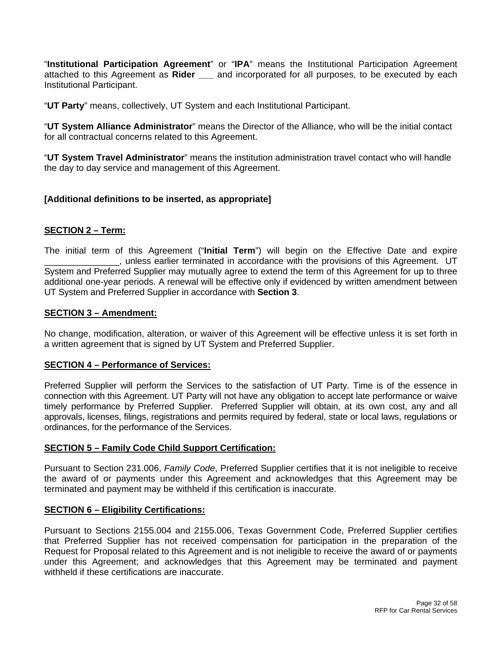"**Institutional Participation Agreement**" or "**IPA**" means the Institutional Participation Agreement attached to this Agreement as **Rider \_\_\_** and incorporated for all purposes, to be executed by each Institutional Participant.

"**UT Party**" means, collectively, UT System and each Institutional Participant.

"**UT System Alliance Administrator**" means the Director of the Alliance, who will be the initial contact for all contractual concerns related to this Agreement.

"**UT System Travel Administrator**" means the institution administration travel contact who will handle the day to day service and management of this Agreement.

# **[Additional definitions to be inserted, as appropriate]**

# **SECTION 2 – Term:**

The initial term of this Agreement ("**Initial Term**") will begin on the Effective Date and expire \_\_\_\_\_\_\_\_\_\_\_\_\_\_\_, unless earlier terminated in accordance with the provisions of this Agreement. UT System and Preferred Supplier may mutually agree to extend the term of this Agreement for up to three additional one-year periods. A renewal will be effective only if evidenced by written amendment between UT System and Preferred Supplier in accordance with **Section 3**.

### **SECTION 3 – Amendment:**

No change, modification, alteration, or waiver of this Agreement will be effective unless it is set forth in a written agreement that is signed by UT System and Preferred Supplier.

### **SECTION 4 – Performance of Services:**

Preferred Supplier will perform the Services to the satisfaction of UT Party. Time is of the essence in connection with this Agreement. UT Party will not have any obligation to accept late performance or waive timely performance by Preferred Supplier. Preferred Supplier will obtain, at its own cost, any and all approvals, licenses, filings, registrations and permits required by federal, state or local laws, regulations or ordinances, for the performance of the Services.

# **SECTION 5 – Family Code Child Support Certification:**

Pursuant to Section 231.006, *Family Code*, Preferred Supplier certifies that it is not ineligible to receive the award of or payments under this Agreement and acknowledges that this Agreement may be terminated and payment may be withheld if this certification is inaccurate.

### **SECTION 6 – Eligibility Certifications:**

Pursuant to Sections 2155.004 and 2155.006, Texas Government Code, Preferred Supplier certifies that Preferred Supplier has not received compensation for participation in the preparation of the Request for Proposal related to this Agreement and is not ineligible to receive the award of or payments under this Agreement; and acknowledges that this Agreement may be terminated and payment withheld if these certifications are inaccurate.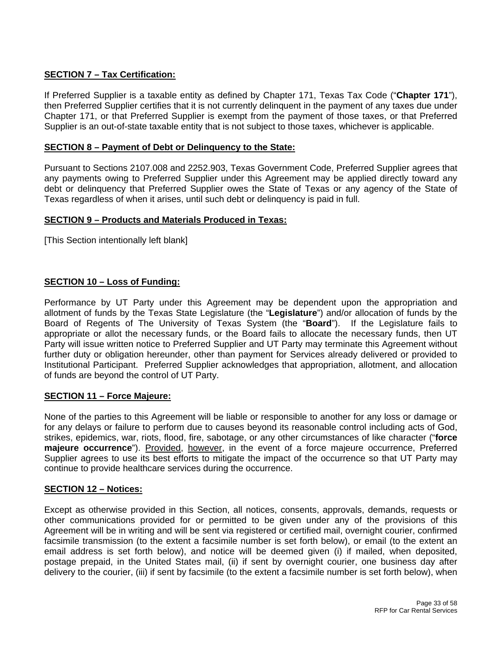# **SECTION 7 – Tax Certification:**

If Preferred Supplier is a taxable entity as defined by Chapter 171, Texas Tax Code ("**Chapter 171**"), then Preferred Supplier certifies that it is not currently delinquent in the payment of any taxes due under Chapter 171, or that Preferred Supplier is exempt from the payment of those taxes, or that Preferred Supplier is an out-of-state taxable entity that is not subject to those taxes, whichever is applicable.

# **SECTION 8 – Payment of Debt or Delinquency to the State:**

Pursuant to Sections 2107.008 and 2252.903, Texas Government Code, Preferred Supplier agrees that any payments owing to Preferred Supplier under this Agreement may be applied directly toward any debt or delinquency that Preferred Supplier owes the State of Texas or any agency of the State of Texas regardless of when it arises, until such debt or delinquency is paid in full.

# **SECTION 9 – Products and Materials Produced in Texas:**

[This Section intentionally left blank]

# **SECTION 10 – Loss of Funding:**

Performance by UT Party under this Agreement may be dependent upon the appropriation and allotment of funds by the Texas State Legislature (the "**Legislature**") and/or allocation of funds by the Board of Regents of The University of Texas System (the "**Board**"). If the Legislature fails to appropriate or allot the necessary funds, or the Board fails to allocate the necessary funds, then UT Party will issue written notice to Preferred Supplier and UT Party may terminate this Agreement without further duty or obligation hereunder, other than payment for Services already delivered or provided to Institutional Participant. Preferred Supplier acknowledges that appropriation, allotment, and allocation of funds are beyond the control of UT Party.

# **SECTION 11 – Force Majeure:**

None of the parties to this Agreement will be liable or responsible to another for any loss or damage or for any delays or failure to perform due to causes beyond its reasonable control including acts of God, strikes, epidemics, war, riots, flood, fire, sabotage, or any other circumstances of like character ("**force majeure occurrence**"). Provided, however, in the event of a force majeure occurrence, Preferred Supplier agrees to use its best efforts to mitigate the impact of the occurrence so that UT Party may continue to provide healthcare services during the occurrence.

### **SECTION 12 – Notices:**

Except as otherwise provided in this Section, all notices, consents, approvals, demands, requests or other communications provided for or permitted to be given under any of the provisions of this Agreement will be in writing and will be sent via registered or certified mail, overnight courier, confirmed facsimile transmission (to the extent a facsimile number is set forth below), or email (to the extent an email address is set forth below), and notice will be deemed given (i) if mailed, when deposited, postage prepaid, in the United States mail, (ii) if sent by overnight courier, one business day after delivery to the courier, (iii) if sent by facsimile (to the extent a facsimile number is set forth below), when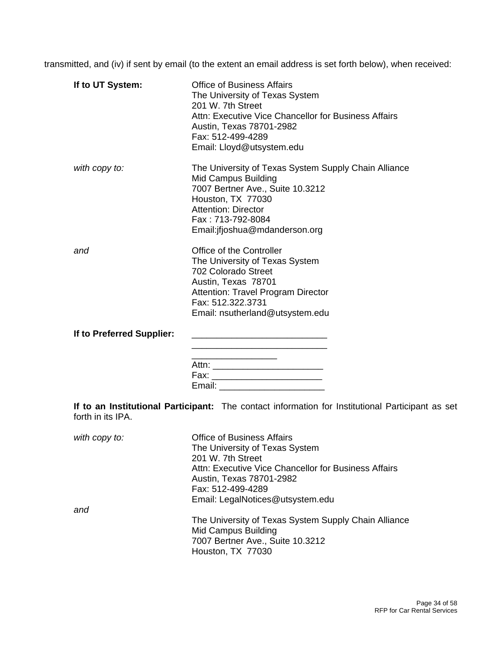transmitted, and (iv) if sent by email (to the extent an email address is set forth below), when received:

| If to UT System:          | <b>Office of Business Affairs</b><br>The University of Texas System<br>201 W. 7th Street<br>Attn: Executive Vice Chancellor for Business Affairs<br>Austin, Texas 78701-2982<br>Fax: 512-499-4289<br>Email: Lloyd@utsystem.edu    |
|---------------------------|-----------------------------------------------------------------------------------------------------------------------------------------------------------------------------------------------------------------------------------|
| with copy to:             | The University of Texas System Supply Chain Alliance<br><b>Mid Campus Building</b><br>7007 Bertner Ave., Suite 10.3212<br>Houston, TX 77030<br><b>Attention: Director</b><br>Fax: 713-792-8084<br>Email: if joshua@mdanderson.org |
| and                       | Office of the Controller<br>The University of Texas System<br>702 Colorado Street<br>Austin, Texas 78701<br><b>Attention: Travel Program Director</b><br>Fax: 512.322.3731<br>Email: nsutherland@utsystem.edu                     |
| If to Preferred Supplier: | Fax: ___________________________<br>Email: ____________________________                                                                                                                                                           |
| forth in its IPA.         | If to an Institutional Participant: The contact information for Institutional Participant as set                                                                                                                                  |
| $with$ copy to:           | Office of Rugingee Affaire                                                                                                                                                                                                        |

| with copy to: | <b>Office of Business Affairs</b>                    |
|---------------|------------------------------------------------------|
|               | The University of Texas System                       |
|               | 201 W. 7th Street                                    |
|               | Attn: Executive Vice Chancellor for Business Affairs |
|               | Austin, Texas 78701-2982                             |
|               | Fax: 512-499-4289                                    |
|               | Email: LegalNotices@utsystem.edu                     |
| and           |                                                      |
|               | The University of Texas System Supply Chain Alliance |
|               | Mid Campus Building                                  |
|               | 7007 Bertner Ave., Suite 10.3212                     |
|               | Houston, TX 77030                                    |
|               |                                                      |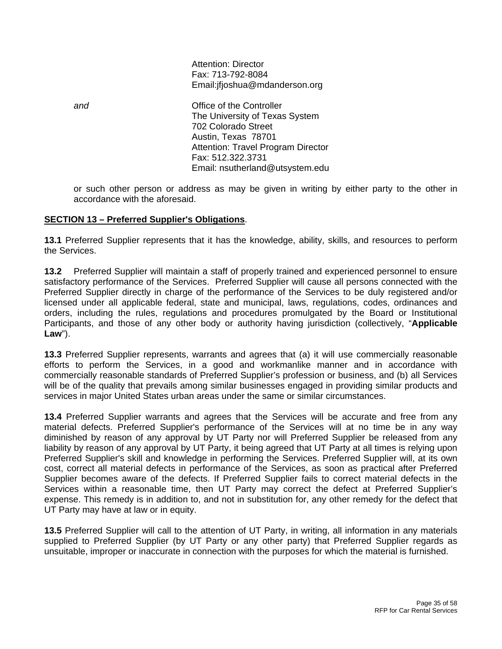Attention: Director Fax: 713-792-8084 Email:jfjoshua@mdanderson.org

**and Controller** *Controller Controller* The University of Texas System 702 Colorado Street Austin, Texas 78701 Attention: Travel Program Director Fax: 512.322.3731 Email: nsutherland@utsystem.edu

or such other person or address as may be given in writing by either party to the other in accordance with the aforesaid.

# **SECTION 13 – Preferred Supplier's Obligations**.

**13.1** Preferred Supplier represents that it has the knowledge, ability, skills, and resources to perform the Services.

**13.2** Preferred Supplier will maintain a staff of properly trained and experienced personnel to ensure satisfactory performance of the Services. Preferred Supplier will cause all persons connected with the Preferred Supplier directly in charge of the performance of the Services to be duly registered and/or licensed under all applicable federal, state and municipal, laws, regulations, codes, ordinances and orders, including the rules, regulations and procedures promulgated by the Board or Institutional Participants, and those of any other body or authority having jurisdiction (collectively, "**Applicable Law**").

**13.3** Preferred Supplier represents, warrants and agrees that (a) it will use commercially reasonable efforts to perform the Services, in a good and workmanlike manner and in accordance with commercially reasonable standards of Preferred Supplier's profession or business, and (b) all Services will be of the quality that prevails among similar businesses engaged in providing similar products and services in major United States urban areas under the same or similar circumstances.

**13.4** Preferred Supplier warrants and agrees that the Services will be accurate and free from any material defects. Preferred Supplier's performance of the Services will at no time be in any way diminished by reason of any approval by UT Party nor will Preferred Supplier be released from any liability by reason of any approval by UT Party, it being agreed that UT Party at all times is relying upon Preferred Supplier's skill and knowledge in performing the Services. Preferred Supplier will, at its own cost, correct all material defects in performance of the Services, as soon as practical after Preferred Supplier becomes aware of the defects. If Preferred Supplier fails to correct material defects in the Services within a reasonable time, then UT Party may correct the defect at Preferred Supplier's expense. This remedy is in addition to, and not in substitution for, any other remedy for the defect that UT Party may have at law or in equity.

**13.5** Preferred Supplier will call to the attention of UT Party, in writing, all information in any materials supplied to Preferred Supplier (by UT Party or any other party) that Preferred Supplier regards as unsuitable, improper or inaccurate in connection with the purposes for which the material is furnished.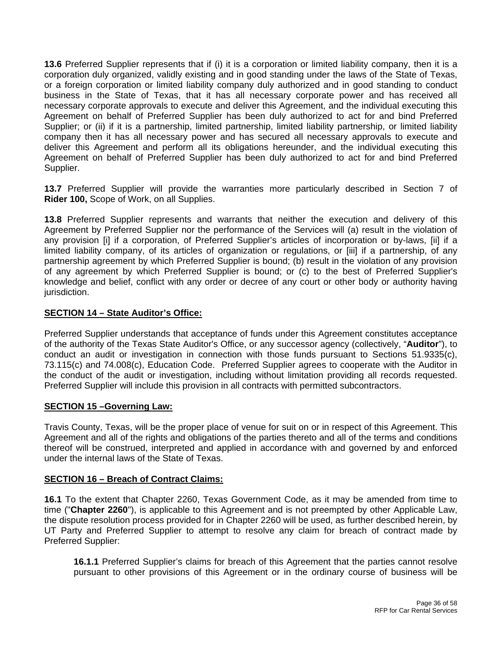**13.6** Preferred Supplier represents that if (i) it is a corporation or limited liability company, then it is a corporation duly organized, validly existing and in good standing under the laws of the State of Texas, or a foreign corporation or limited liability company duly authorized and in good standing to conduct business in the State of Texas, that it has all necessary corporate power and has received all necessary corporate approvals to execute and deliver this Agreement, and the individual executing this Agreement on behalf of Preferred Supplier has been duly authorized to act for and bind Preferred Supplier; or (ii) if it is a partnership, limited partnership, limited liability partnership, or limited liability company then it has all necessary power and has secured all necessary approvals to execute and deliver this Agreement and perform all its obligations hereunder, and the individual executing this Agreement on behalf of Preferred Supplier has been duly authorized to act for and bind Preferred Supplier.

**13.7** Preferred Supplier will provide the warranties more particularly described in Section 7 of **Rider 100,** Scope of Work, on all Supplies.

**13.8** Preferred Supplier represents and warrants that neither the execution and delivery of this Agreement by Preferred Supplier nor the performance of the Services will (a) result in the violation of any provision [i] if a corporation, of Preferred Supplier's articles of incorporation or by-laws, [ii] if a limited liability company, of its articles of organization or regulations, or [iii] if a partnership, of any partnership agreement by which Preferred Supplier is bound; (b) result in the violation of any provision of any agreement by which Preferred Supplier is bound; or (c) to the best of Preferred Supplier's knowledge and belief, conflict with any order or decree of any court or other body or authority having jurisdiction.

# **SECTION 14 – State Auditor's Office:**

Preferred Supplier understands that acceptance of funds under this Agreement constitutes acceptance of the authority of the Texas State Auditor's Office, or any successor agency (collectively, "**Auditor**"), to conduct an audit or investigation in connection with those funds pursuant to Sections 51.9335(c), 73.115(c) and 74.008(c), Education Code. Preferred Supplier agrees to cooperate with the Auditor in the conduct of the audit or investigation, including without limitation providing all records requested. Preferred Supplier will include this provision in all contracts with permitted subcontractors.

# **SECTION 15 –Governing Law:**

Travis County, Texas, will be the proper place of venue for suit on or in respect of this Agreement. This Agreement and all of the rights and obligations of the parties thereto and all of the terms and conditions thereof will be construed, interpreted and applied in accordance with and governed by and enforced under the internal laws of the State of Texas.

# **SECTION 16 – Breach of Contract Claims:**

**16.1** To the extent that Chapter 2260, Texas Government Code, as it may be amended from time to time ("**Chapter 2260**"), is applicable to this Agreement and is not preempted by other Applicable Law, the dispute resolution process provided for in Chapter 2260 will be used, as further described herein, by UT Party and Preferred Supplier to attempt to resolve any claim for breach of contract made by Preferred Supplier:

**16.1.1** Preferred Supplier's claims for breach of this Agreement that the parties cannot resolve pursuant to other provisions of this Agreement or in the ordinary course of business will be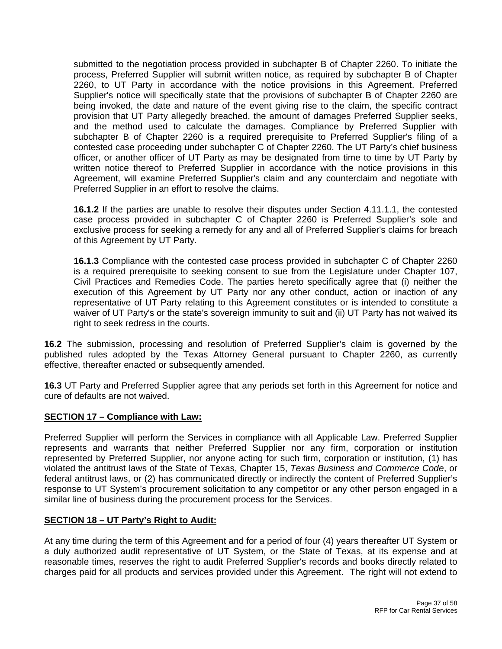submitted to the negotiation process provided in subchapter B of Chapter 2260. To initiate the process, Preferred Supplier will submit written notice, as required by subchapter B of Chapter 2260, to UT Party in accordance with the notice provisions in this Agreement. Preferred Supplier's notice will specifically state that the provisions of subchapter B of Chapter 2260 are being invoked, the date and nature of the event giving rise to the claim, the specific contract provision that UT Party allegedly breached, the amount of damages Preferred Supplier seeks, and the method used to calculate the damages. Compliance by Preferred Supplier with subchapter B of Chapter 2260 is a required prerequisite to Preferred Supplier's filing of a contested case proceeding under subchapter C of Chapter 2260. The UT Party's chief business officer, or another officer of UT Party as may be designated from time to time by UT Party by written notice thereof to Preferred Supplier in accordance with the notice provisions in this Agreement, will examine Preferred Supplier's claim and any counterclaim and negotiate with Preferred Supplier in an effort to resolve the claims.

**16.1.2** If the parties are unable to resolve their disputes under Section 4.11.1.1, the contested case process provided in subchapter C of Chapter 2260 is Preferred Supplier's sole and exclusive process for seeking a remedy for any and all of Preferred Supplier's claims for breach of this Agreement by UT Party.

**16.1.3** Compliance with the contested case process provided in subchapter C of Chapter 2260 is a required prerequisite to seeking consent to sue from the Legislature under Chapter 107, Civil Practices and Remedies Code. The parties hereto specifically agree that (i) neither the execution of this Agreement by UT Party nor any other conduct, action or inaction of any representative of UT Party relating to this Agreement constitutes or is intended to constitute a waiver of UT Party's or the state's sovereign immunity to suit and (ii) UT Party has not waived its right to seek redress in the courts.

**16.2** The submission, processing and resolution of Preferred Supplier's claim is governed by the published rules adopted by the Texas Attorney General pursuant to Chapter 2260, as currently effective, thereafter enacted or subsequently amended.

**16.3** UT Party and Preferred Supplier agree that any periods set forth in this Agreement for notice and cure of defaults are not waived.

# **SECTION 17 – Compliance with Law:**

Preferred Supplier will perform the Services in compliance with all Applicable Law. Preferred Supplier represents and warrants that neither Preferred Supplier nor any firm, corporation or institution represented by Preferred Supplier, nor anyone acting for such firm, corporation or institution, (1) has violated the antitrust laws of the State of Texas, Chapter 15, *Texas Business and Commerce Code*, or federal antitrust laws, or (2) has communicated directly or indirectly the content of Preferred Supplier's response to UT System's procurement solicitation to any competitor or any other person engaged in a similar line of business during the procurement process for the Services.

# **SECTION 18 – UT Party's Right to Audit:**

At any time during the term of this Agreement and for a period of four (4) years thereafter UT System or a duly authorized audit representative of UT System, or the State of Texas, at its expense and at reasonable times, reserves the right to audit Preferred Supplier's records and books directly related to charges paid for all products and services provided under this Agreement. The right will not extend to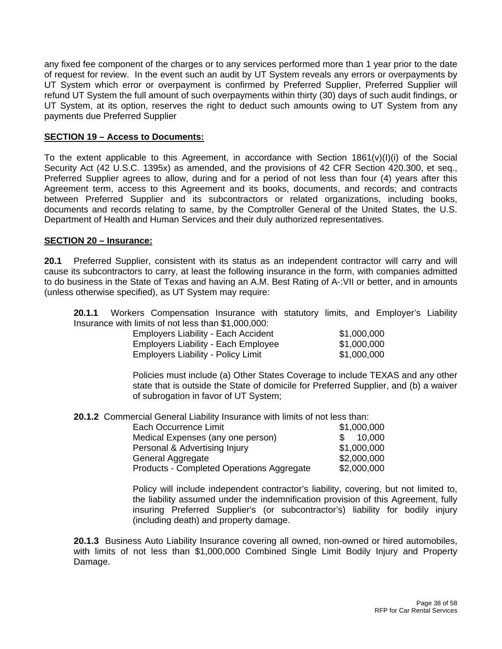any fixed fee component of the charges or to any services performed more than 1 year prior to the date of request for review. In the event such an audit by UT System reveals any errors or overpayments by UT System which error or overpayment is confirmed by Preferred Supplier, Preferred Supplier will refund UT System the full amount of such overpayments within thirty (30) days of such audit findings, or UT System, at its option, reserves the right to deduct such amounts owing to UT System from any payments due Preferred Supplier

### **SECTION 19 – Access to Documents:**

To the extent applicable to this Agreement, in accordance with Section  $1861(v)(I)(i)$  of the Social Security Act (42 U.S.C. 1395x) as amended, and the provisions of 42 CFR Section 420.300, et seq., Preferred Supplier agrees to allow, during and for a period of not less than four (4) years after this Agreement term, access to this Agreement and its books, documents, and records; and contracts between Preferred Supplier and its subcontractors or related organizations, including books, documents and records relating to same, by the Comptroller General of the United States, the U.S. Department of Health and Human Services and their duly authorized representatives.

### **SECTION 20 – Insurance:**

**20.1** Preferred Supplier, consistent with its status as an independent contractor will carry and will cause its subcontractors to carry, at least the following insurance in the form, with companies admitted to do business in the State of Texas and having an A.M. Best Rating of A-:VII or better, and in amounts (unless otherwise specified), as UT System may require:

**20.1.1** Workers Compensation Insurance with statutory limits, and Employer's Liability Insurance with limits of not less than \$1,000,000:

| Employers Liability - Each Accident        | \$1,000,000 |
|--------------------------------------------|-------------|
| <b>Employers Liability - Each Employee</b> | \$1,000,000 |
| <b>Employers Liability - Policy Limit</b>  | \$1,000,000 |

Policies must include (a) Other States Coverage to include TEXAS and any other state that is outside the State of domicile for Preferred Supplier, and (b) a waiver of subrogation in favor of UT System;

**20.1.2** Commercial General Liability Insurance with limits of not less than:

| Each Occurrence Limit                     | \$1,000,000 |
|-------------------------------------------|-------------|
| Medical Expenses (any one person)         | \$10,000    |
| Personal & Advertising Injury             | \$1,000,000 |
| General Aggregate                         | \$2,000,000 |
| Products - Completed Operations Aggregate | \$2,000,000 |

Policy will include independent contractor's liability, covering, but not limited to, the liability assumed under the indemnification provision of this Agreement, fully insuring Preferred Supplier's (or subcontractor's) liability for bodily injury (including death) and property damage.

**20.1.3** Business Auto Liability Insurance covering all owned, non-owned or hired automobiles, with limits of not less than \$1,000,000 Combined Single Limit Bodily Injury and Property Damage.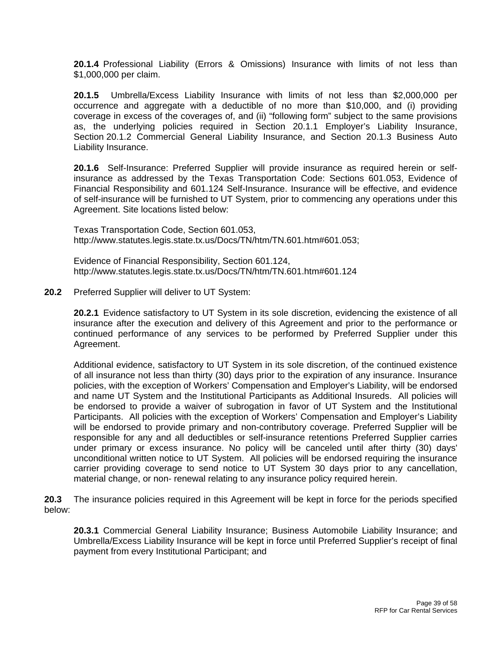**20.1.4** Professional Liability (Errors & Omissions) Insurance with limits of not less than \$1,000,000 per claim.

**20.1.5** Umbrella/Excess Liability Insurance with limits of not less than \$2,000,000 per occurrence and aggregate with a deductible of no more than \$10,000, and (i) providing coverage in excess of the coverages of, and (ii) "following form" subject to the same provisions as, the underlying policies required in Section 20.1.1 Employer's Liability Insurance, Section 20.1.2 Commercial General Liability Insurance, and Section 20.1.3 Business Auto Liability Insurance.

**20.1.6** Self-Insurance: Preferred Supplier will provide insurance as required herein or selfinsurance as addressed by the Texas Transportation Code: Sections 601.053, Evidence of Financial Responsibility and 601.124 Self-Insurance. Insurance will be effective, and evidence of self-insurance will be furnished to UT System, prior to commencing any operations under this Agreement. Site locations listed below:

 Texas Transportation Code, Section 601.053, http://www.statutes.legis.state.tx.us/Docs/TN/htm/TN.601.htm#601.053;

 Evidence of Financial Responsibility, Section 601.124, http://www.statutes.legis.state.tx.us/Docs/TN/htm/TN.601.htm#601.124

**20.2** Preferred Supplier will deliver to UT System:

**20.2.1** Evidence satisfactory to UT System in its sole discretion, evidencing the existence of all insurance after the execution and delivery of this Agreement and prior to the performance or continued performance of any services to be performed by Preferred Supplier under this Agreement.

Additional evidence, satisfactory to UT System in its sole discretion, of the continued existence of all insurance not less than thirty (30) days prior to the expiration of any insurance. Insurance policies, with the exception of Workers' Compensation and Employer's Liability, will be endorsed and name UT System and the Institutional Participants as Additional Insureds. All policies will be endorsed to provide a waiver of subrogation in favor of UT System and the Institutional Participants. All policies with the exception of Workers' Compensation and Employer's Liability will be endorsed to provide primary and non-contributory coverage. Preferred Supplier will be responsible for any and all deductibles or self-insurance retentions Preferred Supplier carries under primary or excess insurance. No policy will be canceled until after thirty (30) days' unconditional written notice to UT System. All policies will be endorsed requiring the insurance carrier providing coverage to send notice to UT System 30 days prior to any cancellation, material change, or non- renewal relating to any insurance policy required herein.

**20.3** The insurance policies required in this Agreement will be kept in force for the periods specified below:

**20.3.1** Commercial General Liability Insurance; Business Automobile Liability Insurance; and Umbrella/Excess Liability Insurance will be kept in force until Preferred Supplier's receipt of final payment from every Institutional Participant; and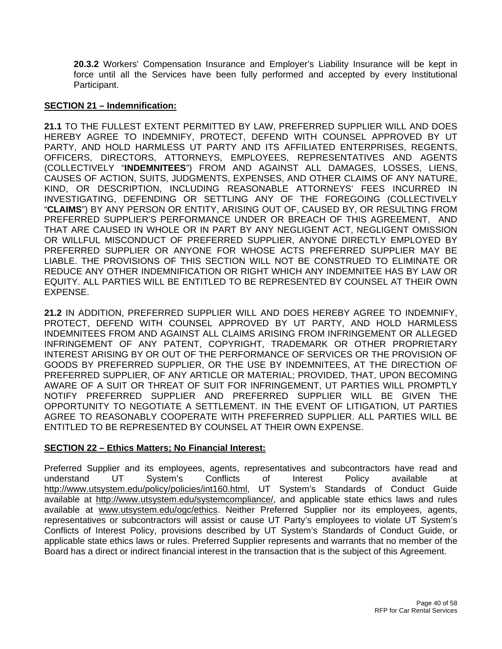**20.3.2** Workers' Compensation Insurance and Employer's Liability Insurance will be kept in force until all the Services have been fully performed and accepted by every Institutional Participant.

### **SECTION 21 – Indemnification:**

**21.1** TO THE FULLEST EXTENT PERMITTED BY LAW, PREFERRED SUPPLIER WILL AND DOES HEREBY AGREE TO INDEMNIFY, PROTECT, DEFEND WITH COUNSEL APPROVED BY UT PARTY, AND HOLD HARMLESS UT PARTY AND ITS AFFILIATED ENTERPRISES, REGENTS, OFFICERS, DIRECTORS, ATTORNEYS, EMPLOYEES, REPRESENTATIVES AND AGENTS (COLLECTIVELY "**INDEMNITEES**") FROM AND AGAINST ALL DAMAGES, LOSSES, LIENS, CAUSES OF ACTION, SUITS, JUDGMENTS, EXPENSES, AND OTHER CLAIMS OF ANY NATURE, KIND, OR DESCRIPTION, INCLUDING REASONABLE ATTORNEYS' FEES INCURRED IN INVESTIGATING, DEFENDING OR SETTLING ANY OF THE FOREGOING (COLLECTIVELY "**CLAIMS**") BY ANY PERSON OR ENTITY, ARISING OUT OF, CAUSED BY, OR RESULTING FROM PREFERRED SUPPLIER'S PERFORMANCE UNDER OR BREACH OF THIS AGREEMENT, AND THAT ARE CAUSED IN WHOLE OR IN PART BY ANY NEGLIGENT ACT, NEGLIGENT OMISSION OR WILLFUL MISCONDUCT OF PREFERRED SUPPLIER, ANYONE DIRECTLY EMPLOYED BY PREFERRED SUPPLIER OR ANYONE FOR WHOSE ACTS PREFERRED SUPPLIER MAY BE LIABLE. THE PROVISIONS OF THIS SECTION WILL NOT BE CONSTRUED TO ELIMINATE OR REDUCE ANY OTHER INDEMNIFICATION OR RIGHT WHICH ANY INDEMNITEE HAS BY LAW OR EQUITY. ALL PARTIES WILL BE ENTITLED TO BE REPRESENTED BY COUNSEL AT THEIR OWN EXPENSE.

**21.2** IN ADDITION, PREFERRED SUPPLIER WILL AND DOES HEREBY AGREE TO INDEMNIFY, PROTECT, DEFEND WITH COUNSEL APPROVED BY UT PARTY, AND HOLD HARMLESS INDEMNITEES FROM AND AGAINST ALL CLAIMS ARISING FROM INFRINGEMENT OR ALLEGED INFRINGEMENT OF ANY PATENT, COPYRIGHT, TRADEMARK OR OTHER PROPRIETARY INTEREST ARISING BY OR OUT OF THE PERFORMANCE OF SERVICES OR THE PROVISION OF GOODS BY PREFERRED SUPPLIER, OR THE USE BY INDEMNITEES, AT THE DIRECTION OF PREFERRED SUPPLIER, OF ANY ARTICLE OR MATERIAL; PROVIDED, THAT, UPON BECOMING AWARE OF A SUIT OR THREAT OF SUIT FOR INFRINGEMENT, UT PARTIES WILL PROMPTLY NOTIFY PREFERRED SUPPLIER AND PREFERRED SUPPLIER WILL BE GIVEN THE OPPORTUNITY TO NEGOTIATE A SETTLEMENT. IN THE EVENT OF LITIGATION, UT PARTIES AGREE TO REASONABLY COOPERATE WITH PREFERRED SUPPLIER. ALL PARTIES WILL BE ENTITLED TO BE REPRESENTED BY COUNSEL AT THEIR OWN EXPENSE.

# **SECTION 22 – Ethics Matters; No Financial Interest:**

Preferred Supplier and its employees, agents, representatives and subcontractors have read and understand UT System's Conflicts of Interest Policy available at http://www.utsystem.edu/policy/policies/int160.html, UT System's Standards of Conduct Guide available at http://www.utsystem.edu/systemcompliance/, and applicable state ethics laws and rules available at www.utsystem.edu/ogc/ethics. Neither Preferred Supplier nor its employees, agents, representatives or subcontractors will assist or cause UT Party's employees to violate UT System's Conflicts of Interest Policy, provisions described by UT System's Standards of Conduct Guide, or applicable state ethics laws or rules. Preferred Supplier represents and warrants that no member of the Board has a direct or indirect financial interest in the transaction that is the subject of this Agreement.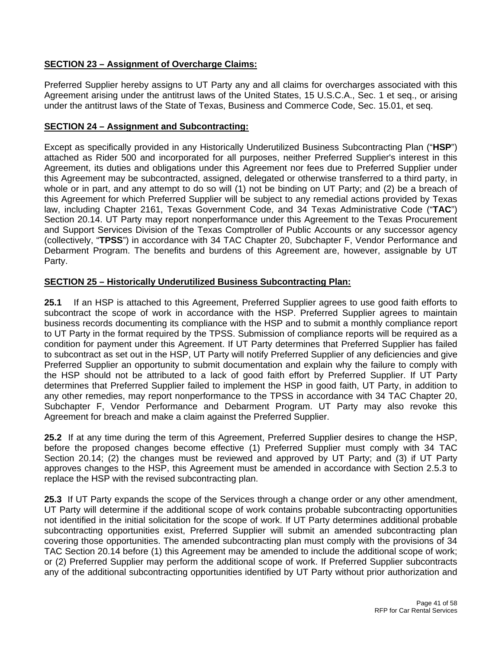# **SECTION 23 – Assignment of Overcharge Claims:**

Preferred Supplier hereby assigns to UT Party any and all claims for overcharges associated with this Agreement arising under the antitrust laws of the United States, 15 U.S.C.A., Sec. 1 et seq., or arising under the antitrust laws of the State of Texas, Business and Commerce Code, Sec. 15.01, et seq.

### **SECTION 24 – Assignment and Subcontracting:**

Except as specifically provided in any Historically Underutilized Business Subcontracting Plan ("**HSP**") attached as Rider 500 and incorporated for all purposes, neither Preferred Supplier's interest in this Agreement, its duties and obligations under this Agreement nor fees due to Preferred Supplier under this Agreement may be subcontracted, assigned, delegated or otherwise transferred to a third party, in whole or in part, and any attempt to do so will (1) not be binding on UT Party; and (2) be a breach of this Agreement for which Preferred Supplier will be subject to any remedial actions provided by Texas law, including Chapter 2161, Texas Government Code, and 34 Texas Administrative Code ("**TAC**") Section 20.14. UT Party may report nonperformance under this Agreement to the Texas Procurement and Support Services Division of the Texas Comptroller of Public Accounts or any successor agency (collectively, "**TPSS**") in accordance with 34 TAC Chapter 20, Subchapter F, Vendor Performance and Debarment Program. The benefits and burdens of this Agreement are, however, assignable by UT Party.

# **SECTION 25 – Historically Underutilized Business Subcontracting Plan:**

**25.1** If an HSP is attached to this Agreement, Preferred Supplier agrees to use good faith efforts to subcontract the scope of work in accordance with the HSP. Preferred Supplier agrees to maintain business records documenting its compliance with the HSP and to submit a monthly compliance report to UT Party in the format required by the TPSS. Submission of compliance reports will be required as a condition for payment under this Agreement. If UT Party determines that Preferred Supplier has failed to subcontract as set out in the HSP, UT Party will notify Preferred Supplier of any deficiencies and give Preferred Supplier an opportunity to submit documentation and explain why the failure to comply with the HSP should not be attributed to a lack of good faith effort by Preferred Supplier. If UT Party determines that Preferred Supplier failed to implement the HSP in good faith, UT Party, in addition to any other remedies, may report nonperformance to the TPSS in accordance with 34 TAC Chapter 20, Subchapter F, Vendor Performance and Debarment Program. UT Party may also revoke this Agreement for breach and make a claim against the Preferred Supplier.

**25.2** If at any time during the term of this Agreement, Preferred Supplier desires to change the HSP, before the proposed changes become effective (1) Preferred Supplier must comply with 34 TAC Section 20.14; (2) the changes must be reviewed and approved by UT Party; and (3) if UT Party approves changes to the HSP, this Agreement must be amended in accordance with Section 2.5.3 to replace the HSP with the revised subcontracting plan.

**25.3** If UT Party expands the scope of the Services through a change order or any other amendment, UT Party will determine if the additional scope of work contains probable subcontracting opportunities not identified in the initial solicitation for the scope of work. If UT Party determines additional probable subcontracting opportunities exist, Preferred Supplier will submit an amended subcontracting plan covering those opportunities. The amended subcontracting plan must comply with the provisions of 34 TAC Section 20.14 before (1) this Agreement may be amended to include the additional scope of work; or (2) Preferred Supplier may perform the additional scope of work. If Preferred Supplier subcontracts any of the additional subcontracting opportunities identified by UT Party without prior authorization and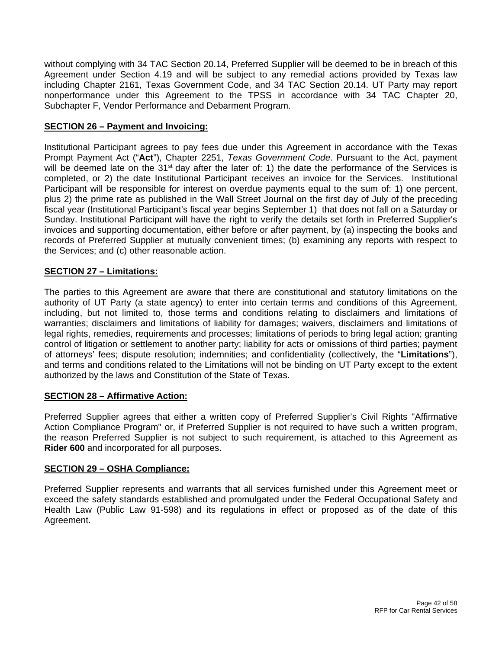without complying with 34 TAC Section 20.14, Preferred Supplier will be deemed to be in breach of this Agreement under Section 4.19 and will be subject to any remedial actions provided by Texas law including Chapter 2161, Texas Government Code, and 34 TAC Section 20.14. UT Party may report nonperformance under this Agreement to the TPSS in accordance with 34 TAC Chapter 20, Subchapter F, Vendor Performance and Debarment Program.

# **SECTION 26 – Payment and Invoicing:**

Institutional Participant agrees to pay fees due under this Agreement in accordance with the Texas Prompt Payment Act ("**Act**"), Chapter 2251, *Texas Government Code*. Pursuant to the Act, payment will be deemed late on the 31<sup>st</sup> day after the later of: 1) the date the performance of the Services is completed, or 2) the date Institutional Participant receives an invoice for the Services. Institutional Participant will be responsible for interest on overdue payments equal to the sum of: 1) one percent, plus 2) the prime rate as published in the Wall Street Journal on the first day of July of the preceding fiscal year (Institutional Participant's fiscal year begins September 1) that does not fall on a Saturday or Sunday. Institutional Participant will have the right to verify the details set forth in Preferred Supplier's invoices and supporting documentation, either before or after payment, by (a) inspecting the books and records of Preferred Supplier at mutually convenient times; (b) examining any reports with respect to the Services; and (c) other reasonable action.

# **SECTION 27 – Limitations:**

The parties to this Agreement are aware that there are constitutional and statutory limitations on the authority of UT Party (a state agency) to enter into certain terms and conditions of this Agreement, including, but not limited to, those terms and conditions relating to disclaimers and limitations of warranties; disclaimers and limitations of liability for damages; waivers, disclaimers and limitations of legal rights, remedies, requirements and processes; limitations of periods to bring legal action; granting control of litigation or settlement to another party; liability for acts or omissions of third parties; payment of attorneys' fees; dispute resolution; indemnities; and confidentiality (collectively, the "**Limitations**"), and terms and conditions related to the Limitations will not be binding on UT Party except to the extent authorized by the laws and Constitution of the State of Texas.

# **SECTION 28 – Affirmative Action:**

Preferred Supplier agrees that either a written copy of Preferred Supplier's Civil Rights "Affirmative Action Compliance Program" or, if Preferred Supplier is not required to have such a written program, the reason Preferred Supplier is not subject to such requirement, is attached to this Agreement as **Rider 600** and incorporated for all purposes.

# **SECTION 29 – OSHA Compliance:**

Preferred Supplier represents and warrants that all services furnished under this Agreement meet or exceed the safety standards established and promulgated under the Federal Occupational Safety and Health Law (Public Law 91-598) and its regulations in effect or proposed as of the date of this Agreement.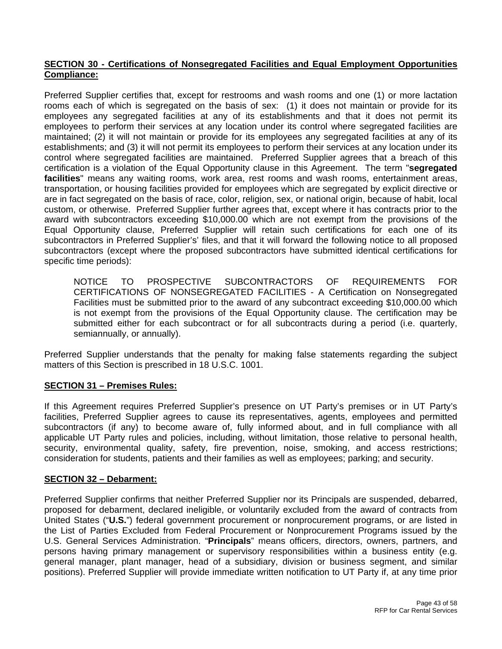# **SECTION 30 - Certifications of Nonsegregated Facilities and Equal Employment Opportunities Compliance:**

Preferred Supplier certifies that, except for restrooms and wash rooms and one (1) or more lactation rooms each of which is segregated on the basis of sex: (1) it does not maintain or provide for its employees any segregated facilities at any of its establishments and that it does not permit its employees to perform their services at any location under its control where segregated facilities are maintained; (2) it will not maintain or provide for its employees any segregated facilities at any of its establishments; and (3) it will not permit its employees to perform their services at any location under its control where segregated facilities are maintained. Preferred Supplier agrees that a breach of this certification is a violation of the Equal Opportunity clause in this Agreement. The term "**segregated facilities**" means any waiting rooms, work area, rest rooms and wash rooms, entertainment areas, transportation, or housing facilities provided for employees which are segregated by explicit directive or are in fact segregated on the basis of race, color, religion, sex, or national origin, because of habit, local custom, or otherwise. Preferred Supplier further agrees that, except where it has contracts prior to the award with subcontractors exceeding \$10,000.00 which are not exempt from the provisions of the Equal Opportunity clause, Preferred Supplier will retain such certifications for each one of its subcontractors in Preferred Supplier's' files, and that it will forward the following notice to all proposed subcontractors (except where the proposed subcontractors have submitted identical certifications for specific time periods):

NOTICE TO PROSPECTIVE SUBCONTRACTORS OF REQUIREMENTS FOR CERTIFICATIONS OF NONSEGREGATED FACILITIES - A Certification on Nonsegregated Facilities must be submitted prior to the award of any subcontract exceeding \$10,000.00 which is not exempt from the provisions of the Equal Opportunity clause. The certification may be submitted either for each subcontract or for all subcontracts during a period (i.e. quarterly, semiannually, or annually).

Preferred Supplier understands that the penalty for making false statements regarding the subject matters of this Section is prescribed in 18 U.S.C. 1001.

# **SECTION 31 – Premises Rules:**

If this Agreement requires Preferred Supplier's presence on UT Party's premises or in UT Party's facilities, Preferred Supplier agrees to cause its representatives, agents, employees and permitted subcontractors (if any) to become aware of, fully informed about, and in full compliance with all applicable UT Party rules and policies, including, without limitation, those relative to personal health, security, environmental quality, safety, fire prevention, noise, smoking, and access restrictions; consideration for students, patients and their families as well as employees; parking; and security.

### **SECTION 32 – Debarment:**

Preferred Supplier confirms that neither Preferred Supplier nor its Principals are suspended, debarred, proposed for debarment, declared ineligible, or voluntarily excluded from the award of contracts from United States ("**U.S.**") federal government procurement or nonprocurement programs, or are listed in the List of Parties Excluded from Federal Procurement or Nonprocurement Programs issued by the U.S. General Services Administration. "**Principals**" means officers, directors, owners, partners, and persons having primary management or supervisory responsibilities within a business entity (e.g. general manager, plant manager, head of a subsidiary, division or business segment, and similar positions). Preferred Supplier will provide immediate written notification to UT Party if, at any time prior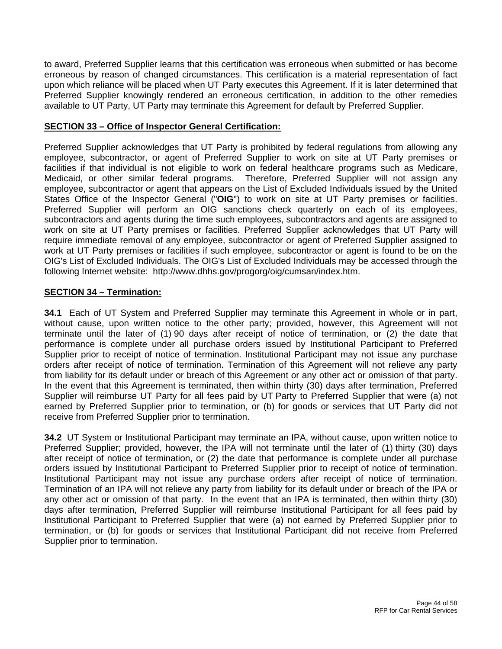to award, Preferred Supplier learns that this certification was erroneous when submitted or has become erroneous by reason of changed circumstances. This certification is a material representation of fact upon which reliance will be placed when UT Party executes this Agreement. If it is later determined that Preferred Supplier knowingly rendered an erroneous certification, in addition to the other remedies available to UT Party, UT Party may terminate this Agreement for default by Preferred Supplier.

# **SECTION 33 – Office of Inspector General Certification:**

Preferred Supplier acknowledges that UT Party is prohibited by federal regulations from allowing any employee, subcontractor, or agent of Preferred Supplier to work on site at UT Party premises or facilities if that individual is not eligible to work on federal healthcare programs such as Medicare, Medicaid, or other similar federal programs. Therefore, Preferred Supplier will not assign any employee, subcontractor or agent that appears on the List of Excluded Individuals issued by the United States Office of the Inspector General ("**OIG**") to work on site at UT Party premises or facilities. Preferred Supplier will perform an OIG sanctions check quarterly on each of its employees, subcontractors and agents during the time such employees, subcontractors and agents are assigned to work on site at UT Party premises or facilities. Preferred Supplier acknowledges that UT Party will require immediate removal of any employee, subcontractor or agent of Preferred Supplier assigned to work at UT Party premises or facilities if such employee, subcontractor or agent is found to be on the OIG's List of Excluded Individuals. The OIG's List of Excluded Individuals may be accessed through the following Internet website: http://www.dhhs.gov/progorg/oig/cumsan/index.htm.

# **SECTION 34 – Termination:**

**34.1** Each of UT System and Preferred Supplier may terminate this Agreement in whole or in part, without cause, upon written notice to the other party; provided, however, this Agreement will not terminate until the later of (1) 90 days after receipt of notice of termination, or (2) the date that performance is complete under all purchase orders issued by Institutional Participant to Preferred Supplier prior to receipt of notice of termination. Institutional Participant may not issue any purchase orders after receipt of notice of termination. Termination of this Agreement will not relieve any party from liability for its default under or breach of this Agreement or any other act or omission of that party. In the event that this Agreement is terminated, then within thirty (30) days after termination, Preferred Supplier will reimburse UT Party for all fees paid by UT Party to Preferred Supplier that were (a) not earned by Preferred Supplier prior to termination, or (b) for goods or services that UT Party did not receive from Preferred Supplier prior to termination.

**34.2** UT System or Institutional Participant may terminate an IPA, without cause, upon written notice to Preferred Supplier; provided, however, the IPA will not terminate until the later of (1) thirty (30) days after receipt of notice of termination, or (2) the date that performance is complete under all purchase orders issued by Institutional Participant to Preferred Supplier prior to receipt of notice of termination. Institutional Participant may not issue any purchase orders after receipt of notice of termination. Termination of an IPA will not relieve any party from liability for its default under or breach of the IPA or any other act or omission of that party. In the event that an IPA is terminated, then within thirty (30) days after termination, Preferred Supplier will reimburse Institutional Participant for all fees paid by Institutional Participant to Preferred Supplier that were (a) not earned by Preferred Supplier prior to termination, or (b) for goods or services that Institutional Participant did not receive from Preferred Supplier prior to termination.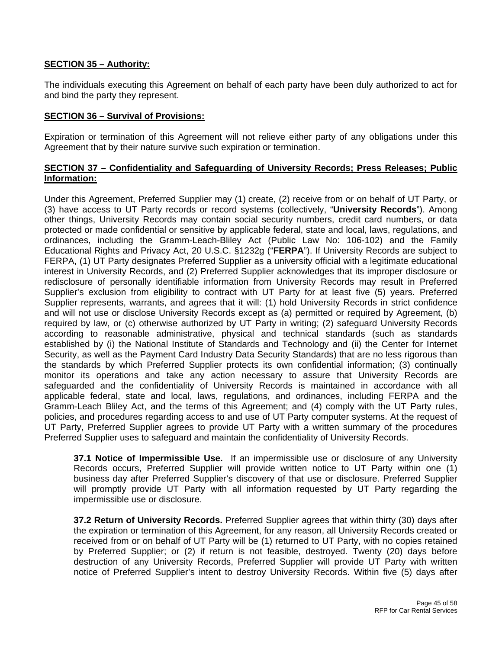# **SECTION 35 – Authority:**

The individuals executing this Agreement on behalf of each party have been duly authorized to act for and bind the party they represent.

### **SECTION 36 – Survival of Provisions:**

Expiration or termination of this Agreement will not relieve either party of any obligations under this Agreement that by their nature survive such expiration or termination.

# **SECTION 37 – Confidentiality and Safeguarding of University Records; Press Releases; Public Information:**

Under this Agreement, Preferred Supplier may (1) create, (2) receive from or on behalf of UT Party, or (3) have access to UT Party records or record systems (collectively, "**University Records**"). Among other things, University Records may contain social security numbers, credit card numbers, or data protected or made confidential or sensitive by applicable federal, state and local, laws, regulations, and ordinances, including the Gramm-Leach-Bliley Act (Public Law No: 106-102) and the Family Educational Rights and Privacy Act, 20 U.S.C. §1232g ("**FERPA**"). If University Records are subject to FERPA, (1) UT Party designates Preferred Supplier as a university official with a legitimate educational interest in University Records, and (2) Preferred Supplier acknowledges that its improper disclosure or redisclosure of personally identifiable information from University Records may result in Preferred Supplier's exclusion from eligibility to contract with UT Party for at least five (5) years. Preferred Supplier represents, warrants, and agrees that it will: (1) hold University Records in strict confidence and will not use or disclose University Records except as (a) permitted or required by Agreement, (b) required by law, or (c) otherwise authorized by UT Party in writing; (2) safeguard University Records according to reasonable administrative, physical and technical standards (such as standards established by (i) the National Institute of Standards and Technology and (ii) the Center for Internet Security, as well as the Payment Card Industry Data Security Standards) that are no less rigorous than the standards by which Preferred Supplier protects its own confidential information; (3) continually monitor its operations and take any action necessary to assure that University Records are safeguarded and the confidentiality of University Records is maintained in accordance with all applicable federal, state and local, laws, regulations, and ordinances, including FERPA and the Gramm-Leach Bliley Act, and the terms of this Agreement; and (4) comply with the UT Party rules, policies, and procedures regarding access to and use of UT Party computer systems. At the request of UT Party, Preferred Supplier agrees to provide UT Party with a written summary of the procedures Preferred Supplier uses to safeguard and maintain the confidentiality of University Records.

**37.1 Notice of Impermissible Use.** If an impermissible use or disclosure of any University Records occurs, Preferred Supplier will provide written notice to UT Party within one (1) business day after Preferred Supplier's discovery of that use or disclosure. Preferred Supplier will promptly provide UT Party with all information requested by UT Party regarding the impermissible use or disclosure.

**37.2 Return of University Records.** Preferred Supplier agrees that within thirty (30) days after the expiration or termination of this Agreement, for any reason, all University Records created or received from or on behalf of UT Party will be (1) returned to UT Party, with no copies retained by Preferred Supplier; or (2) if return is not feasible, destroyed. Twenty (20) days before destruction of any University Records, Preferred Supplier will provide UT Party with written notice of Preferred Supplier's intent to destroy University Records. Within five (5) days after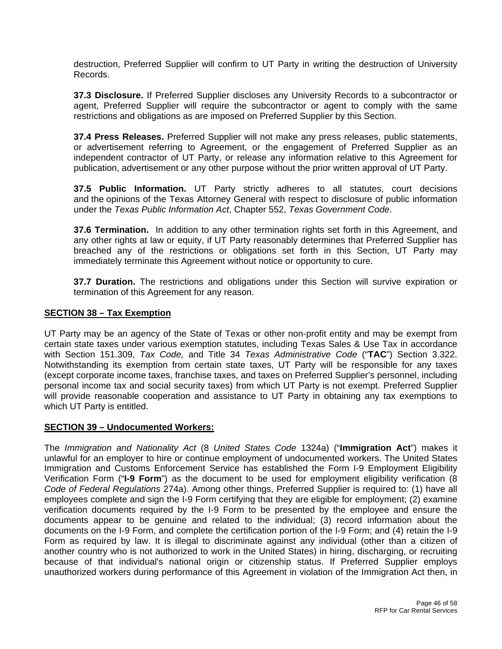destruction, Preferred Supplier will confirm to UT Party in writing the destruction of University Records.

**37.3 Disclosure.** If Preferred Supplier discloses any University Records to a subcontractor or agent, Preferred Supplier will require the subcontractor or agent to comply with the same restrictions and obligations as are imposed on Preferred Supplier by this Section.

**37.4 Press Releases.** Preferred Supplier will not make any press releases, public statements, or advertisement referring to Agreement, or the engagement of Preferred Supplier as an independent contractor of UT Party, or release any information relative to this Agreement for publication, advertisement or any other purpose without the prior written approval of UT Party.

**37.5 Public Information.** UT Party strictly adheres to all statutes, court decisions and the opinions of the Texas Attorney General with respect to disclosure of public information under the *Texas Public Information Act*, Chapter 552, *Texas Government Code*.

**37.6 Termination.** In addition to any other termination rights set forth in this Agreement, and any other rights at law or equity, if UT Party reasonably determines that Preferred Supplier has breached any of the restrictions or obligations set forth in this Section, UT Party may immediately terminate this Agreement without notice or opportunity to cure.

**37.7 Duration.** The restrictions and obligations under this Section will survive expiration or termination of this Agreement for any reason.

# **SECTION 38 – Tax Exemption**

UT Party may be an agency of the State of Texas or other non-profit entity and may be exempt from certain state taxes under various exemption statutes, including Texas Sales & Use Tax in accordance with Section 151.309, *Tax Code,* and Title 34 *Texas Administrative Code* ("**TAC**") Section 3.322. Notwithstanding its exemption from certain state taxes, UT Party will be responsible for any taxes (except corporate income taxes, franchise taxes, and taxes on Preferred Supplier's personnel, including personal income tax and social security taxes) from which UT Party is not exempt. Preferred Supplier will provide reasonable cooperation and assistance to UT Party in obtaining any tax exemptions to which UT Party is entitled.

### **SECTION 39 – Undocumented Workers:**

The *Immigration and Nationality Act* (8 *United States Code* 1324a) ("**Immigration Act**") makes it unlawful for an employer to hire or continue employment of undocumented workers. The United States Immigration and Customs Enforcement Service has established the Form I-9 Employment Eligibility Verification Form ("**I-9 Form**") as the document to be used for employment eligibility verification (8 *Code of Federal Regulations* 274a). Among other things, Preferred Supplier is required to: (1) have all employees complete and sign the I-9 Form certifying that they are eligible for employment; (2) examine verification documents required by the I-9 Form to be presented by the employee and ensure the documents appear to be genuine and related to the individual; (3) record information about the documents on the I-9 Form, and complete the certification portion of the I-9 Form; and (4) retain the I-9 Form as required by law. It is illegal to discriminate against any individual (other than a citizen of another country who is not authorized to work in the United States) in hiring, discharging, or recruiting because of that individual's national origin or citizenship status. If Preferred Supplier employs unauthorized workers during performance of this Agreement in violation of the Immigration Act then, in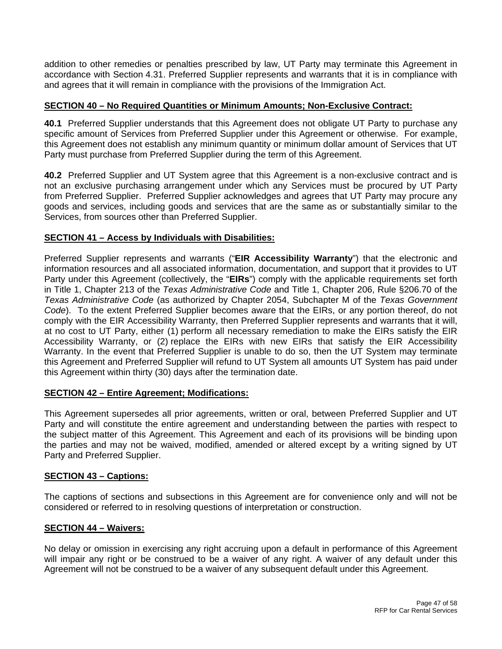addition to other remedies or penalties prescribed by law, UT Party may terminate this Agreement in accordance with Section 4.31. Preferred Supplier represents and warrants that it is in compliance with and agrees that it will remain in compliance with the provisions of the Immigration Act.

# **SECTION 40 – No Required Quantities or Minimum Amounts; Non-Exclusive Contract:**

**40.1** Preferred Supplier understands that this Agreement does not obligate UT Party to purchase any specific amount of Services from Preferred Supplier under this Agreement or otherwise. For example, this Agreement does not establish any minimum quantity or minimum dollar amount of Services that UT Party must purchase from Preferred Supplier during the term of this Agreement.

**40.2** Preferred Supplier and UT System agree that this Agreement is a non-exclusive contract and is not an exclusive purchasing arrangement under which any Services must be procured by UT Party from Preferred Supplier. Preferred Supplier acknowledges and agrees that UT Party may procure any goods and services, including goods and services that are the same as or substantially similar to the Services, from sources other than Preferred Supplier.

# **SECTION 41 – Access by Individuals with Disabilities:**

Preferred Supplier represents and warrants ("**EIR Accessibility Warranty**") that the electronic and information resources and all associated information, documentation, and support that it provides to UT Party under this Agreement (collectively, the "**EIRs**") comply with the applicable requirements set forth in Title 1, Chapter 213 of the *Texas Administrative Code* and Title 1, Chapter 206, Rule §206.70 of the *Texas Administrative Code* (as authorized by Chapter 2054, Subchapter M of the *Texas Government Code*). To the extent Preferred Supplier becomes aware that the EIRs, or any portion thereof, do not comply with the EIR Accessibility Warranty, then Preferred Supplier represents and warrants that it will, at no cost to UT Party, either (1) perform all necessary remediation to make the EIRs satisfy the EIR Accessibility Warranty, or (2) replace the EIRs with new EIRs that satisfy the EIR Accessibility Warranty. In the event that Preferred Supplier is unable to do so, then the UT System may terminate this Agreement and Preferred Supplier will refund to UT System all amounts UT System has paid under this Agreement within thirty (30) days after the termination date.

### **SECTION 42 – Entire Agreement; Modifications:**

This Agreement supersedes all prior agreements, written or oral, between Preferred Supplier and UT Party and will constitute the entire agreement and understanding between the parties with respect to the subject matter of this Agreement. This Agreement and each of its provisions will be binding upon the parties and may not be waived, modified, amended or altered except by a writing signed by UT Party and Preferred Supplier.

### **SECTION 43 – Captions:**

The captions of sections and subsections in this Agreement are for convenience only and will not be considered or referred to in resolving questions of interpretation or construction.

### **SECTION 44 – Waivers:**

No delay or omission in exercising any right accruing upon a default in performance of this Agreement will impair any right or be construed to be a waiver of any right. A waiver of any default under this Agreement will not be construed to be a waiver of any subsequent default under this Agreement.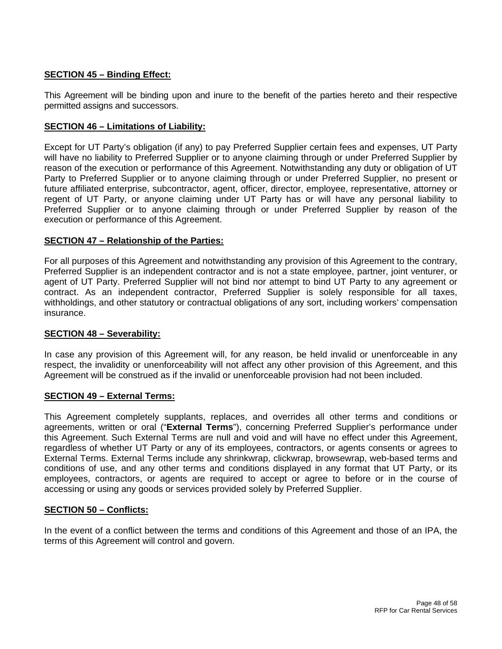# **SECTION 45 – Binding Effect:**

This Agreement will be binding upon and inure to the benefit of the parties hereto and their respective permitted assigns and successors.

# **SECTION 46 – Limitations of Liability:**

Except for UT Party's obligation (if any) to pay Preferred Supplier certain fees and expenses, UT Party will have no liability to Preferred Supplier or to anyone claiming through or under Preferred Supplier by reason of the execution or performance of this Agreement. Notwithstanding any duty or obligation of UT Party to Preferred Supplier or to anyone claiming through or under Preferred Supplier, no present or future affiliated enterprise, subcontractor, agent, officer, director, employee, representative, attorney or regent of UT Party, or anyone claiming under UT Party has or will have any personal liability to Preferred Supplier or to anyone claiming through or under Preferred Supplier by reason of the execution or performance of this Agreement.

### **SECTION 47 – Relationship of the Parties:**

For all purposes of this Agreement and notwithstanding any provision of this Agreement to the contrary, Preferred Supplier is an independent contractor and is not a state employee, partner, joint venturer, or agent of UT Party. Preferred Supplier will not bind nor attempt to bind UT Party to any agreement or contract. As an independent contractor, Preferred Supplier is solely responsible for all taxes, withholdings, and other statutory or contractual obligations of any sort, including workers' compensation insurance.

### **SECTION 48 – Severability:**

In case any provision of this Agreement will, for any reason, be held invalid or unenforceable in any respect, the invalidity or unenforceability will not affect any other provision of this Agreement, and this Agreement will be construed as if the invalid or unenforceable provision had not been included.

### **SECTION 49 – External Terms:**

This Agreement completely supplants, replaces, and overrides all other terms and conditions or agreements, written or oral ("**External Terms**"), concerning Preferred Supplier's performance under this Agreement. Such External Terms are null and void and will have no effect under this Agreement, regardless of whether UT Party or any of its employees, contractors, or agents consents or agrees to External Terms. External Terms include any shrinkwrap, clickwrap, browsewrap, web-based terms and conditions of use, and any other terms and conditions displayed in any format that UT Party, or its employees, contractors, or agents are required to accept or agree to before or in the course of accessing or using any goods or services provided solely by Preferred Supplier.

### **SECTION 50 – Conflicts:**

In the event of a conflict between the terms and conditions of this Agreement and those of an IPA, the terms of this Agreement will control and govern.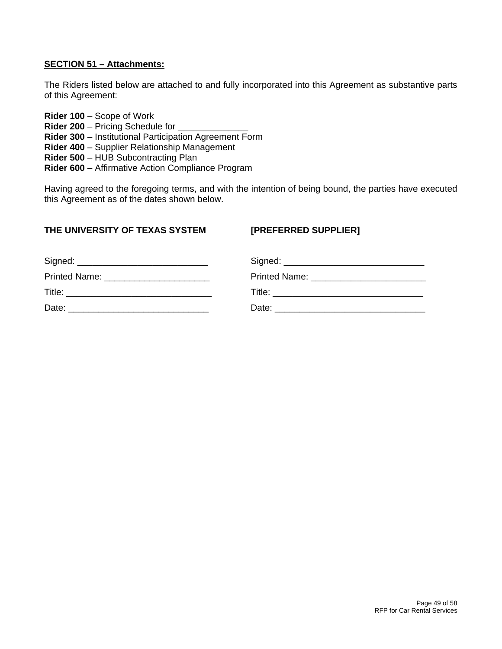# **SECTION 51 – Attachments:**

The Riders listed below are attached to and fully incorporated into this Agreement as substantive parts of this Agreement:

**Rider 100** – Scope of Work **Rider 200 – Pricing Schedule for Rider 300** – Institutional Participation Agreement Form **Rider 400** – Supplier Relationship Management **Rider 500** – HUB Subcontracting Plan **Rider 600** – Affirmative Action Compliance Program

Having agreed to the foregoing terms, and with the intention of being bound, the parties have executed this Agreement as of the dates shown below.

### **THE UNIVERSITY OF TEXAS SYSTEM [PREFERRED SUPPLIER]**

| Printed Name: _________________________ |       |
|-----------------------------------------|-------|
|                                         |       |
| Date:                                   | Date: |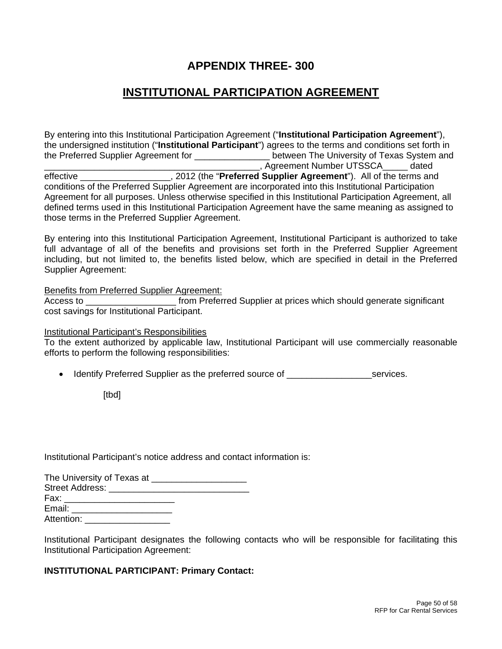# **APPENDIX THREE- 300**

# **INSTITUTIONAL PARTICIPATION AGREEMENT**

By entering into this Institutional Participation Agreement ("**Institutional Participation Agreement**"), the undersigned institution ("**Institutional Participant**") agrees to the terms and conditions set forth in the Preferred Supplier Agreement for \_\_\_\_\_\_\_\_\_\_\_\_\_\_\_ between The University of Texas System and \_\_\_\_\_\_\_\_\_\_\_\_\_\_\_\_\_\_\_\_\_\_\_\_\_\_\_\_\_\_\_\_\_\_\_\_\_\_\_\_\_\_\_, Agreement Number UTSSCA\_\_\_\_\_ dated effective **Example 2012** (the "**Preferred Supplier Agreement**"). All of the terms and conditions of the Preferred Supplier Agreement are incorporated into this Institutional Participation Agreement for all purposes. Unless otherwise specified in this Institutional Participation Agreement, all defined terms used in this Institutional Participation Agreement have the same meaning as assigned to those terms in the Preferred Supplier Agreement.

By entering into this Institutional Participation Agreement, Institutional Participant is authorized to take full advantage of all of the benefits and provisions set forth in the Preferred Supplier Agreement including, but not limited to, the benefits listed below, which are specified in detail in the Preferred Supplier Agreement:

Benefits from Preferred Supplier Agreement:

Access to **Exercise 1** from Preferred Supplier at prices which should generate significant cost savings for Institutional Participant.

Institutional Participant's Responsibilities

To the extent authorized by applicable law, Institutional Participant will use commercially reasonable efforts to perform the following responsibilities:

• Identify Preferred Supplier as the preferred source of \_\_\_\_\_\_\_\_\_\_\_\_\_\_\_\_\_\_\_\_\_services.

[tbd]

Institutional Participant's notice address and contact information is:

| The University of Texas at ______________________                                                                                                                                                                              |
|--------------------------------------------------------------------------------------------------------------------------------------------------------------------------------------------------------------------------------|
|                                                                                                                                                                                                                                |
| Fax: ________________________                                                                                                                                                                                                  |
| Email: Email: Email: Email: Email: Email: Email: Email: Email: Email: Email: Email: Email: Email: Email: Email: Email: Email: Email: Email: Email: Email: Email: Email: Email: Email: Email: Email: Email: Email: Email: Email |
| Attention:                                                                                                                                                                                                                     |

Institutional Participant designates the following contacts who will be responsible for facilitating this Institutional Participation Agreement:

### **INSTITUTIONAL PARTICIPANT: Primary Contact:**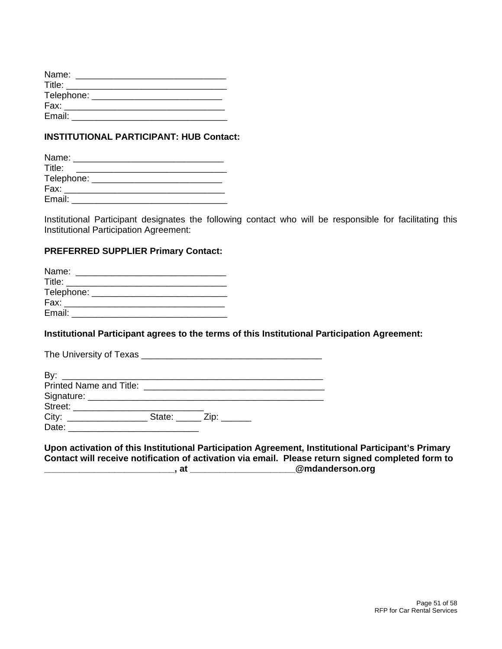| Name:      |  |  |
|------------|--|--|
| Title:     |  |  |
| Telephone: |  |  |
| Fax:       |  |  |
| Email:     |  |  |

# **INSTITUTIONAL PARTICIPANT: HUB Contact:**

| Name:      |  |
|------------|--|
| Title:     |  |
| Telephone: |  |
| Fax:       |  |
| Email:     |  |

Institutional Participant designates the following contact who will be responsible for facilitating this Institutional Participation Agreement:

### **PREFERRED SUPPLIER Primary Contact:**

| Name:  |                                  |
|--------|----------------------------------|
| Title: |                                  |
|        | Telephone: _____________________ |
| Fax:   |                                  |
| Email: |                                  |

# **Institutional Participant agrees to the terms of this Institutional Participation Agreement:**

### **Upon activation of this Institutional Participation Agreement, Institutional Participant's Primary Contact will receive notification of activation via email. Please return signed completed form to \_\_\_\_\_\_\_\_\_\_\_\_\_\_\_\_\_\_\_\_\_\_\_\_\_\_, at \_\_\_\_\_\_\_\_\_\_\_\_\_\_\_\_\_\_\_\_\_@mdanderson.org**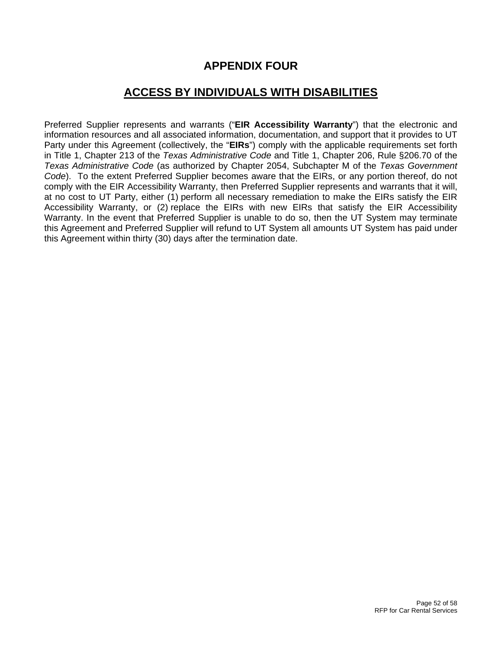# **APPENDIX FOUR**

# **ACCESS BY INDIVIDUALS WITH DISABILITIES**

Preferred Supplier represents and warrants ("**EIR Accessibility Warranty**") that the electronic and information resources and all associated information, documentation, and support that it provides to UT Party under this Agreement (collectively, the "**EIRs**") comply with the applicable requirements set forth in Title 1, Chapter 213 of the *Texas Administrative Code* and Title 1, Chapter 206, Rule §206.70 of the *Texas Administrative Code* (as authorized by Chapter 2054, Subchapter M of the *Texas Government Code*). To the extent Preferred Supplier becomes aware that the EIRs, or any portion thereof, do not comply with the EIR Accessibility Warranty, then Preferred Supplier represents and warrants that it will, at no cost to UT Party, either (1) perform all necessary remediation to make the EIRs satisfy the EIR Accessibility Warranty, or (2) replace the EIRs with new EIRs that satisfy the EIR Accessibility Warranty. In the event that Preferred Supplier is unable to do so, then the UT System may terminate this Agreement and Preferred Supplier will refund to UT System all amounts UT System has paid under this Agreement within thirty (30) days after the termination date.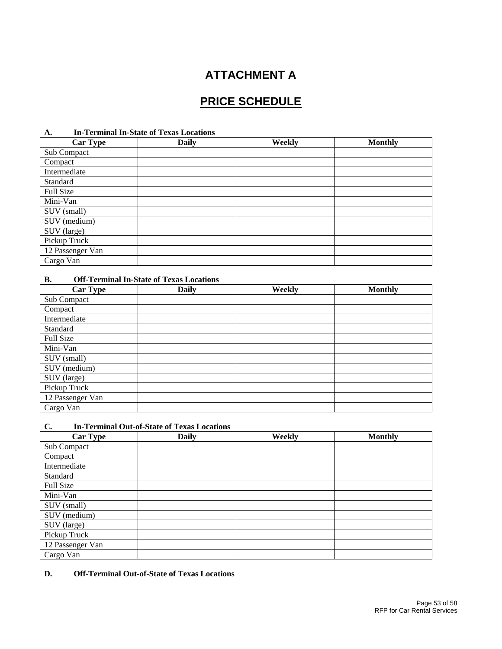# **ATTACHMENT A**

# **PRICE SCHEDULE**

### **A. In-Terminal In-State of Texas Locations**

| <b>Car Type</b>  | <b>Daily</b> | Weekly | <b>Monthly</b> |
|------------------|--------------|--------|----------------|
| Sub Compact      |              |        |                |
| Compact          |              |        |                |
| Intermediate     |              |        |                |
| Standard         |              |        |                |
| Full Size        |              |        |                |
| Mini-Van         |              |        |                |
| SUV (small)      |              |        |                |
| SUV (medium)     |              |        |                |
| SUV (large)      |              |        |                |
| Pickup Truck     |              |        |                |
| 12 Passenger Van |              |        |                |
| Cargo Van        |              |        |                |

### **B. Off-Terminal In-State of Texas Locations**

| <b>Car Type</b>  | <b>Daily</b> | Weekly | <b>Monthly</b> |
|------------------|--------------|--------|----------------|
| Sub Compact      |              |        |                |
| Compact          |              |        |                |
| Intermediate     |              |        |                |
| Standard         |              |        |                |
| Full Size        |              |        |                |
| Mini-Van         |              |        |                |
| SUV (small)      |              |        |                |
| SUV (medium)     |              |        |                |
| SUV (large)      |              |        |                |
| Pickup Truck     |              |        |                |
| 12 Passenger Van |              |        |                |
| Cargo Van        |              |        |                |

#### **C. In-Terminal Out-of-State of Texas Locations**

| <b>Car Type</b>  | <b>Daily</b> | Weekly | <b>Monthly</b> |
|------------------|--------------|--------|----------------|
| Sub Compact      |              |        |                |
| Compact          |              |        |                |
| Intermediate     |              |        |                |
| Standard         |              |        |                |
| Full Size        |              |        |                |
| Mini-Van         |              |        |                |
| SUV (small)      |              |        |                |
| SUV (medium)     |              |        |                |
| SUV (large)      |              |        |                |
| Pickup Truck     |              |        |                |
| 12 Passenger Van |              |        |                |
| Cargo Van        |              |        |                |

### **D. Off-Terminal Out-of-State of Texas Locations**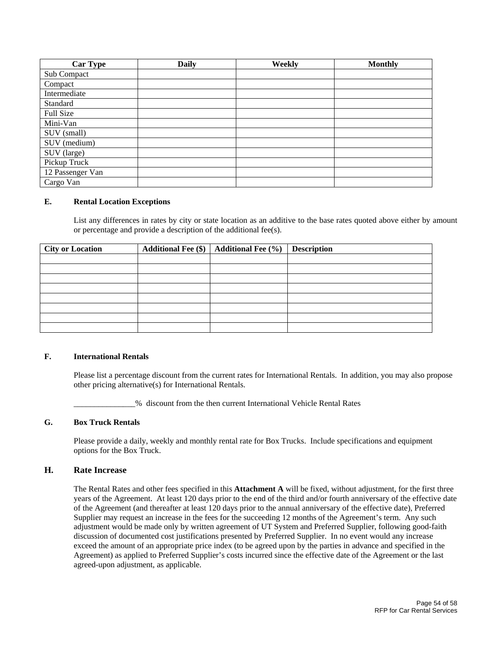| <b>Car Type</b>  | Daily | Weekly | <b>Monthly</b> |
|------------------|-------|--------|----------------|
| Sub Compact      |       |        |                |
| Compact          |       |        |                |
| Intermediate     |       |        |                |
| Standard         |       |        |                |
| Full Size        |       |        |                |
| Mini-Van         |       |        |                |
| SUV (small)      |       |        |                |
| SUV (medium)     |       |        |                |
| SUV (large)      |       |        |                |
| Pickup Truck     |       |        |                |
| 12 Passenger Van |       |        |                |
| Cargo Van        |       |        |                |

#### **E. Rental Location Exceptions**

List any differences in rates by city or state location as an additive to the base rates quoted above either by amount or percentage and provide a description of the additional fee(s).

| <b>City or Location</b> | Additional Fee $(\$)$   Additional Fee $(\%)$ | <b>Description</b> |
|-------------------------|-----------------------------------------------|--------------------|
|                         |                                               |                    |
|                         |                                               |                    |
|                         |                                               |                    |
|                         |                                               |                    |
|                         |                                               |                    |
|                         |                                               |                    |
|                         |                                               |                    |
|                         |                                               |                    |

#### **F. International Rentals**

Please list a percentage discount from the current rates for International Rentals. In addition, you may also propose other pricing alternative(s) for International Rentals.

\_\_\_\_\_\_\_\_\_\_\_\_\_\_\_% discount from the then current International Vehicle Rental Rates

#### **G. Box Truck Rentals**

Please provide a daily, weekly and monthly rental rate for Box Trucks. Include specifications and equipment options for the Box Truck.

#### **H. Rate Increase**

The Rental Rates and other fees specified in this **Attachment A** will be fixed, without adjustment, for the first three years of the Agreement. At least 120 days prior to the end of the third and/or fourth anniversary of the effective date of the Agreement (and thereafter at least 120 days prior to the annual anniversary of the effective date), Preferred Supplier may request an increase in the fees for the succeeding 12 months of the Agreement's term. Any such adjustment would be made only by written agreement of UT System and Preferred Supplier, following good-faith discussion of documented cost justifications presented by Preferred Supplier. In no event would any increase exceed the amount of an appropriate price index (to be agreed upon by the parties in advance and specified in the Agreement) as applied to Preferred Supplier's costs incurred since the effective date of the Agreement or the last agreed-upon adjustment, as applicable.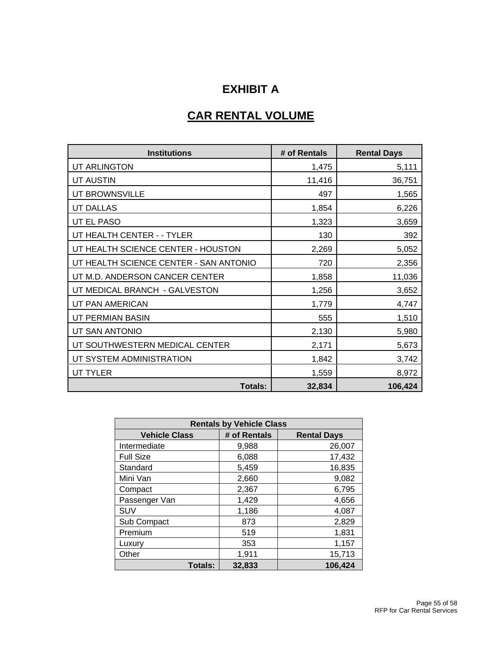# **EXHIBIT A**

# **CAR RENTAL VOLUME**

| <b>Institutions</b>                    | # of Rentals | <b>Rental Days</b> |
|----------------------------------------|--------------|--------------------|
| UT ARLINGTON                           | 1,475        | 5,111              |
| <b>UT AUSTIN</b>                       | 11,416       | 36,751             |
| UT BROWNSVILLE                         | 497          | 1,565              |
| <b>UT DALLAS</b>                       | 1,854        | 6,226              |
| UT EL PASO                             | 1,323        | 3,659              |
| UT HEALTH CENTER - - TYLER             | 130          | 392                |
| UT HEALTH SCIENCE CENTER - HOUSTON     | 2,269        | 5,052              |
| UT HEALTH SCIENCE CENTER - SAN ANTONIO | 720          | 2,356              |
| UT M.D. ANDERSON CANCER CENTER         | 1,858        | 11,036             |
| UT MEDICAL BRANCH - GALVESTON          | 1,256        | 3,652              |
| UT PAN AMERICAN                        | 1,779        | 4,747              |
| UT PERMIAN BASIN                       | 555          | 1,510              |
| UT SAN ANTONIO                         | 2,130        | 5,980              |
| UT SOUTHWESTERN MEDICAL CENTER         | 2,171        | 5,673              |
| UT SYSTEM ADMINISTRATION               | 1,842        | 3,742              |
| <b>UT TYLER</b>                        | 1,559        | 8,972              |
| <b>Totals:</b>                         | 32,834       | 106,424            |

| <b>Rentals by Vehicle Class</b> |              |                    |  |  |  |
|---------------------------------|--------------|--------------------|--|--|--|
| <b>Vehicle Class</b>            | # of Rentals | <b>Rental Days</b> |  |  |  |
| Intermediate                    | 9,988        | 26,007             |  |  |  |
| <b>Full Size</b>                | 6,088        | 17,432             |  |  |  |
| Standard                        | 5,459        | 16,835             |  |  |  |
| Mini Van                        | 2,660        | 9,082              |  |  |  |
| Compact                         | 2,367        | 6,795              |  |  |  |
| Passenger Van                   | 1,429        | 4,656              |  |  |  |
| SUV                             | 1,186        | 4,087              |  |  |  |
| Sub Compact                     | 873          | 2,829              |  |  |  |
| Premium                         | 519          | 1,831              |  |  |  |
| Luxury                          | 353          | 1,157              |  |  |  |
| Other                           | 1,911        | 15,713             |  |  |  |
| <b>Totals:</b>                  | 32,833       | 106,424            |  |  |  |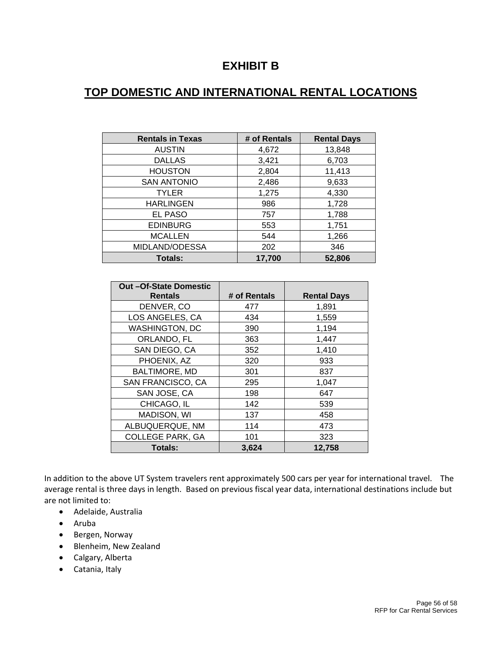# **EXHIBIT B**

# **TOP DOMESTIC AND INTERNATIONAL RENTAL LOCATIONS**

| <b>Rentals in Texas</b> | # of Rentals | <b>Rental Days</b> |
|-------------------------|--------------|--------------------|
| <b>AUSTIN</b>           | 4,672        | 13,848             |
| <b>DALLAS</b>           | 3,421        | 6,703              |
| <b>HOUSTON</b>          | 2,804        | 11,413             |
| <b>SAN ANTONIO</b>      | 2,486        | 9,633              |
| <b>TYLER</b>            | 1,275        | 4,330              |
| <b>HARLINGEN</b>        | 986          | 1,728              |
| EL PASO                 | 757          | 1,788              |
| <b>EDINBURG</b>         | 553          | 1,751              |
| <b>MCALLEN</b>          | 544          | 1,266              |
| MIDLAND/ODESSA          | 202          | 346                |
| Totals:                 | 17,700       | 52,806             |

| Out-Of-State Domestic   |              |                    |
|-------------------------|--------------|--------------------|
| <b>Rentals</b>          | # of Rentals | <b>Rental Days</b> |
| DENVER, CO              | 477          | 1,891              |
| LOS ANGELES, CA         | 434          | 1,559              |
| <b>WASHINGTON, DC</b>   | 390          | 1,194              |
| ORLANDO, FL             | 363          | 1,447              |
| SAN DIEGO, CA           | 352          | 1,410              |
| PHOENIX, AZ             | 320          | 933                |
| <b>BALTIMORE, MD</b>    | 301          | 837                |
| SAN FRANCISCO, CA       | 295          | 1,047              |
| SAN JOSE, CA            | 198          | 647                |
| CHICAGO, IL             | 142          | 539                |
| <b>MADISON, WI</b>      | 137          | 458                |
| ALBUQUERQUE, NM         | 114          | 473                |
| <b>COLLEGE PARK, GA</b> | 101          | 323                |
| <b>Totals:</b>          | 3,624        | 12,758             |

In addition to the above UT System travelers rent approximately 500 cars per year for international travel. The average rental is three days in length. Based on previous fiscal year data, international destinations include but are not limited to:

- Adelaide, Australia
- Aruba
- Bergen, Norway
- Blenheim, New Zealand
- Calgary, Alberta
- Catania, Italy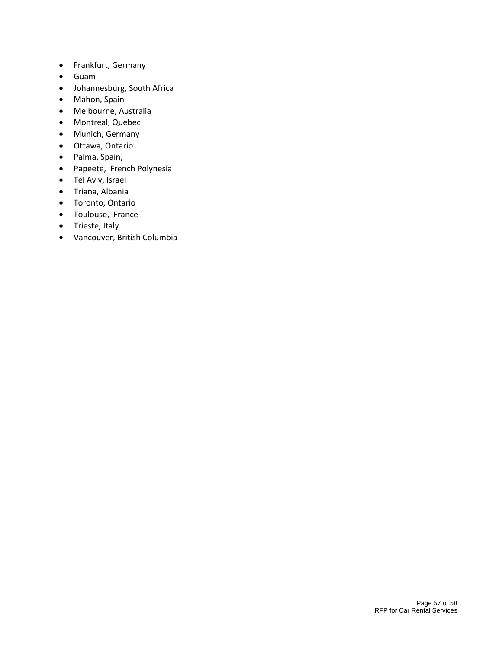- Frankfurt, Germany
- Guam
- Johannesburg, South Africa
- Mahon, Spain
- Melbourne, Australia
- Montreal, Quebec
- Munich, Germany
- Ottawa, Ontario
- Palma, Spain,
- Papeete, French Polynesia
- Tel Aviv, Israel
- Triana, Albania
- Toronto, Ontario
- Toulouse, France
- Trieste, Italy
- Vancouver, British Columbia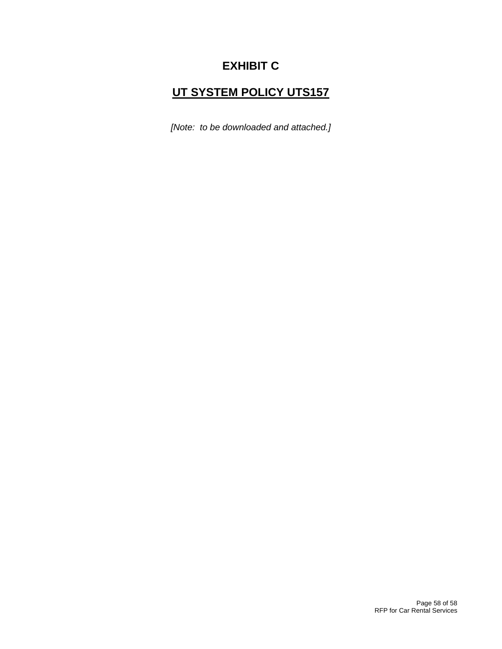# **EXHIBIT C**

# **UT SYSTEM POLICY UTS157**

*[Note: to be downloaded and attached.]*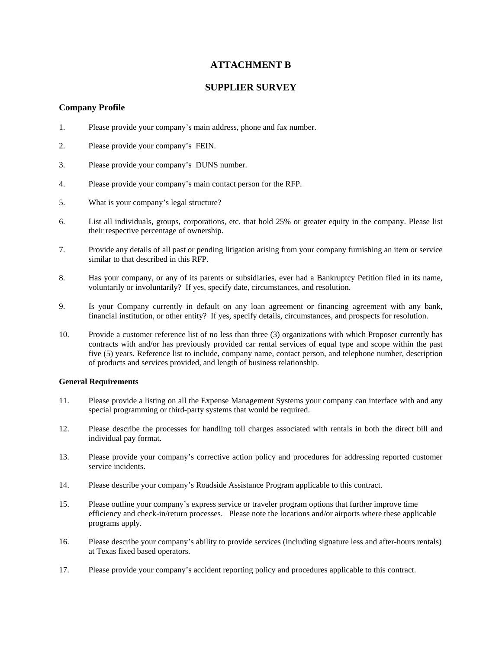# **ATTACHMENT B**

### **SUPPLIER SURVEY**

### **Company Profile**

- 1. Please provide your company's main address, phone and fax number.
- 2. Please provide your company's FEIN.
- 3. Please provide your company's DUNS number.
- 4. Please provide your company's main contact person for the RFP.
- 5. What is your company's legal structure?
- 6. List all individuals, groups, corporations, etc. that hold 25% or greater equity in the company. Please list their respective percentage of ownership.
- 7. Provide any details of all past or pending litigation arising from your company furnishing an item or service similar to that described in this RFP.
- 8. Has your company, or any of its parents or subsidiaries, ever had a Bankruptcy Petition filed in its name, voluntarily or involuntarily? If yes, specify date, circumstances, and resolution.
- 9. Is your Company currently in default on any loan agreement or financing agreement with any bank, financial institution, or other entity? If yes, specify details, circumstances, and prospects for resolution.
- 10. Provide a customer reference list of no less than three (3) organizations with which Proposer currently has contracts with and/or has previously provided car rental services of equal type and scope within the past five (5) years. Reference list to include, company name, contact person, and telephone number, description of products and services provided, and length of business relationship.

#### **General Requirements**

- 11. Please provide a listing on all the Expense Management Systems your company can interface with and any special programming or third-party systems that would be required.
- 12. Please describe the processes for handling toll charges associated with rentals in both the direct bill and individual pay format.
- 13. Please provide your company's corrective action policy and procedures for addressing reported customer service incidents
- 14. Please describe your company's Roadside Assistance Program applicable to this contract.
- 15. Please outline your company's express service or traveler program options that further improve time efficiency and check-in/return processes. Please note the locations and/or airports where these applicable programs apply.
- 16. Please describe your company's ability to provide services (including signature less and after-hours rentals) at Texas fixed based operators.
- 17. Please provide your company's accident reporting policy and procedures applicable to this contract.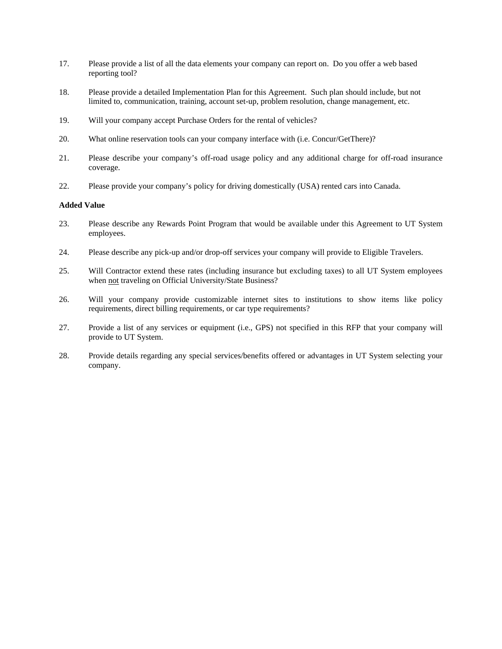- 17. Please provide a list of all the data elements your company can report on. Do you offer a web based reporting tool?
- 18. Please provide a detailed Implementation Plan for this Agreement. Such plan should include, but not limited to, communication, training, account set-up, problem resolution, change management, etc.
- 19. Will your company accept Purchase Orders for the rental of vehicles?
- 20. What online reservation tools can your company interface with (i.e. Concur/GetThere)?
- 21. Please describe your company's off-road usage policy and any additional charge for off-road insurance coverage.
- 22. Please provide your company's policy for driving domestically (USA) rented cars into Canada.

#### **Added Value**

- 23. Please describe any Rewards Point Program that would be available under this Agreement to UT System employees.
- 24. Please describe any pick-up and/or drop-off services your company will provide to Eligible Travelers.
- 25. Will Contractor extend these rates (including insurance but excluding taxes) to all UT System employees when not traveling on Official University/State Business?
- 26. Will your company provide customizable internet sites to institutions to show items like policy requirements, direct billing requirements, or car type requirements?
- 27. Provide a list of any services or equipment (i.e., GPS) not specified in this RFP that your company will provide to UT System.
- 28. Provide details regarding any special services/benefits offered or advantages in UT System selecting your company.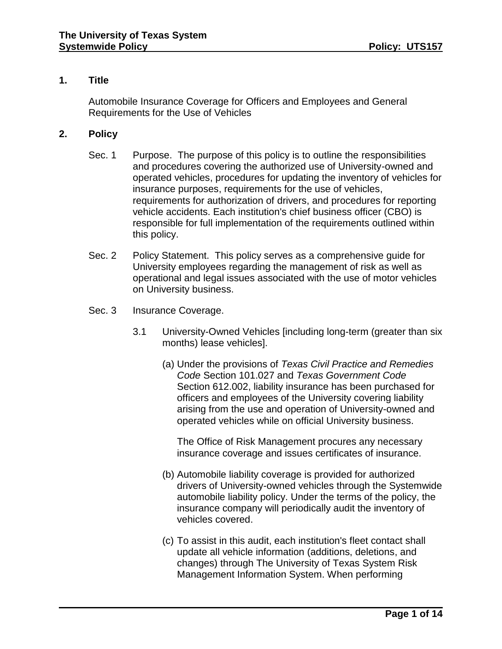# **1. Title**

Automobile Insurance Coverage for Officers and Employees and General Requirements for the Use of Vehicles

# **2. Policy**

- Sec. 1 Purpose. The purpose of this policy is to outline the responsibilities and procedures covering the authorized use of University-owned and operated vehicles, procedures for updating the inventory of vehicles for insurance purposes, requirements for the use of vehicles, requirements for authorization of drivers, and procedures for reporting vehicle accidents. Each institution's chief business officer (CBO) is responsible for full implementation of the requirements outlined within this policy.
- Sec. 2 Policy Statement. This policy serves as a comprehensive guide for University employees regarding the management of risk as well as operational and legal issues associated with the use of motor vehicles on University business.
- Sec. 3 Insurance Coverage.
	- 3.1 University-Owned Vehicles [including long-term (greater than six months) lease vehicles].
		- (a) Under the provisions of *Texas Civil Practice and Remedies Code* Section 101.027 and *Texas Government Code* Section 612.002, liability insurance has been purchased for officers and employees of the University covering liability arising from the use and operation of University-owned and operated vehicles while on official University business.

The Office of Risk Management procures any necessary insurance coverage and issues certificates of insurance.

- (b) Automobile liability coverage is provided for authorized drivers of University-owned vehicles through the Systemwide automobile liability policy. Under the terms of the policy, the insurance company will periodically audit the inventory of vehicles covered.
- (c) To assist in this audit, each institution's fleet contact shall update all vehicle information (additions, deletions, and changes) through The University of Texas System Risk Management Information System. When performing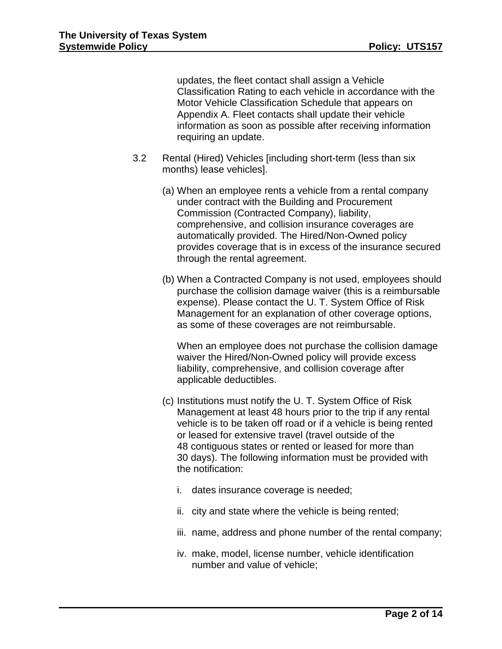updates, the fleet contact shall assign a Vehicle Classification Rating to each vehicle in accordance with the Motor Vehicle Classification Schedule that appears on Appendix A. Fleet contacts shall update their vehicle information as soon as possible after receiving information requiring an update.

- 3.2 Rental (Hired) Vehicles [including short-term (less than six months) lease vehicles].
	- (a) When an employee rents a vehicle from a rental company under contract with the Building and Procurement Commission (Contracted Company), liability, comprehensive, and collision insurance coverages are automatically provided. The Hired/Non-Owned policy provides coverage that is in excess of the insurance secured through the rental agreement.
	- (b) When a Contracted Company is not used, employees should purchase the collision damage waiver (this is a reimbursable expense). Please contact the U. T. System Office of Risk Management for an explanation of other coverage options, as some of these coverages are not reimbursable.

When an employee does not purchase the collision damage waiver the Hired/Non-Owned policy will provide excess liability, comprehensive, and collision coverage after applicable deductibles.

- (c) Institutions must notify the U. T. System Office of Risk Management at least 48 hours prior to the trip if any rental vehicle is to be taken off road or if a vehicle is being rented or leased for extensive travel (travel outside of the 48 contiguous states or rented or leased for more than 30 days). The following information must be provided with the notification:
	- i. dates insurance coverage is needed;
	- ii. city and state where the vehicle is being rented;
	- iii. name, address and phone number of the rental company;
	- iv. make, model, license number, vehicle identification number and value of vehicle;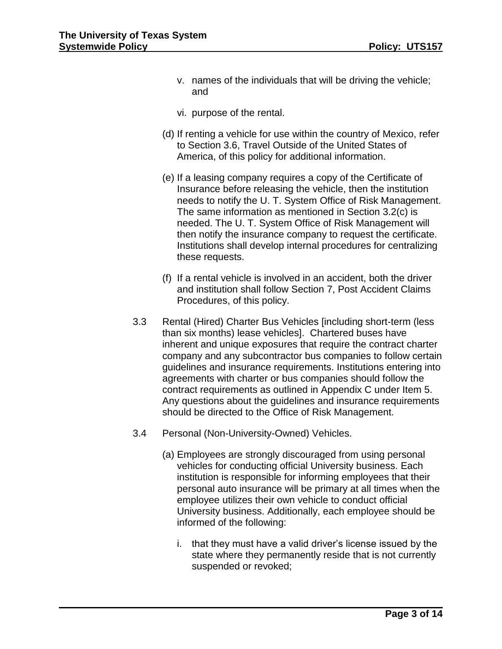- v. names of the individuals that will be driving the vehicle; and
- vi. purpose of the rental.
- (d) If renting a vehicle for use within the country of Mexico, refer to Section 3.6, Travel Outside of the United States of America, of this policy for additional information.
- (e) If a leasing company requires a copy of the Certificate of Insurance before releasing the vehicle, then the institution needs to notify the U. T. System Office of Risk Management. The same information as mentioned in Section 3.2(c) is needed. The U. T. System Office of Risk Management will then notify the insurance company to request the certificate. Institutions shall develop internal procedures for centralizing these requests.
- (f) If a rental vehicle is involved in an accident, both the driver and institution shall follow Section 7, Post Accident Claims Procedures, of this policy.
- 3.3 Rental (Hired) Charter Bus Vehicles [including short-term (less than six months) lease vehicles]. Chartered buses have inherent and unique exposures that require the contract charter company and any subcontractor bus companies to follow certain guidelines and insurance requirements. Institutions entering into agreements with charter or bus companies should follow the contract requirements as outlined in Appendix C under Item 5. Any questions about the guidelines and insurance requirements should be directed to the Office of Risk Management.
- 3.4 Personal (Non-University-Owned) Vehicles.
	- (a) Employees are strongly discouraged from using personal vehicles for conducting official University business. Each institution is responsible for informing employees that their personal auto insurance will be primary at all times when the employee utilizes their own vehicle to conduct official University business. Additionally, each employee should be informed of the following:
		- i. that they must have a valid driver's license issued by the state where they permanently reside that is not currently suspended or revoked;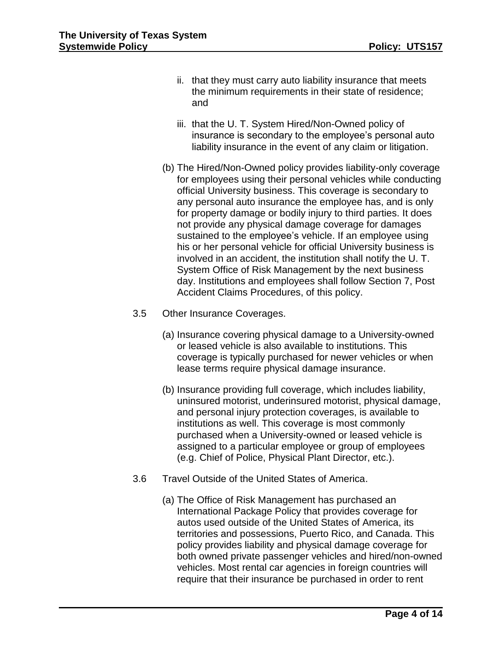- ii. that they must carry auto liability insurance that meets the minimum requirements in their state of residence; and
- iii. that the U. T. System Hired/Non-Owned policy of insurance is secondary to the employee's personal auto liability insurance in the event of any claim or litigation.
- (b) The Hired/Non-Owned policy provides liability-only coverage for employees using their personal vehicles while conducting official University business. This coverage is secondary to any personal auto insurance the employee has, and is only for property damage or bodily injury to third parties. It does not provide any physical damage coverage for damages sustained to the employee's vehicle. If an employee using his or her personal vehicle for official University business is involved in an accident, the institution shall notify the U. T. System Office of Risk Management by the next business day. Institutions and employees shall follow Section 7, Post Accident Claims Procedures, of this policy.
- 3.5 Other Insurance Coverages.
	- (a) Insurance covering physical damage to a University-owned or leased vehicle is also available to institutions. This coverage is typically purchased for newer vehicles or when lease terms require physical damage insurance.
	- (b) Insurance providing full coverage, which includes liability, uninsured motorist, underinsured motorist, physical damage, and personal injury protection coverages, is available to institutions as well. This coverage is most commonly purchased when a University-owned or leased vehicle is assigned to a particular employee or group of employees (e.g. Chief of Police, Physical Plant Director, etc.).
- 3.6 Travel Outside of the United States of America.
	- (a) The Office of Risk Management has purchased an International Package Policy that provides coverage for autos used outside of the United States of America, its territories and possessions, Puerto Rico, and Canada. This policy provides liability and physical damage coverage for both owned private passenger vehicles and hired/non-owned vehicles. Most rental car agencies in foreign countries will require that their insurance be purchased in order to rent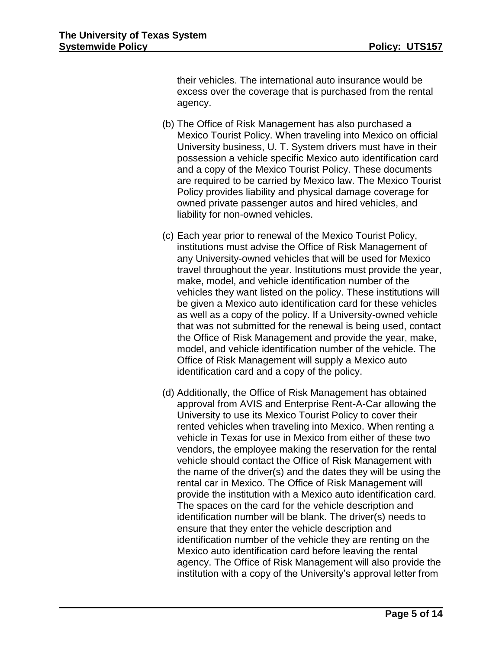their vehicles. The international auto insurance would be excess over the coverage that is purchased from the rental agency.

- (b) The Office of Risk Management has also purchased a Mexico Tourist Policy. When traveling into Mexico on official University business, U. T. System drivers must have in their possession a vehicle specific Mexico auto identification card and a copy of the Mexico Tourist Policy. These documents are required to be carried by Mexico law. The Mexico Tourist Policy provides liability and physical damage coverage for owned private passenger autos and hired vehicles, and liability for non-owned vehicles.
- (c) Each year prior to renewal of the Mexico Tourist Policy, institutions must advise the Office of Risk Management of any University-owned vehicles that will be used for Mexico travel throughout the year. Institutions must provide the year, make, model, and vehicle identification number of the vehicles they want listed on the policy. These institutions will be given a Mexico auto identification card for these vehicles as well as a copy of the policy. If a University-owned vehicle that was not submitted for the renewal is being used, contact the Office of Risk Management and provide the year, make, model, and vehicle identification number of the vehicle. The Office of Risk Management will supply a Mexico auto identification card and a copy of the policy.
- (d) Additionally, the Office of Risk Management has obtained approval from AVIS and Enterprise Rent-A-Car allowing the University to use its Mexico Tourist Policy to cover their rented vehicles when traveling into Mexico. When renting a vehicle in Texas for use in Mexico from either of these two vendors, the employee making the reservation for the rental vehicle should contact the Office of Risk Management with the name of the driver(s) and the dates they will be using the rental car in Mexico. The Office of Risk Management will provide the institution with a Mexico auto identification card. The spaces on the card for the vehicle description and identification number will be blank. The driver(s) needs to ensure that they enter the vehicle description and identification number of the vehicle they are renting on the Mexico auto identification card before leaving the rental agency. The Office of Risk Management will also provide the institution with a copy of the University's approval letter from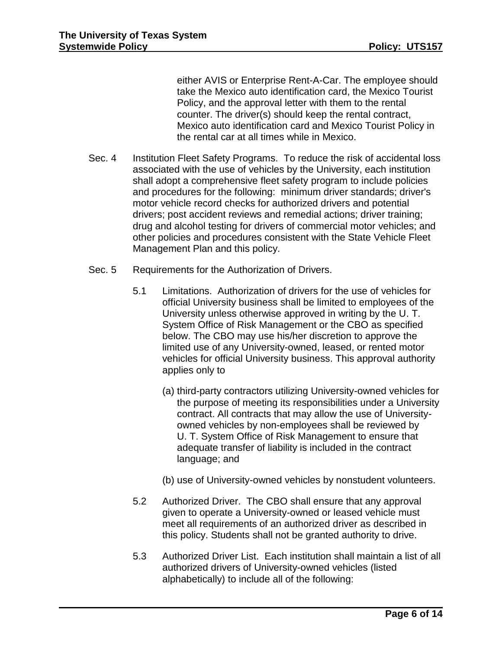either AVIS or Enterprise Rent-A-Car. The employee should take the Mexico auto identification card, the Mexico Tourist Policy, and the approval letter with them to the rental counter. The driver(s) should keep the rental contract, Mexico auto identification card and Mexico Tourist Policy in the rental car at all times while in Mexico.

- Sec. 4 Institution Fleet Safety Programs. To reduce the risk of accidental loss associated with the use of vehicles by the University, each institution shall adopt a comprehensive fleet safety program to include policies and procedures for the following: minimum driver standards; driver's motor vehicle record checks for authorized drivers and potential drivers; post accident reviews and remedial actions; driver training; drug and alcohol testing for drivers of commercial motor vehicles; and other policies and procedures consistent with the State Vehicle Fleet Management Plan and this policy.
- Sec. 5 Requirements for the Authorization of Drivers.
	- 5.1 Limitations. Authorization of drivers for the use of vehicles for official University business shall be limited to employees of the University unless otherwise approved in writing by the U. T. System Office of Risk Management or the CBO as specified below. The CBO may use his/her discretion to approve the limited use of any University-owned, leased, or rented motor vehicles for official University business. This approval authority applies only to
		- (a) third-party contractors utilizing University-owned vehicles for the purpose of meeting its responsibilities under a University contract. All contracts that may allow the use of Universityowned vehicles by non-employees shall be reviewed by U. T. System Office of Risk Management to ensure that adequate transfer of liability is included in the contract language; and
		- (b) use of University-owned vehicles by nonstudent volunteers.
	- 5.2 Authorized Driver. The CBO shall ensure that any approval given to operate a University-owned or leased vehicle must meet all requirements of an authorized driver as described in this policy. Students shall not be granted authority to drive.
	- 5.3 Authorized Driver List. Each institution shall maintain a list of all authorized drivers of University-owned vehicles (listed alphabetically) to include all of the following: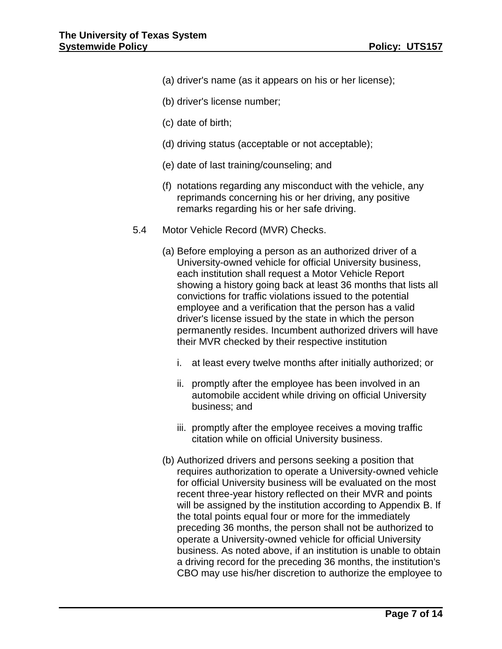- (a) driver's name (as it appears on his or her license);
- (b) driver's license number;
- (c) date of birth;
- (d) driving status (acceptable or not acceptable);
- (e) date of last training/counseling; and
- (f) notations regarding any misconduct with the vehicle, any reprimands concerning his or her driving, any positive remarks regarding his or her safe driving.
- 5.4 Motor Vehicle Record (MVR) Checks.
	- (a) Before employing a person as an authorized driver of a University-owned vehicle for official University business, each institution shall request a Motor Vehicle Report showing a history going back at least 36 months that lists all convictions for traffic violations issued to the potential employee and a verification that the person has a valid driver's license issued by the state in which the person permanently resides. Incumbent authorized drivers will have their MVR checked by their respective institution
		- i. at least every twelve months after initially authorized; or
		- ii. promptly after the employee has been involved in an automobile accident while driving on official University business; and
		- iii. promptly after the employee receives a moving traffic citation while on official University business.
	- (b) Authorized drivers and persons seeking a position that requires authorization to operate a University-owned vehicle for official University business will be evaluated on the most recent three-year history reflected on their MVR and points will be assigned by the institution according to Appendix B. If the total points equal four or more for the immediately preceding 36 months, the person shall not be authorized to operate a University-owned vehicle for official University business. As noted above, if an institution is unable to obtain a driving record for the preceding 36 months, the institution's CBO may use his/her discretion to authorize the employee to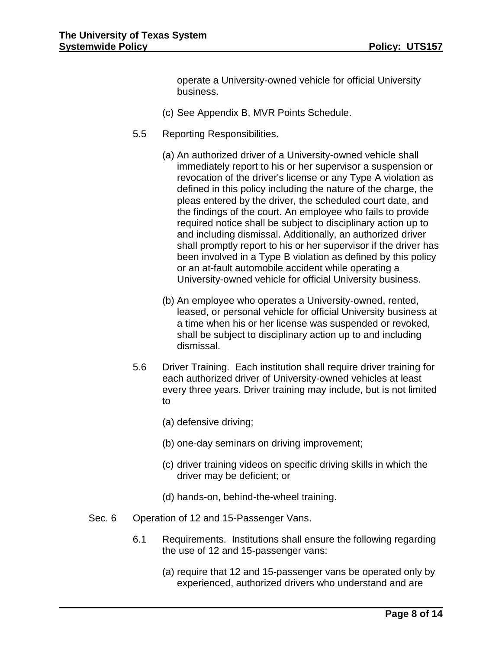operate a University-owned vehicle for official University business.

- (c) See Appendix B, MVR Points Schedule.
- 5.5 Reporting Responsibilities.
	- (a) An authorized driver of a University-owned vehicle shall immediately report to his or her supervisor a suspension or revocation of the driver's license or any Type A violation as defined in this policy including the nature of the charge, the pleas entered by the driver, the scheduled court date, and the findings of the court. An employee who fails to provide required notice shall be subject to disciplinary action up to and including dismissal. Additionally, an authorized driver shall promptly report to his or her supervisor if the driver has been involved in a Type B violation as defined by this policy or an at-fault automobile accident while operating a University-owned vehicle for official University business.
	- (b) An employee who operates a University-owned, rented, leased, or personal vehicle for official University business at a time when his or her license was suspended or revoked, shall be subject to disciplinary action up to and including dismissal.
- 5.6 Driver Training. Each institution shall require driver training for each authorized driver of University-owned vehicles at least every three years. Driver training may include, but is not limited to
	- (a) defensive driving;
	- (b) one-day seminars on driving improvement;
	- (c) driver training videos on specific driving skills in which the driver may be deficient; or
	- (d) hands-on, behind-the-wheel training.
- Sec. 6 Operation of 12 and 15-Passenger Vans.
	- 6.1 Requirements. Institutions shall ensure the following regarding the use of 12 and 15-passenger vans:
		- (a) require that 12 and 15-passenger vans be operated only by experienced, authorized drivers who understand and are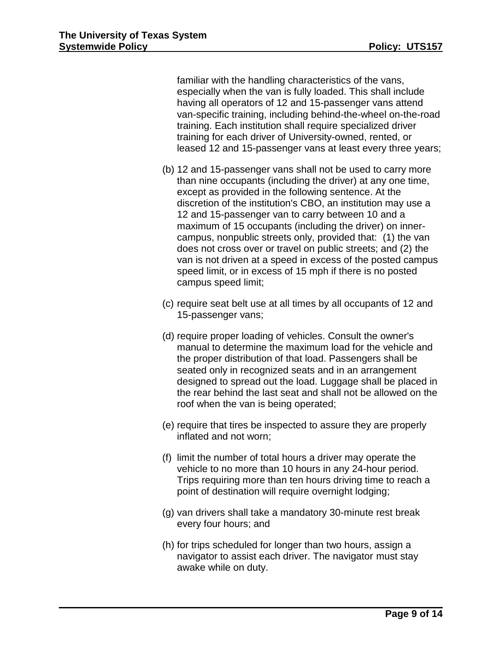familiar with the handling characteristics of the vans, especially when the van is fully loaded. This shall include having all operators of 12 and 15-passenger vans attend van-specific training, including behind-the-wheel on-the-road training. Each institution shall require specialized driver training for each driver of University-owned, rented, or leased 12 and 15-passenger vans at least every three years;

- (b) 12 and 15-passenger vans shall not be used to carry more than nine occupants (including the driver) at any one time, except as provided in the following sentence. At the discretion of the institution's CBO, an institution may use a 12 and 15-passenger van to carry between 10 and a maximum of 15 occupants (including the driver) on innercampus, nonpublic streets only, provided that: (1) the van does not cross over or travel on public streets; and (2) the van is not driven at a speed in excess of the posted campus speed limit, or in excess of 15 mph if there is no posted campus speed limit;
- (c) require seat belt use at all times by all occupants of 12 and 15-passenger vans;
- (d) require proper loading of vehicles. Consult the owner's manual to determine the maximum load for the vehicle and the proper distribution of that load. Passengers shall be seated only in recognized seats and in an arrangement designed to spread out the load. Luggage shall be placed in the rear behind the last seat and shall not be allowed on the roof when the van is being operated;
- (e) require that tires be inspected to assure they are properly inflated and not worn;
- (f) limit the number of total hours a driver may operate the vehicle to no more than 10 hours in any 24-hour period. Trips requiring more than ten hours driving time to reach a point of destination will require overnight lodging;
- (g) van drivers shall take a mandatory 30-minute rest break every four hours; and
- (h) for trips scheduled for longer than two hours, assign a navigator to assist each driver. The navigator must stay awake while on duty.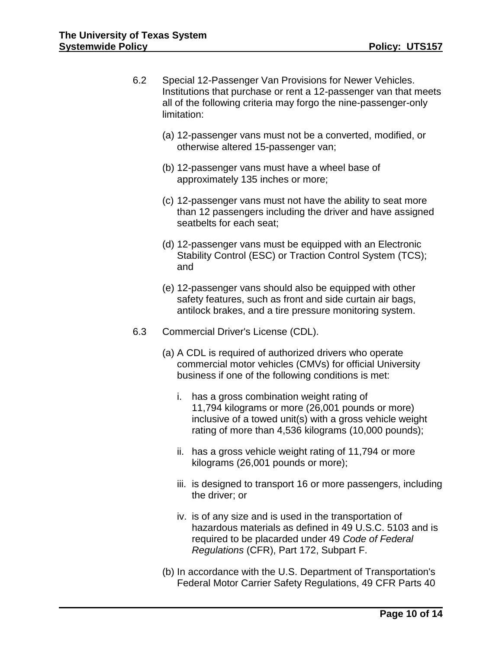- 6.2 Special 12-Passenger Van Provisions for Newer Vehicles. Institutions that purchase or rent a 12-passenger van that meets all of the following criteria may forgo the nine-passenger-only limitation:
	- (a) 12-passenger vans must not be a converted, modified, or otherwise altered 15-passenger van;
	- (b) 12-passenger vans must have a wheel base of approximately 135 inches or more;
	- (c) 12-passenger vans must not have the ability to seat more than 12 passengers including the driver and have assigned seatbelts for each seat;
	- (d) 12-passenger vans must be equipped with an Electronic Stability Control (ESC) or Traction Control System (TCS); and
	- (e) 12-passenger vans should also be equipped with other safety features, such as front and side curtain air bags, antilock brakes, and a tire pressure monitoring system.
- 6.3 Commercial Driver's License (CDL).
	- (a) A CDL is required of authorized drivers who operate commercial motor vehicles (CMVs) for official University business if one of the following conditions is met:
		- i. has a gross combination weight rating of 11,794 kilograms or more (26,001 pounds or more) inclusive of a towed unit(s) with a gross vehicle weight rating of more than 4,536 kilograms (10,000 pounds);
		- ii. has a gross vehicle weight rating of 11,794 or more kilograms (26,001 pounds or more);
		- iii. is designed to transport 16 or more passengers, including the driver; or
		- iv. is of any size and is used in the transportation of hazardous materials as defined in 49 U.S.C. 5103 and is required to be placarded under 49 *Code of Federal Regulations* (CFR), Part 172, Subpart F.
	- (b) In accordance with the U.S. Department of Transportation's Federal Motor Carrier Safety Regulations, 49 CFR Parts 40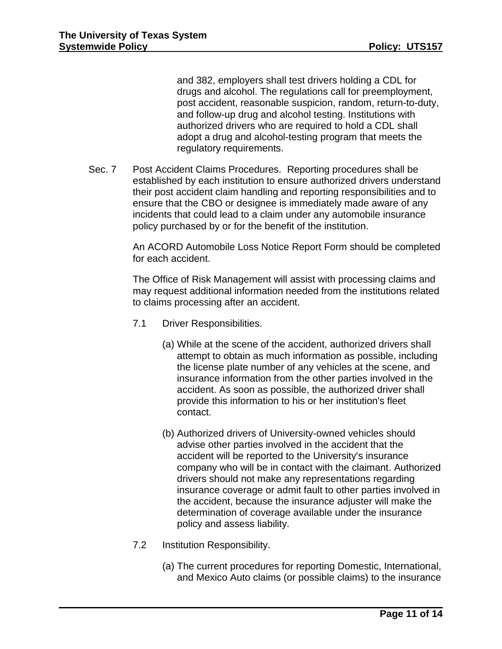and 382, employers shall test drivers holding a CDL for drugs and alcohol. The regulations call for preemployment, post accident, reasonable suspicion, random, return-to-duty, and follow-up drug and alcohol testing. Institutions with authorized drivers who are required to hold a CDL shall adopt a drug and alcohol-testing program that meets the regulatory requirements.

Sec. 7 Post Accident Claims Procedures. Reporting procedures shall be established by each institution to ensure authorized drivers understand their post accident claim handling and reporting responsibilities and to ensure that the CBO or designee is immediately made aware of any incidents that could lead to a claim under any automobile insurance policy purchased by or for the benefit of the institution.

> An ACORD Automobile Loss Notice Report Form should be completed for each accident.

> The Office of Risk Management will assist with processing claims and may request additional information needed from the institutions related to claims processing after an accident.

- 7.1 Driver Responsibilities.
	- (a) While at the scene of the accident, authorized drivers shall attempt to obtain as much information as possible, including the license plate number of any vehicles at the scene, and insurance information from the other parties involved in the accident. As soon as possible, the authorized driver shall provide this information to his or her institution's fleet contact.
	- (b) Authorized drivers of University-owned vehicles should advise other parties involved in the accident that the accident will be reported to the University's insurance company who will be in contact with the claimant. Authorized drivers should not make any representations regarding insurance coverage or admit fault to other parties involved in the accident, because the insurance adjuster will make the determination of coverage available under the insurance policy and assess liability.
- 7.2 Institution Responsibility.
	- (a) The current procedures for reporting Domestic, International, and Mexico Auto claims (or possible claims) to the insurance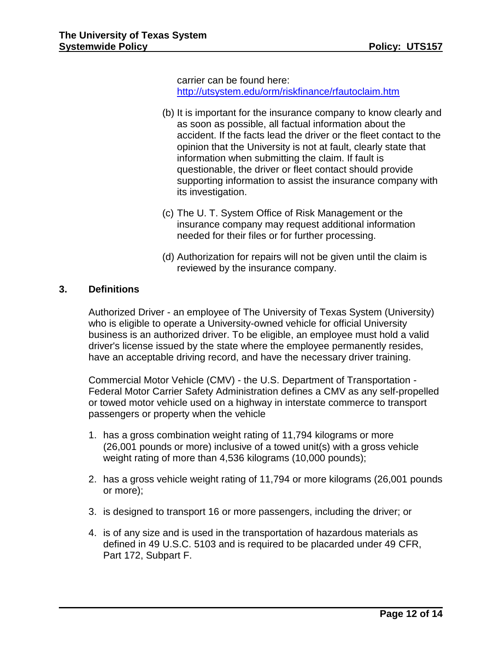carrier can be found here: <http://utsystem.edu/orm/riskfinance/rfautoclaim.htm>

- (b) It is important for the insurance company to know clearly and as soon as possible, all factual information about the accident. If the facts lead the driver or the fleet contact to the opinion that the University is not at fault, clearly state that information when submitting the claim. If fault is questionable, the driver or fleet contact should provide supporting information to assist the insurance company with its investigation.
- (c) The U. T. System Office of Risk Management or the insurance company may request additional information needed for their files or for further processing.
- (d) Authorization for repairs will not be given until the claim is reviewed by the insurance company.

# **3. Definitions**

Authorized Driver - an employee of The University of Texas System (University) who is eligible to operate a University-owned vehicle for official University business is an authorized driver. To be eligible, an employee must hold a valid driver's license issued by the state where the employee permanently resides, have an acceptable driving record, and have the necessary driver training.

Commercial Motor Vehicle (CMV) - the U.S. Department of Transportation - Federal Motor Carrier Safety Administration defines a CMV as any self-propelled or towed motor vehicle used on a highway in interstate commerce to transport passengers or property when the vehicle

- 1. has a gross combination weight rating of 11,794 kilograms or more (26,001 pounds or more) inclusive of a towed unit(s) with a gross vehicle weight rating of more than 4,536 kilograms (10,000 pounds);
- 2. has a gross vehicle weight rating of 11,794 or more kilograms (26,001 pounds or more);
- 3. is designed to transport 16 or more passengers, including the driver; or
- 4. is of any size and is used in the transportation of hazardous materials as defined in 49 U.S.C. 5103 and is required to be placarded under 49 CFR, Part 172, Subpart F.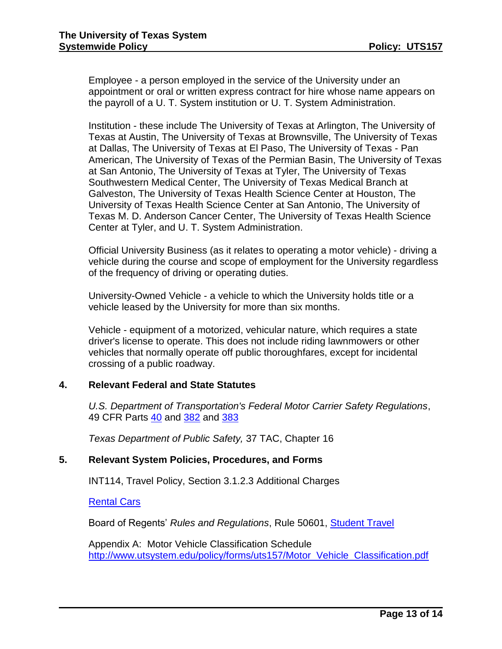Employee - a person employed in the service of the University under an appointment or oral or written express contract for hire whose name appears on the payroll of a U. T. System institution or U. T. System Administration.

Institution - these include The University of Texas at Arlington, The University of Texas at Austin, The University of Texas at Brownsville, The University of Texas at Dallas, The University of Texas at El Paso, The University of Texas - Pan American, The University of Texas of the Permian Basin, The University of Texas at San Antonio, The University of Texas at Tyler, The University of Texas Southwestern Medical Center, The University of Texas Medical Branch at Galveston, The University of Texas Health Science Center at Houston, The University of Texas Health Science Center at San Antonio, The University of Texas M. D. Anderson Cancer Center, The University of Texas Health Science Center at Tyler, and U. T. System Administration.

Official University Business (as it relates to operating a motor vehicle) - driving a vehicle during the course and scope of employment for the University regardless of the frequency of driving or operating duties.

University-Owned Vehicle - a vehicle to which the University holds title or a vehicle leased by the University for more than six months.

Vehicle - equipment of a motorized, vehicular nature, which requires a state driver's license to operate. This does not include riding lawnmowers or other vehicles that normally operate off public thoroughfares, except for incidental crossing of a public roadway.

## **4. Relevant Federal and State Statutes**

*U.S. Department of Transportation's Federal Motor Carrier Safety Regulations*, 49 CFR Parts [40](http://www.dot.gov/ost/dapc/NEW_DOCS/part40.html?proc) and [382](http://www.fmcsa.dot.gov/rules-regulations/administration/fmcsr/fmcsrguidedetails.asp?rule_toc=751§ion_toc=751) and [383](http://www.fmcsa.dot.gov/rules-regulations/administration/fmcsr/fmcsrguidedetails.asp?menukey=383)

*Texas Department of Public Safety,* 37 TAC, Chapter 16

## **5. Relevant System Policies, Procedures, and Forms**

INT114, Travel Policy, Section 3.1.2.3 Additional Charges

[Rental Cars](http://www.utsystem.edu/travel/car_rental_general.htm)

Board of Regents' *Rules and Regulations*, Rule 50601, [Student Travel](http://www.utsystem.edu/bor/rules/50000Series/50601.pdf)

Appendix A: Motor Vehicle Classification Schedule [http://www.utsystem.edu/policy/forms/uts157/Motor\\_Vehicle\\_Classification.pdf](http://www.utsystem.edu/policy/forms/uts157/Motor_Vehicle_Classification.pdf)